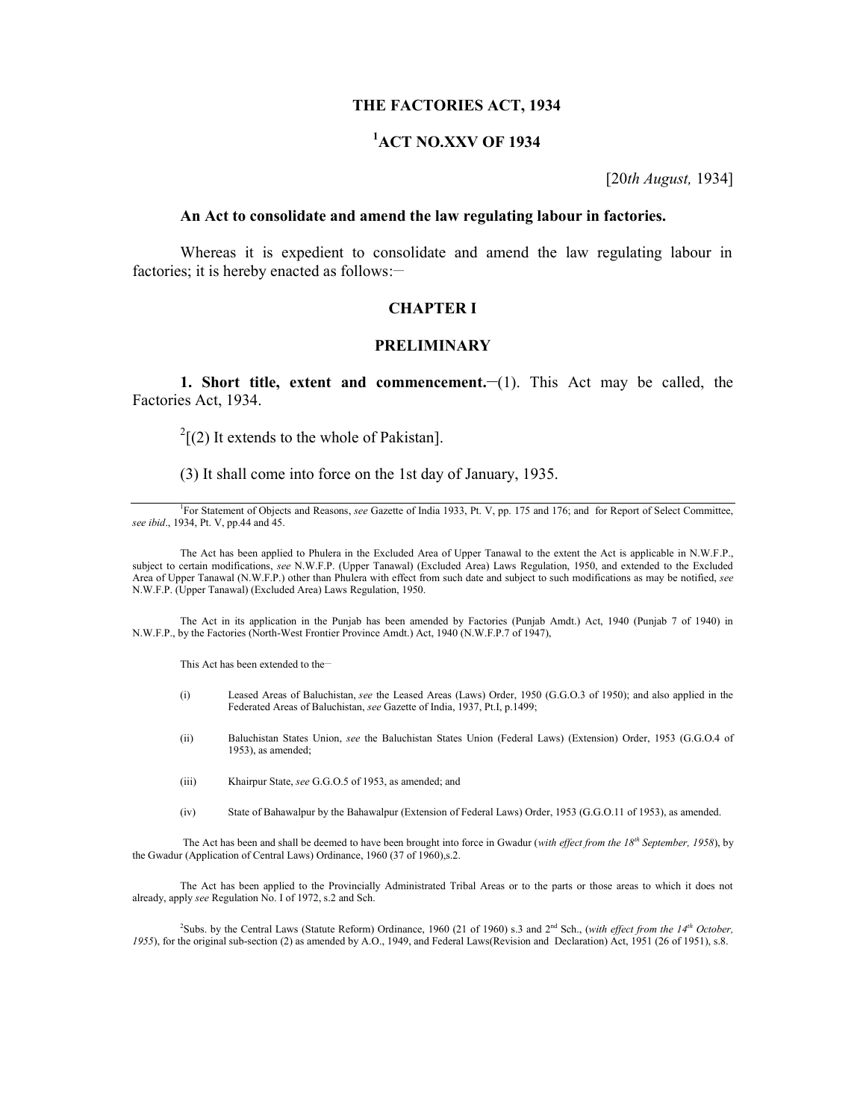#### **THE FACTORIES ACT, 1934**

# **<sup>1</sup>ACT NO.XXV OF 1934**

[20*th August,* 1934]

#### **An Act to consolidate and amend the law regulating labour in factories.**

Whereas it is expedient to consolidate and amend the law regulating labour in factories; it is hereby enacted as follows:-

#### **CHAPTER I**

#### **PRELIMINARY**

**1. Short title, extent and commencement.—(1). This Act may be called, the** Factories Act, 1934.

 $2[(2)$  It extends to the whole of Pakistan].

(3) It shall come into force on the 1st day of January, 1935.

The Act has been applied to Phulera in the Excluded Area of Upper Tanawal to the extent the Act is applicable in N.W.F.P., subject to certain modifications, *see* N.W.F.P. (Upper Tanawal) (Excluded Area) Laws Regulation, 1950, and extended to the Excluded Area of Upper Tanawal (N.W.F.P.) other than Phulera with effect from such date and subject to such modifications as may be notified, *see* N.W.F.P. (Upper Tanawal) (Excluded Area) Laws Regulation, 1950.

The Act in its application in the Punjab has been amended by Factories (Punjab Amdt.) Act, 1940 (Punjab 7 of 1940) in N.W.F.P., by the Factories (North-West Frontier Province Amdt.) Act, 1940 (N.W.F.P.7 of 1947),

This Act has been extended to the-

- (i) Leased Areas of Baluchistan, *see* the Leased Areas (Laws) Order, 1950 (G.G.O.3 of 1950); and also applied in the Federated Areas of Baluchistan, *see* Gazette of India, 1937, Pt.I, p.1499;
- (ii) Baluchistan States Union, *see* the Baluchistan States Union (Federal Laws) (Extension) Order, 1953 (G.G.O.4 of 1953), as amended;
- (iii) Khairpur State, *see* G.G.O.5 of 1953, as amended; and
- (iv) State of Bahawalpur by the Bahawalpur (Extension of Federal Laws) Order, 1953 (G.G.O.11 of 1953), as amended.

The Act has been and shall be deemed to have been brought into force in Gwadur (*with effect from the 18th September, 1958*), by the Gwadur (Application of Central Laws) Ordinance, 1960 (37 of 1960),s.2.

The Act has been applied to the Provincially Administrated Tribal Areas or to the parts or those areas to which it does not already, apply *see* Regulation No. I of 1972, s.2 and Sch.

<sup>2</sup>Subs. by the Central Laws (Statute Reform) Ordinance, 1960 (21 of 1960) s.3 and 2nd Sch., (*with effect from the 14th October, 1955*), for the original sub-section (2) as amended by A.O., 1949, and Federal Laws(Revision and Declaration) Act, 1951 (26 of 1951), s.8.

<sup>&</sup>lt;sup>1</sup>For Statement of Objects and Reasons, *see* Gazette of India 1933, Pt. V, pp. 175 and 176; and for Report of Select Committee, *see ibid*., 1934, Pt. V, pp.44 and 45.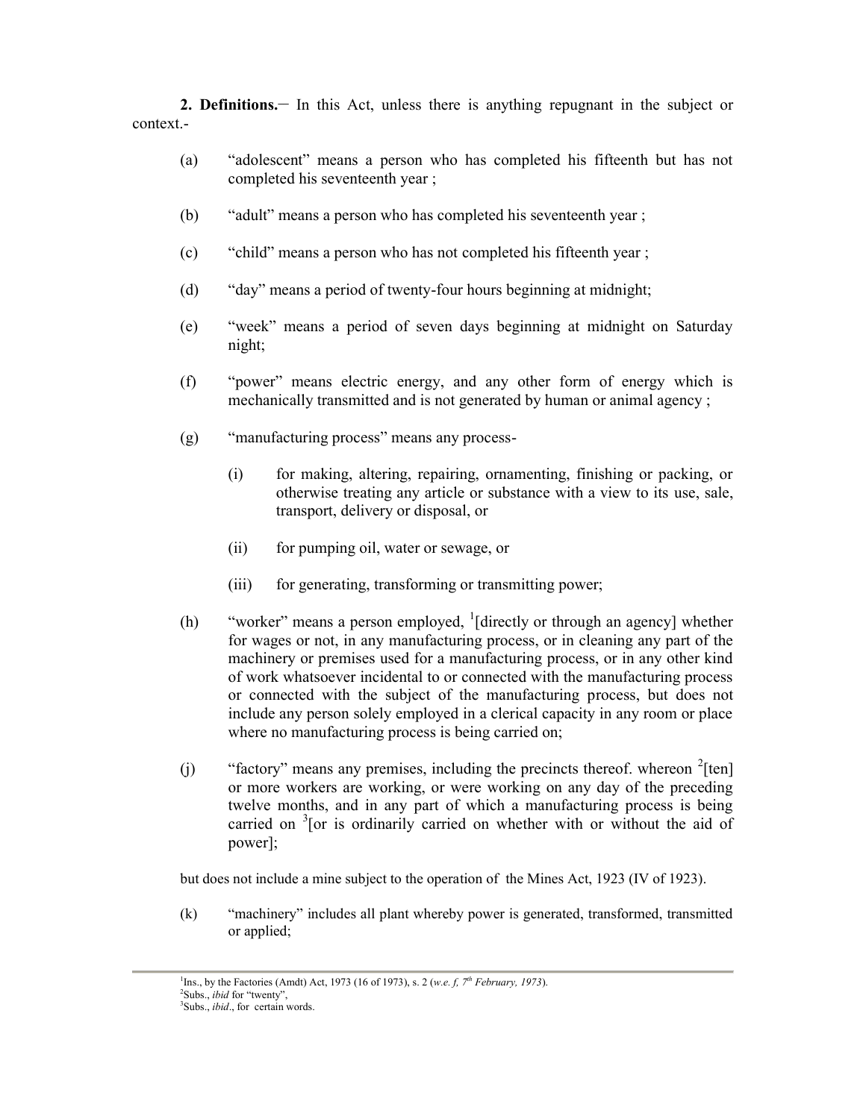**2. Definitions.\_\_** In this Act, unless there is anything repugnant in the subject or context.-

- (a) "adolescent" means a person who has completed his fifteenth but has not completed his seventeenth year ;
- (b) "adult" means a person who has completed his seventeenth year ;
- (c) "child" means a person who has not completed his fifteenth year ;
- (d) "day" means a period of twenty-four hours beginning at midnight;
- (e) "week" means a period of seven days beginning at midnight on Saturday night;
- (f) "power" means electric energy, and any other form of energy which is mechanically transmitted and is not generated by human or animal agency ;
- (g) "manufacturing process" means any process-
	- (i) for making, altering, repairing, ornamenting, finishing or packing, or otherwise treating any article or substance with a view to its use, sale, transport, delivery or disposal, or
	- (ii) for pumping oil, water or sewage, or
	- (iii) for generating, transforming or transmitting power;
- (h) "worker" means a person employed,  $\frac{1}{1}$  directly or through an agency] whether for wages or not, in any manufacturing process, or in cleaning any part of the machinery or premises used for a manufacturing process, or in any other kind of work whatsoever incidental to or connected with the manufacturing process or connected with the subject of the manufacturing process, but does not include any person solely employed in a clerical capacity in any room or place where no manufacturing process is being carried on;
- (j) "factory" means any premises, including the precincts thereof. whereon  $2$ [ten] or more workers are working, or were working on any day of the preceding twelve months, and in any part of which a manufacturing process is being carried on  $3$ [or is ordinarily carried on whether with or without the aid of power];

but does not include a mine subject to the operation of the Mines Act, 1923 (IV of 1923).

(k) "machinery" includes all plant whereby power is generated, transformed, transmitted or applied;

<sup>&</sup>lt;sup>1</sup>Ins., by the Factories (Amdt) Act, 1973 (16 of 1973), s. 2 (*w.e. f, 7<sup>th</sup> February, 1973*). <sup>2</sup>Subs., *ibid* for "twenty",<br><sup>3</sup>Subs., *ibid.*, for certain words.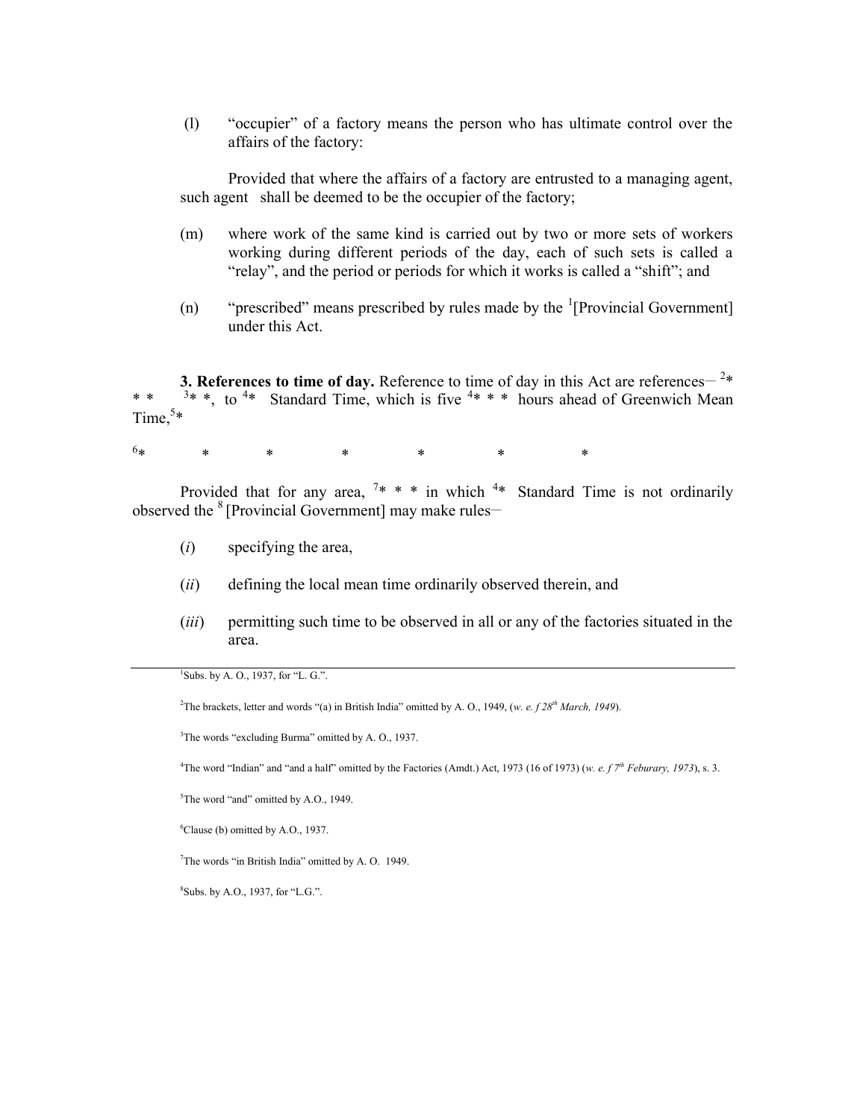(l) "occupier" of a factory means the person who has ultimate control over the affairs of the factory:

Provided that where the affairs of a factory are entrusted to a managing agent, such agent shall be deemed to be the occupier of the factory;

- (m) where work of the same kind is carried out by two or more sets of workers working during different periods of the day, each of such sets is called a "relay", and the period or periods for which it works is called a "shift"; and
- (n) "prescribed" means prescribed by rules made by the  $\frac{1}{2}$ [Provincial Government] under this Act.

**3. References to time of day.** Reference to time of day in this Act are references<sup> $-2*$ </sup> \* \*  $3*$  \*, to  $4*$  Standard Time, which is five  $4* * *$  hours ahead of Greenwich Mean Time, $5*$ 

 $6*$  \* \* \* \* \* \* \*

Provided that for any area,  $7* * *$  in which  $4*$  Standard Time is not ordinarily observed the  $8$  [Provincial Government] may make rules—

- (*i*) specifying the area,
- (*ii*) defining the local mean time ordinarily observed therein, and
- (*iii*) permitting such time to be observed in all or any of the factories situated in the area.

 $1$ Subs. by A. O., 1937, for "L. G.".

<sup>2</sup>The brackets, letter and words "(a) in British India" omitted by A. O., 1949, (*w. e. f 28th March, 1949*).

<sup>3</sup>The words "excluding Burma" omitted by A. O., 1937.

<sup>4</sup>The word "Indian" and "and a half" omitted by the Factories (Amdt.) Act, 1973 (16 of 1973) (*w. e. f*  $7<sup>th</sup>$  *Feburary, 1973*), s. 3.

<sup>5</sup>The word "and" omitted by A.O., 1949.

<sup>6</sup>Clause (b) omitted by A.O., 1937.

<sup>7</sup>The words "in British India" omitted by A. O. 1949.

<sup>8</sup>Subs. by A.O., 1937, for "L.G.".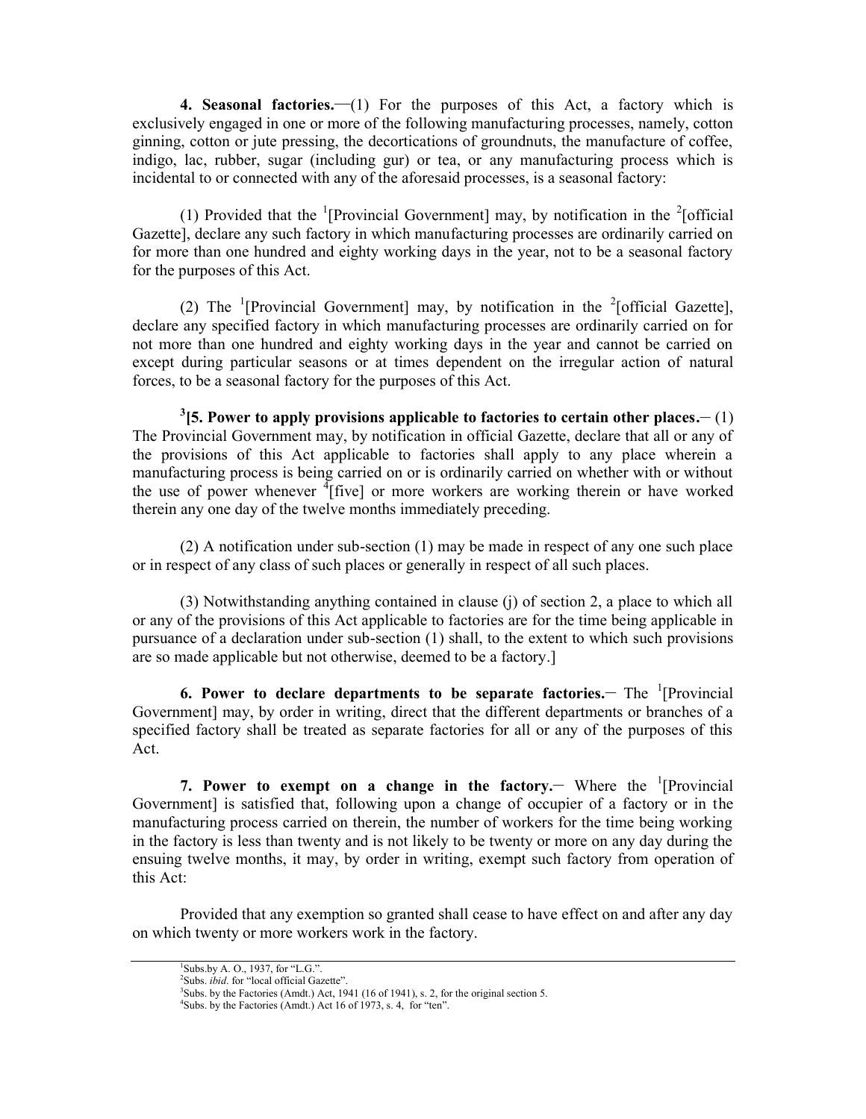**4. Seasonal factories.—(1)** For the purposes of this Act, a factory which is exclusively engaged in one or more of the following manufacturing processes, namely, cotton ginning, cotton or jute pressing, the decortications of groundnuts, the manufacture of coffee, indigo, lac, rubber, sugar (including gur) or tea, or any manufacturing process which is incidental to or connected with any of the aforesaid processes, is a seasonal factory:

(1) Provided that the <sup>1</sup>[Provincial Government] may, by notification in the <sup>2</sup>[official Gazette], declare any such factory in which manufacturing processes are ordinarily carried on for more than one hundred and eighty working days in the year, not to be a seasonal factory for the purposes of this Act.

(2) The <sup>1</sup>[Provincial Government] may, by notification in the <sup>2</sup>[official Gazette], declare any specified factory in which manufacturing processes are ordinarily carried on for not more than one hundred and eighty working days in the year and cannot be carried on except during particular seasons or at times dependent on the irregular action of natural forces, to be a seasonal factory for the purposes of this Act.

 $^3$  [5. Power to apply provisions applicable to factories to certain other places.— $(1)$ The Provincial Government may, by notification in official Gazette, declare that all or any of the provisions of this Act applicable to factories shall apply to any place wherein a manufacturing process is being carried on or is ordinarily carried on whether with or without the use of power whenever  $\frac{4}{3}$  [five] or more workers are working therein or have worked therein any one day of the twelve months immediately preceding.

(2) A notification under sub-section (1) may be made in respect of any one such place or in respect of any class of such places or generally in respect of all such places.

(3) Notwithstanding anything contained in clause (j) of section 2, a place to which all or any of the provisions of this Act applicable to factories are for the time being applicable in pursuance of a declaration under sub-section (1) shall, to the extent to which such provisions are so made applicable but not otherwise, deemed to be a factory.]

**6. Power to declare departments to be separate factories. The <sup>1</sup>[Provincial** Government] may, by order in writing, direct that the different departments or branches of a specified factory shall be treated as separate factories for all or any of the purposes of this Act.

**7. Power to exempt on a change in the factory. Where the <sup>1</sup>[Provincial** Government] is satisfied that, following upon a change of occupier of a factory or in the manufacturing process carried on therein, the number of workers for the time being working in the factory is less than twenty and is not likely to be twenty or more on any day during the ensuing twelve months, it may, by order in writing, exempt such factory from operation of this Act:

Provided that any exemption so granted shall cease to have effect on and after any day on which twenty or more workers work in the factory.

 ${}^{1}$ Subs.by A. O., 1937, for "L.G.".

<sup>&</sup>lt;sup>2</sup>Subs. *ibid*. for "local official Gazette".

<sup>&</sup>lt;sup>3</sup>Subs. by the Factories (Amdt.) Act, 1941 (16 of 1941), s. 2, for the original section 5. <sup>4</sup>Subs. by the Factories (Amdt.) Act 16 of 1973, s. 4, for "ten".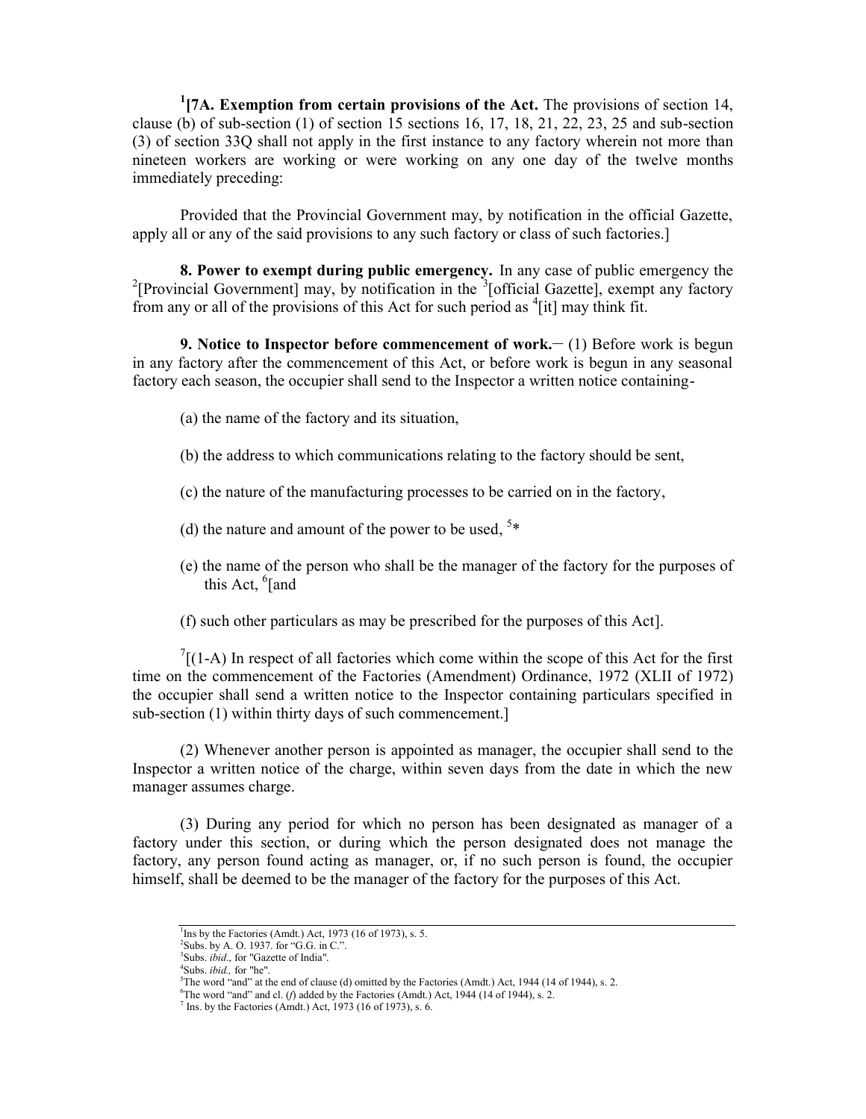**1 [7A. Exemption from certain provisions of the Act.** The provisions of section 14, clause (b) of sub-section  $(1)$  of section 15 sections 16, 17, 18, 21, 22, 23, 25 and sub-section (3) of section 33Q shall not apply in the first instance to any factory wherein not more than nineteen workers are working or were working on any one day of the twelve months immediately preceding:

Provided that the Provincial Government may, by notification in the official Gazette, apply all or any of the said provisions to any such factory or class of such factories.]

**8. Power to exempt during public emergency.** In any case of public emergency the <sup>2</sup>[Provincial Government] may, by notification in the  $3$ [official Gazette], exempt any factory from any or all of the provisions of this Act for such period as  $\frac{4}{1}$  may think fit.

**9. Notice to Inspector before commencement of work.**  $\qquad$  **(1) Before work is begun** in any factory after the commencement of this Act, or before work is begun in any seasonal factory each season, the occupier shall send to the Inspector a written notice containing-

- (a) the name of the factory and its situation,
- (b) the address to which communications relating to the factory should be sent,
- (c) the nature of the manufacturing processes to be carried on in the factory,
- (d) the nature and amount of the power to be used,  $5*$
- (e) the name of the person who shall be the manager of the factory for the purposes of this Act,  $^6$ [and]
- (f) such other particulars as may be prescribed for the purposes of this Act].

 $\int$ <sup>7</sup>[(1-A) In respect of all factories which come within the scope of this Act for the first time on the commencement of the Factories (Amendment) Ordinance, 1972 (XLII of 1972) the occupier shall send a written notice to the Inspector containing particulars specified in sub-section (1) within thirty days of such commencement.

(2) Whenever another person is appointed as manager, the occupier shall send to the Inspector a written notice of the charge, within seven days from the date in which the new manager assumes charge.

(3) During any period for which no person has been designated as manager of a factory under this section, or during which the person designated does not manage the factory, any person found acting as manager, or, if no such person is found, the occupier himself, shall be deemed to be the manager of the factory for the purposes of this Act.

<sup>&</sup>lt;sup>1</sup>Ins by the Factories (Amdt.) Act, 1973 (16 of 1973), s. 5.

<sup>&</sup>lt;sup>2</sup>Subs. by A. O. 1937. for "G.G. in C.".<br><sup>3</sup>Subs. *ibid.*, for "Gazette of India".<br><sup>4</sup>Subs. *ibid.*, for "he".

<sup>&</sup>lt;sup>5</sup>The word "and" at the end of clause (d) omitted by the Factories (Amdt.) Act, 1944 (14 of 1944), s. 2.

<sup>6</sup>The word "and" and cl. (*f*) added by the Factories (Amdt.) Act, 1944 (14 of 1944), s. 2.

 $<sup>7</sup>$  Ins. by the Factories (Amdt.) Act, 1973 (16 of 1973), s. 6.</sup>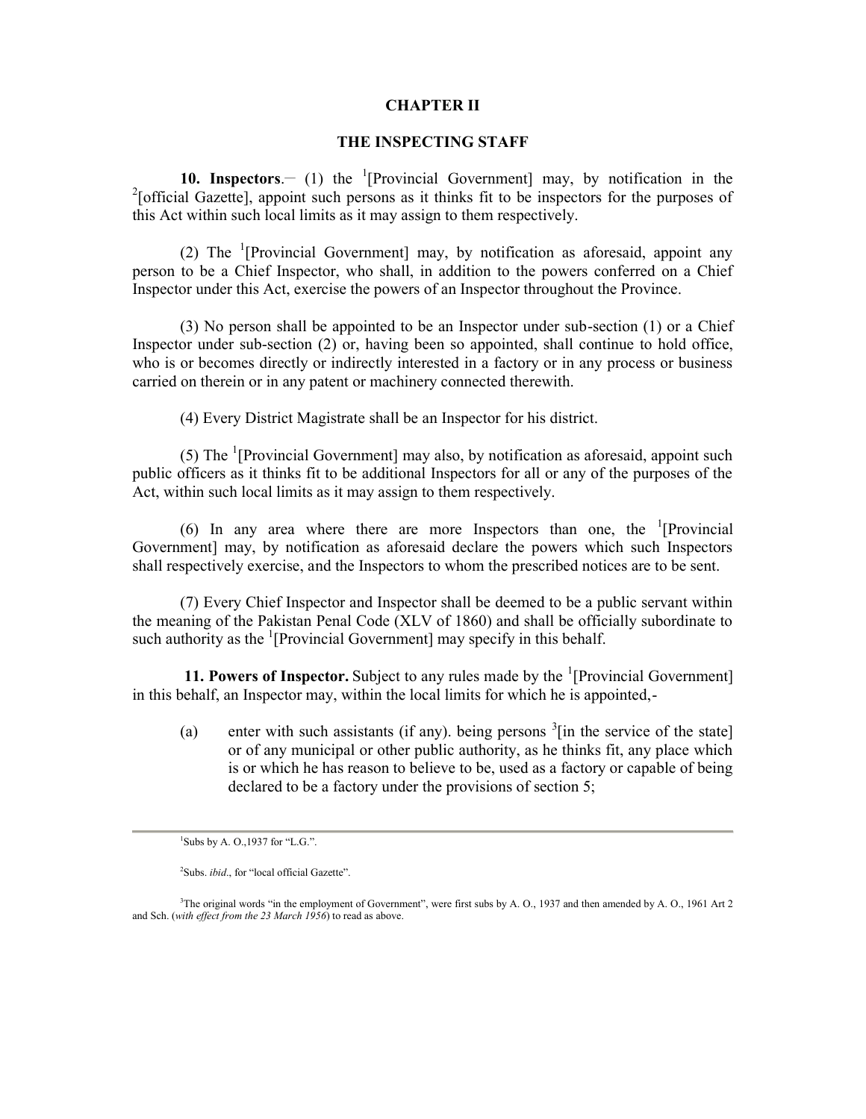### **CHAPTER II**

## **THE INSPECTING STAFF**

**10. Inspectors**.  $\left(1\right)$  the <sup>1</sup>[Provincial Government] may, by notification in the <sup>2</sup>[official Gazette], appoint such persons as it thinks fit to be inspectors for the purposes of this Act within such local limits as it may assign to them respectively.

(2) The <sup>1</sup>[Provincial Government] may, by notification as aforesaid, appoint any person to be a Chief Inspector, who shall, in addition to the powers conferred on a Chief Inspector under this Act, exercise the powers of an Inspector throughout the Province.

(3) No person shall be appointed to be an Inspector under sub-section (1) or a Chief Inspector under sub-section (2) or, having been so appointed, shall continue to hold office, who is or becomes directly or indirectly interested in a factory or in any process or business carried on therein or in any patent or machinery connected therewith.

(4) Every District Magistrate shall be an Inspector for his district.

(5) The  $\rm$ <sup>1</sup> [Provincial Government] may also, by notification as aforesaid, appoint such public officers as it thinks fit to be additional Inspectors for all or any of the purposes of the Act, within such local limits as it may assign to them respectively.

(6) In any area where there are more Inspectors than one, the  $(1)$ Provincial Government] may, by notification as aforesaid declare the powers which such Inspectors shall respectively exercise, and the Inspectors to whom the prescribed notices are to be sent.

(7) Every Chief Inspector and Inspector shall be deemed to be a public servant within the meaning of the Pakistan Penal Code (XLV of 1860) and shall be officially subordinate to such authority as the  $\frac{1}{2}$  [Provincial Government] may specify in this behalf.

**11. Powers of Inspector.** Subject to any rules made by the <sup>1</sup>[Provincial Government] in this behalf, an Inspector may, within the local limits for which he is appointed,-

(a) enter with such assistants (if any). being persons  $\frac{3}{1}$  in the service of the state] or of any municipal or other public authority, as he thinks fit, any place which is or which he has reason to believe to be, used as a factory or capable of being declared to be a factory under the provisions of section 5;

 ${}^{1}$ Subs by A. O., 1937 for "L.G.".

<sup>2</sup>Subs. *ibid.*, for "local official Gazette".

<sup>3</sup>The original words "in the employment of Government", were first subs by A. O., 1937 and then amended by A. O., 1961 Art 2 and Sch. (*with effect from the 23 March 1956*) to read as above.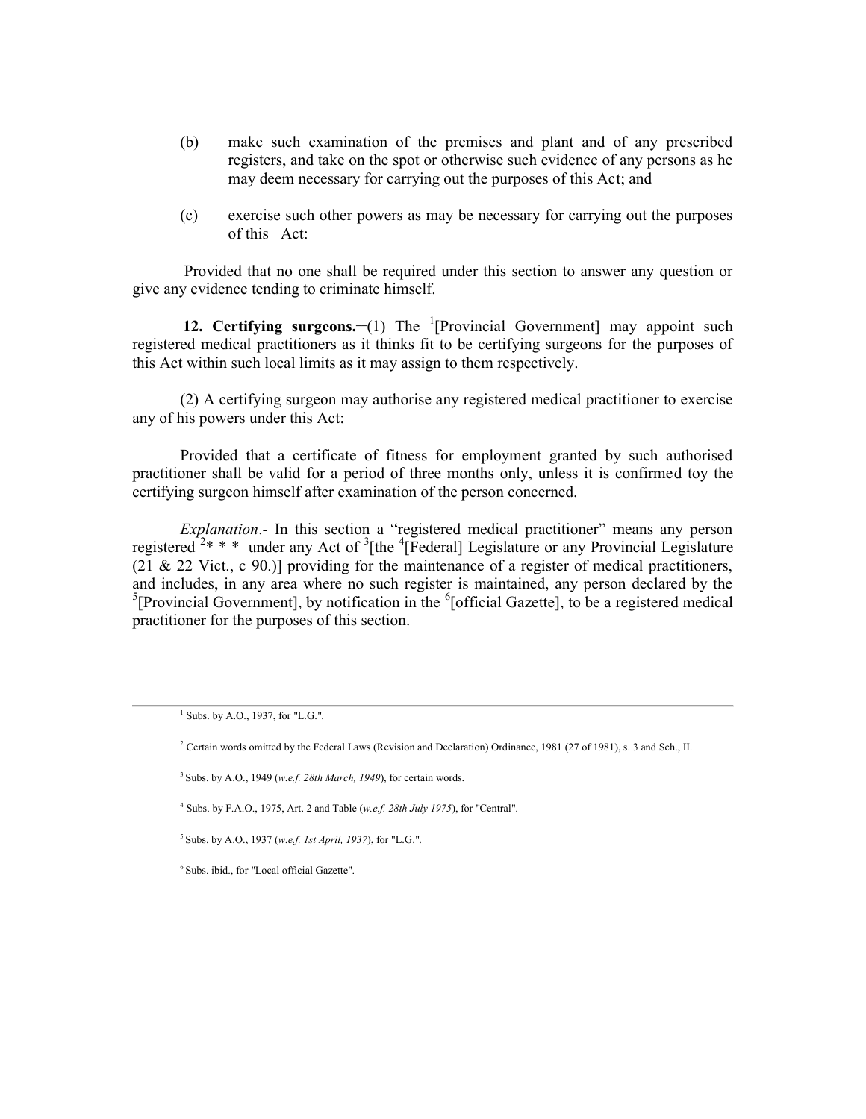- (b) make such examination of the premises and plant and of any prescribed registers, and take on the spot or otherwise such evidence of any persons as he may deem necessary for carrying out the purposes of this Act; and
- (c) exercise such other powers as may be necessary for carrying out the purposes of this Act:

Provided that no one shall be required under this section to answer any question or give any evidence tending to criminate himself.

**12. Certifying surgeons.** (1) The <sup>1</sup>[Provincial Government] may appoint such registered medical practitioners as it thinks fit to be certifying surgeons for the purposes of this Act within such local limits as it may assign to them respectively.

(2) A certifying surgeon may authorise any registered medical practitioner to exercise any of his powers under this Act:

Provided that a certificate of fitness for employment granted by such authorised practitioner shall be valid for a period of three months only, unless it is confirmed toy the certifying surgeon himself after examination of the person concerned.

*Explanation*.- In this section a "registered medical practitioner" means any person registered  $2$ <sup>\*</sup> \* \* under any Act of  $3$ [the  $4$ [Federal] Legislature or any Provincial Legislature (21  $\&$  22 Vict., c 90.)] providing for the maintenance of a register of medical practitioners, and includes, in any area where no such register is maintained, any person declared by the <sup>5</sup>[Provincial Government], by notification in the  ${}^{6}$ [official Gazette], to be a registered medical practitioner for the purposes of this section.

4 Subs. by F.A.O., 1975, Art. 2 and Table (*w.e.f. 28th July 1975*), for "Central".

<sup>5</sup> Subs. by A.O., 1937 (*w.e.f. 1st April, 1937*), for "L.G.".

<sup>6</sup> Subs. ibid., for "Local official Gazette".

<sup>1</sup> Subs. by A.O., 1937, for "L.G.".

<sup>&</sup>lt;sup>2</sup> Certain words omitted by the Federal Laws (Revision and Declaration) Ordinance, 1981 (27 of 1981), s. 3 and Sch., II.

<sup>&</sup>lt;sup>3</sup> Subs. by A.O., 1949 (*w.e.f. 28th March, 1949*), for certain words.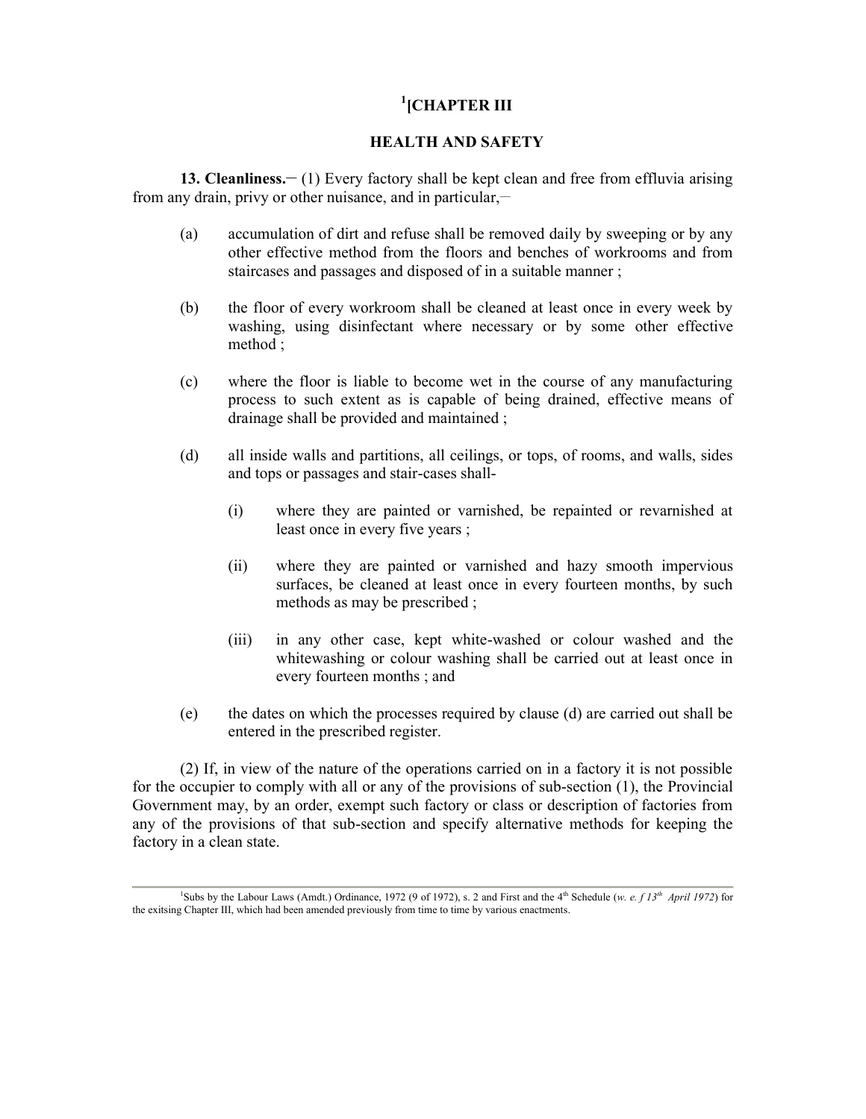# **1 [CHAPTER III**

# **HEALTH AND SAFETY**

**13. Cleanliness.\_\_** (1) Every factory shall be kept clean and free from effluvia arising from any drain, privy or other nuisance, and in particular,—

- (a) accumulation of dirt and refuse shall be removed daily by sweeping or by any other effective method from the floors and benches of workrooms and from staircases and passages and disposed of in a suitable manner ;
- (b) the floor of every workroom shall be cleaned at least once in every week by washing, using disinfectant where necessary or by some other effective method ;
- (c) where the floor is liable to become wet in the course of any manufacturing process to such extent as is capable of being drained, effective means of drainage shall be provided and maintained ;
- (d) all inside walls and partitions, all ceilings, or tops, of rooms, and walls, sides and tops or passages and stair-cases shall-
	- (i) where they are painted or varnished, be repainted or revarnished at least once in every five years ;
	- (ii) where they are painted or varnished and hazy smooth impervious surfaces, be cleaned at least once in every fourteen months, by such methods as may be prescribed ;
	- (iii) in any other case, kept white-washed or colour washed and the whitewashing or colour washing shall be carried out at least once in every fourteen months ; and
- (e) the dates on which the processes required by clause (d) are carried out shall be entered in the prescribed register.

(2) If, in view of the nature of the operations carried on in a factory it is not possible for the occupier to comply with all or any of the provisions of sub-section (1), the Provincial Government may, by an order, exempt such factory or class or description of factories from any of the provisions of that sub-section and specify alternative methods for keeping the factory in a clean state.

<sup>&</sup>lt;sup>1</sup>Subs by the Labour Laws (Amdt.) Ordinance, 1972 (9 of 1972), s. 2 and First and the 4<sup>th</sup> Schedule (*w. e. f 13<sup>th</sup> April 1972*) for the exitsing Chapter III, which had been amended previously from time to time by various enactments.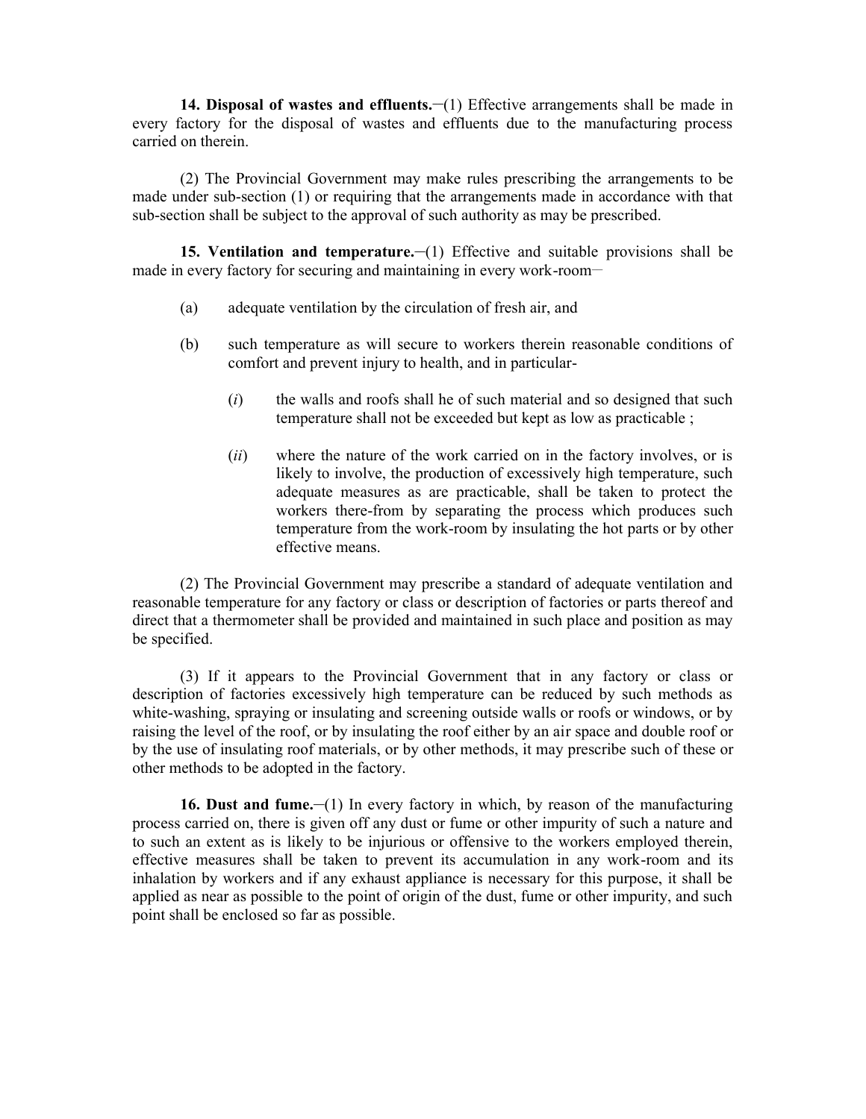**14. Disposal of wastes and effluents.**  $\lnot$  [1] Effective arrangements shall be made in every factory for the disposal of wastes and effluents due to the manufacturing process carried on therein.

(2) The Provincial Government may make rules prescribing the arrangements to be made under sub-section (1) or requiring that the arrangements made in accordance with that sub-section shall be subject to the approval of such authority as may be prescribed.

**15. Ventilation and temperature.** (1) Effective and suitable provisions shall be made in every factory for securing and maintaining in every work-room-

- (a) adequate ventilation by the circulation of fresh air, and
- (b) such temperature as will secure to workers therein reasonable conditions of comfort and prevent injury to health, and in particular-
	- (*i*) the walls and roofs shall he of such material and so designed that such temperature shall not be exceeded but kept as low as practicable ;
	- (*ii*) where the nature of the work carried on in the factory involves, or is likely to involve, the production of excessively high temperature, such adequate measures as are practicable, shall be taken to protect the workers there-from by separating the process which produces such temperature from the work-room by insulating the hot parts or by other effective means.

(2) The Provincial Government may prescribe a standard of adequate ventilation and reasonable temperature for any factory or class or description of factories or parts thereof and direct that a thermometer shall be provided and maintained in such place and position as may be specified.

(3) If it appears to the Provincial Government that in any factory or class or description of factories excessively high temperature can be reduced by such methods as white-washing, spraying or insulating and screening outside walls or roofs or windows, or by raising the level of the roof, or by insulating the roof either by an air space and double roof or by the use of insulating roof materials, or by other methods, it may prescribe such of these or other methods to be adopted in the factory.

**16. Dust and fume.** (1) In every factory in which, by reason of the manufacturing process carried on, there is given off any dust or fume or other impurity of such a nature and to such an extent as is likely to be injurious or offensive to the workers employed therein, effective measures shall be taken to prevent its accumulation in any work-room and its inhalation by workers and if any exhaust appliance is necessary for this purpose, it shall be applied as near as possible to the point of origin of the dust, fume or other impurity, and such point shall be enclosed so far as possible.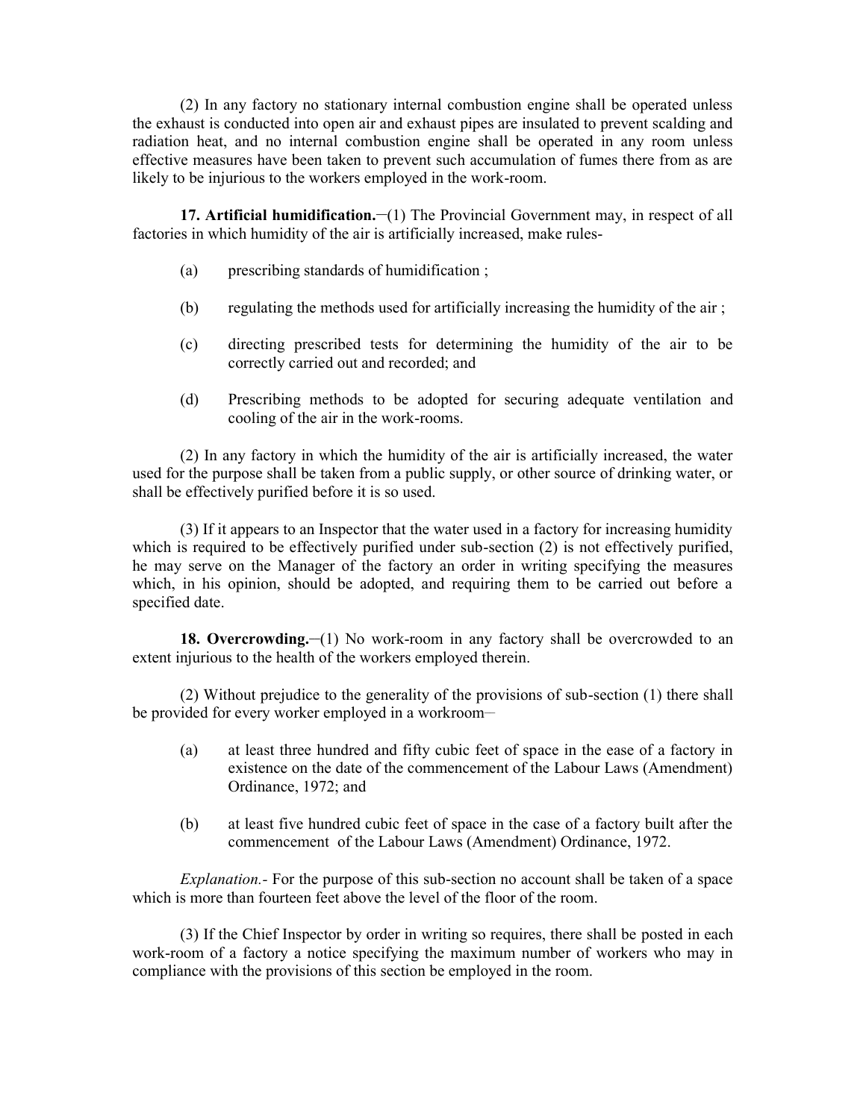(2) In any factory no stationary internal combustion engine shall be operated unless the exhaust is conducted into open air and exhaust pipes are insulated to prevent scalding and radiation heat, and no internal combustion engine shall be operated in any room unless effective measures have been taken to prevent such accumulation of fumes there from as are likely to be injurious to the workers employed in the work-room.

**17. Artificial humidification.** (1) The Provincial Government may, in respect of all factories in which humidity of the air is artificially increased, make rules-

- (a) prescribing standards of humidification ;
- (b) regulating the methods used for artificially increasing the humidity of the air ;
- (c) directing prescribed tests for determining the humidity of the air to be correctly carried out and recorded; and
- (d) Prescribing methods to be adopted for securing adequate ventilation and cooling of the air in the work-rooms.

(2) In any factory in which the humidity of the air is artificially increased, the water used for the purpose shall be taken from a public supply, or other source of drinking water, or shall be effectively purified before it is so used.

(3) If it appears to an Inspector that the water used in a factory for increasing humidity which is required to be effectively purified under sub-section (2) is not effectively purified, he may serve on the Manager of the factory an order in writing specifying the measures which, in his opinion, should be adopted, and requiring them to be carried out before a specified date.

**18. Overcrowding.** (1) No work-room in any factory shall be overcrowded to an extent injurious to the health of the workers employed therein.

(2) Without prejudice to the generality of the provisions of sub-section (1) there shall be provided for every worker employed in a workroom-

- (a) at least three hundred and fifty cubic feet of space in the ease of a factory in existence on the date of the commencement of the Labour Laws (Amendment) Ordinance, 1972; and
- (b) at least five hundred cubic feet of space in the case of a factory built after the commencement of the Labour Laws (Amendment) Ordinance, 1972.

*Explanation.*- For the purpose of this sub-section no account shall be taken of a space which is more than fourteen feet above the level of the floor of the room.

(3) If the Chief Inspector by order in writing so requires, there shall be posted in each work-room of a factory a notice specifying the maximum number of workers who may in compliance with the provisions of this section be employed in the room.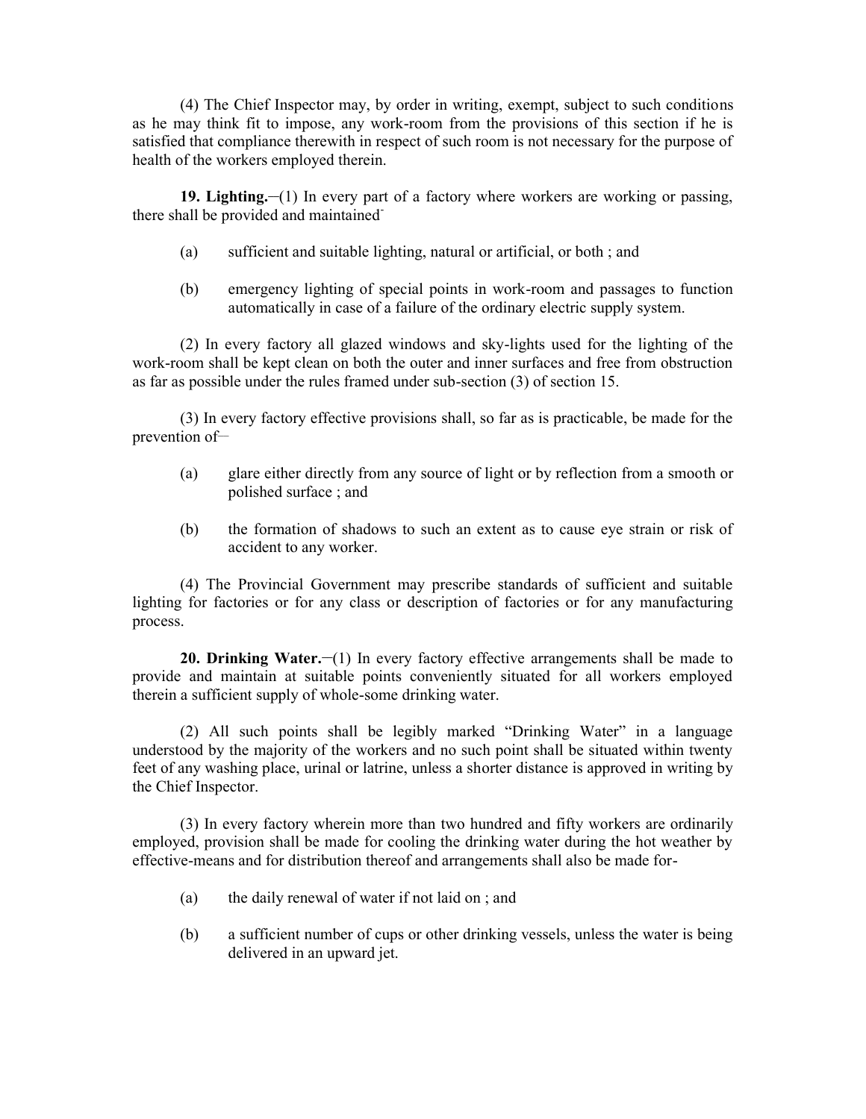(4) The Chief Inspector may, by order in writing, exempt, subject to such conditions as he may think fit to impose, any work-room from the provisions of this section if he is satisfied that compliance therewith in respect of such room is not necessary for the purpose of health of the workers employed therein.

**19. Lighting.** (1) In every part of a factory where workers are working or passing, there shall be provided and maintained-

- (a) sufficient and suitable lighting, natural or artificial, or both ; and
- (b) emergency lighting of special points in work-room and passages to function automatically in case of a failure of the ordinary electric supply system.

(2) In every factory all glazed windows and sky-lights used for the lighting of the work-room shall be kept clean on both the outer and inner surfaces and free from obstruction as far as possible under the rules framed under sub-section (3) of section 15.

(3) In every factory effective provisions shall, so far as is practicable, be made for the prevention of-

- (a) glare either directly from any source of light or by reflection from a smooth or polished surface ; and
- (b) the formation of shadows to such an extent as to cause eye strain or risk of accident to any worker.

(4) The Provincial Government may prescribe standards of sufficient and suitable lighting for factories or for any class or description of factories or for any manufacturing process.

**20. Drinking Water.** (1) In every factory effective arrangements shall be made to provide and maintain at suitable points conveniently situated for all workers employed therein a sufficient supply of whole-some drinking water.

(2) All such points shall be legibly marked "Drinking Water" in a language understood by the majority of the workers and no such point shall be situated within twenty feet of any washing place, urinal or latrine, unless a shorter distance is approved in writing by the Chief Inspector.

(3) In every factory wherein more than two hundred and fifty workers are ordinarily employed, provision shall be made for cooling the drinking water during the hot weather by effective-means and for distribution thereof and arrangements shall also be made for-

- (a) the daily renewal of water if not laid on ; and
- (b) a sufficient number of cups or other drinking vessels, unless the water is being delivered in an upward jet.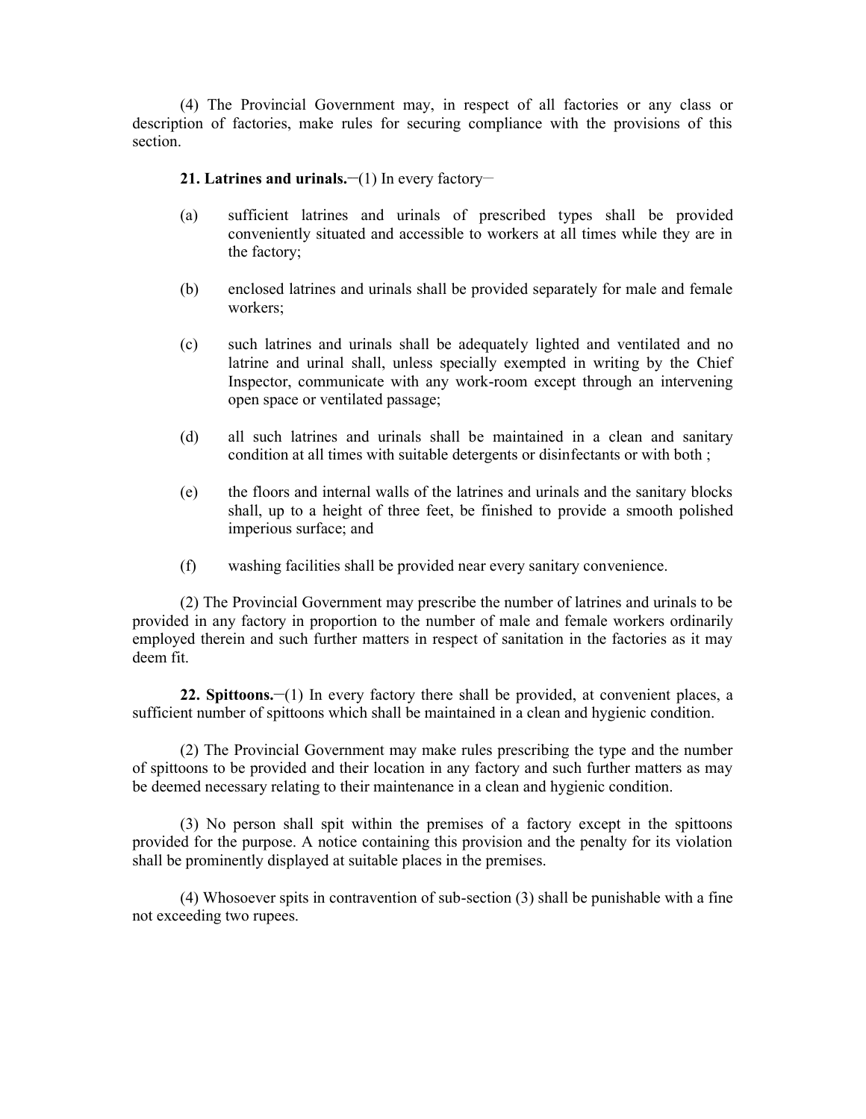(4) The Provincial Government may, in respect of all factories or any class or description of factories, make rules for securing compliance with the provisions of this section.

## **21. Latrines and urinals.**  $\lnot$  **(1) In every factory-**

- (a) sufficient latrines and urinals of prescribed types shall be provided conveniently situated and accessible to workers at all times while they are in the factory;
- (b) enclosed latrines and urinals shall be provided separately for male and female workers;
- (c) such latrines and urinals shall be adequately lighted and ventilated and no latrine and urinal shall, unless specially exempted in writing by the Chief Inspector, communicate with any work-room except through an intervening open space or ventilated passage;
- (d) all such latrines and urinals shall be maintained in a clean and sanitary condition at all times with suitable detergents or disinfectants or with both ;
- (e) the floors and internal walls of the latrines and urinals and the sanitary blocks shall, up to a height of three feet, be finished to provide a smooth polished imperious surface; and
- (f) washing facilities shall be provided near every sanitary convenience.

(2) The Provincial Government may prescribe the number of latrines and urinals to be provided in any factory in proportion to the number of male and female workers ordinarily employed therein and such further matters in respect of sanitation in the factories as it may deem fit.

**22. Spittoons.<sup>** $-$ **(1)</sup>** In every factory there shall be provided, at convenient places, a sufficient number of spittoons which shall be maintained in a clean and hygienic condition.

(2) The Provincial Government may make rules prescribing the type and the number of spittoons to be provided and their location in any factory and such further matters as may be deemed necessary relating to their maintenance in a clean and hygienic condition.

(3) No person shall spit within the premises of a factory except in the spittoons provided for the purpose. A notice containing this provision and the penalty for its violation shall be prominently displayed at suitable places in the premises.

(4) Whosoever spits in contravention of sub-section (3) shall be punishable with a fine not exceeding two rupees.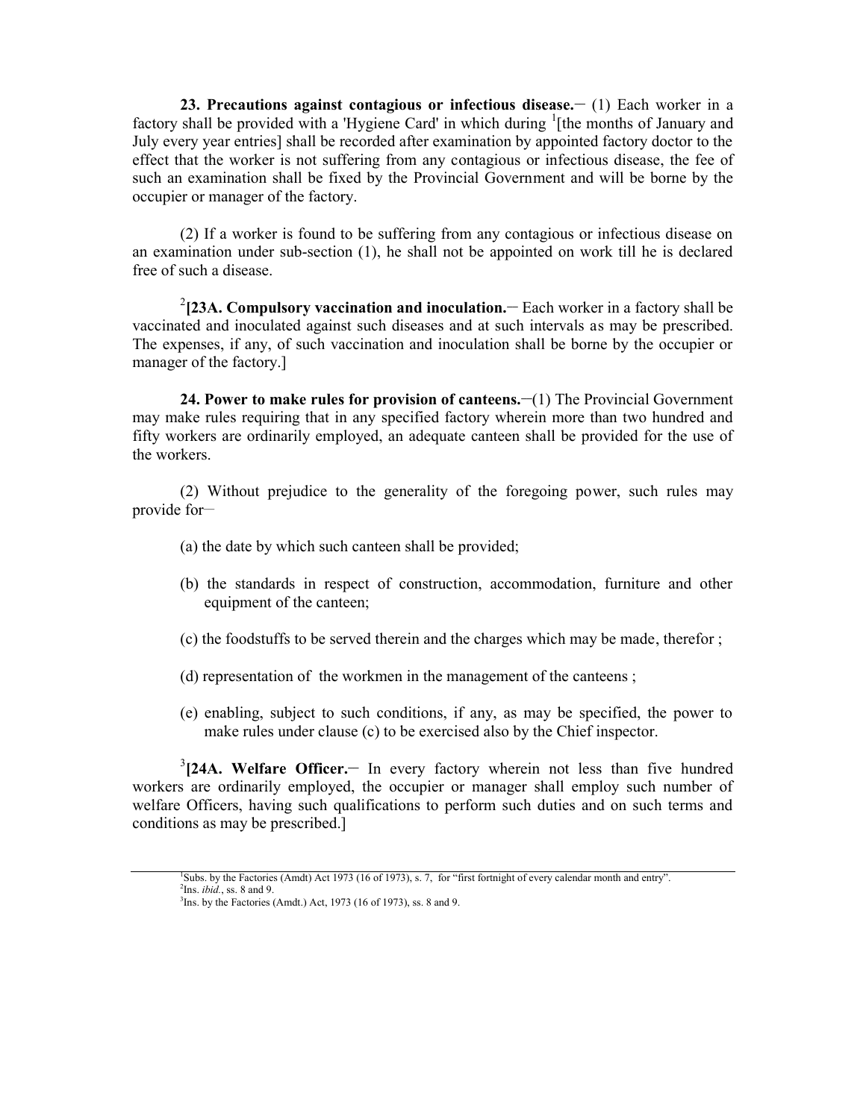**23. Precautions against contagious or infectious disease.**  $(1)$  **Each worker in a** factory shall be provided with a 'Hygiene Card' in which during <sup>1</sup>[the months of January and July every year entries] shall be recorded after examination by appointed factory doctor to the effect that the worker is not suffering from any contagious or infectious disease, the fee of such an examination shall be fixed by the Provincial Government and will be borne by the occupier or manager of the factory.

(2) If a worker is found to be suffering from any contagious or infectious disease on an examination under sub-section (1), he shall not be appointed on work till he is declared free of such a disease.

<sup>2</sup>[23A. Compulsory vaccination and inoculation. – Each worker in a factory shall be vaccinated and inoculated against such diseases and at such intervals as may be prescribed. The expenses, if any, of such vaccination and inoculation shall be borne by the occupier or manager of the factory.]

**24. Power to make rules for provision of canteens.**  $\lnot$  **(1) The Provincial Government** may make rules requiring that in any specified factory wherein more than two hundred and fifty workers are ordinarily employed, an adequate canteen shall be provided for the use of the workers.

(2) Without prejudice to the generality of the foregoing power, such rules may provide for $-$ 

- (a) the date by which such canteen shall be provided;
- (b) the standards in respect of construction, accommodation, furniture and other equipment of the canteen;
- (c) the foodstuffs to be served therein and the charges which may be made, therefor ;
- (d) representation of the workmen in the management of the canteens ;
- (e) enabling, subject to such conditions, if any, as may be specified, the power to make rules under clause (c) to be exercised also by the Chief inspector.

3 **[24A. Welfare Officer.\_\_** In every factory wherein not less than five hundred workers are ordinarily employed, the occupier or manager shall employ such number of welfare Officers, having such qualifications to perform such duties and on such terms and conditions as may be prescribed.]

<sup>1</sup>Subs. by the Factories (Amdt) Act 1973 (16 of 1973), s. 7, for "first fortnight of every calendar month and entry". <sup>2</sup>Ins. *ibid.*, ss. 8 and 9.

 $3$ Ins. by the Factories (Amdt.) Act, 1973 (16 of 1973), ss. 8 and 9.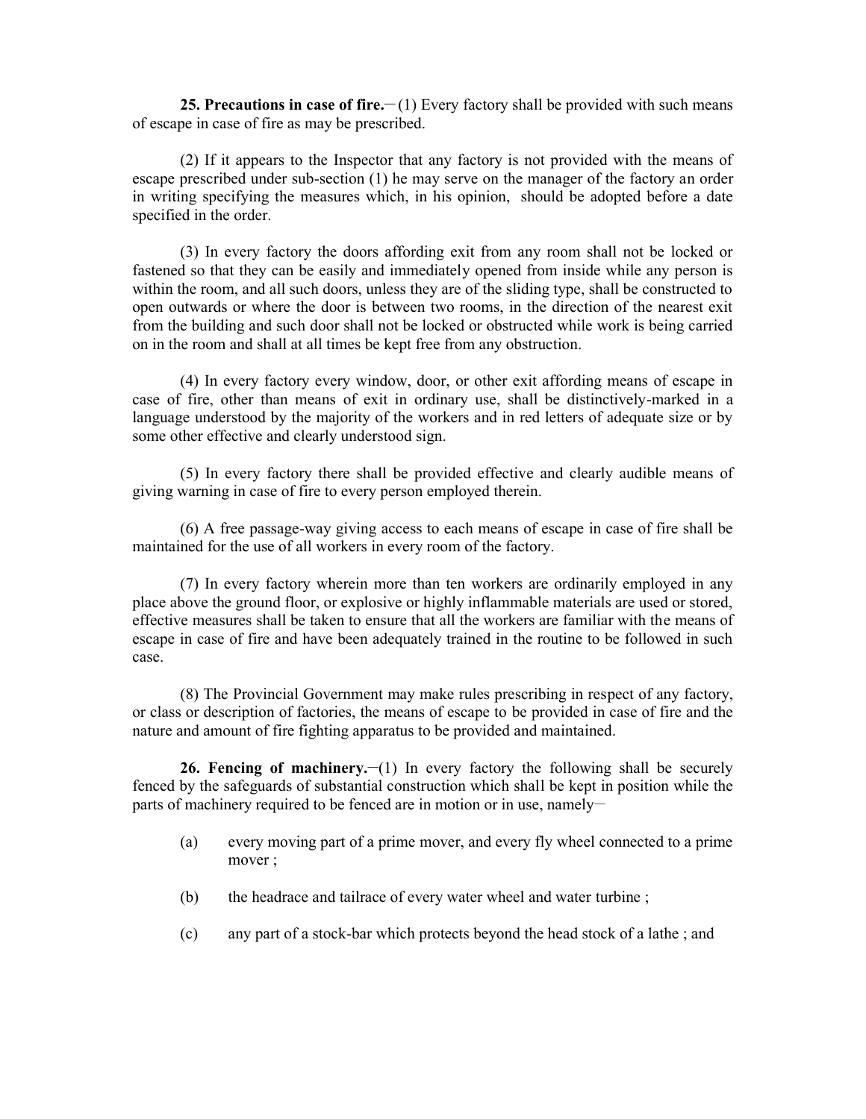**25. Precautions in case of fire.** (1) Every factory shall be provided with such means of escape in case of fire as may be prescribed.

(2) If it appears to the Inspector that any factory is not provided with the means of escape prescribed under sub-section (1) he may serve on the manager of the factory an order in writing specifying the measures which, in his opinion, should be adopted before a date specified in the order.

(3) In every factory the doors affording exit from any room shall not be locked or fastened so that they can be easily and immediately opened from inside while any person is within the room, and all such doors, unless they are of the sliding type, shall be constructed to open outwards or where the door is between two rooms, in the direction of the nearest exit from the building and such door shall not be locked or obstructed while work is being carried on in the room and shall at all times be kept free from any obstruction.

(4) In every factory every window, door, or other exit affording means of escape in case of fire, other than means of exit in ordinary use, shall be distinctively-marked in a language understood by the majority of the workers and in red letters of adequate size or by some other effective and clearly understood sign.

(5) In every factory there shall be provided effective and clearly audible means of giving warning in case of fire to every person employed therein.

(6) A free passage-way giving access to each means of escape in case of fire shall be maintained for the use of all workers in every room of the factory.

(7) In every factory wherein more than ten workers are ordinarily employed in any place above the ground floor, or explosive or highly inflammable materials are used or stored, effective measures shall be taken to ensure that all the workers are familiar with the means of escape in case of fire and have been adequately trained in the routine to be followed in such case.

(8) The Provincial Government may make rules prescribing in respect of any factory, or class or description of factories, the means of escape to be provided in case of fire and the nature and amount of fire fighting apparatus to be provided and maintained.

**26. Fencing of machinery.** (1) In every factory the following shall be securely fenced by the safeguards of substantial construction which shall be kept in position while the parts of machinery required to be fenced are in motion or in use, namely-

- (a) every moving part of a prime mover, and every fly wheel connected to a prime mover ;
- (b) the headrace and tailrace of every water wheel and water turbine ;
- (c) any part of a stock-bar which protects beyond the head stock of a lathe ; and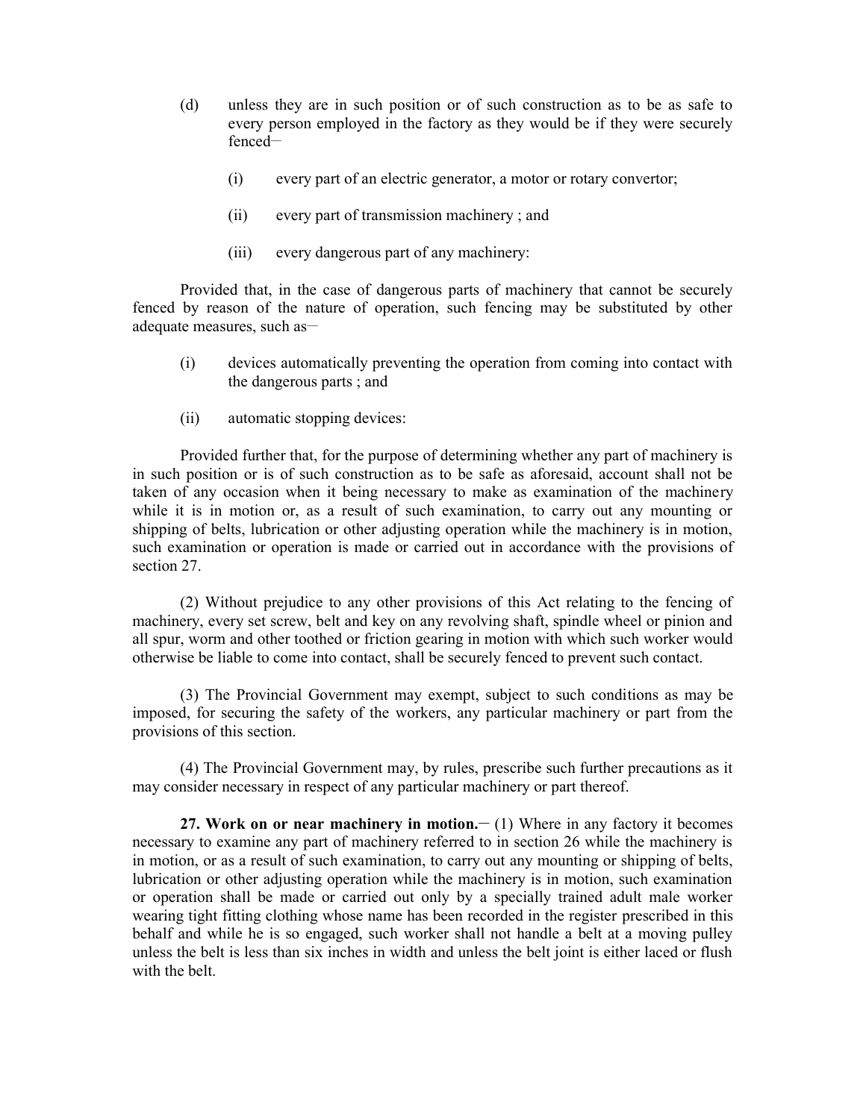- (d) unless they are in such position or of such construction as to be as safe to every person employed in the factory as they would be if they were securely fenced—
	- (i) every part of an electric generator, a motor or rotary convertor;
	- (ii) every part of transmission machinery ; and
	- (iii) every dangerous part of any machinery:

Provided that, in the case of dangerous parts of machinery that cannot be securely fenced by reason of the nature of operation, such fencing may be substituted by other adequate measures, such as-

- (i) devices automatically preventing the operation from coming into contact with the dangerous parts ; and
- (ii) automatic stopping devices:

Provided further that, for the purpose of determining whether any part of machinery is in such position or is of such construction as to be safe as aforesaid, account shall not be taken of any occasion when it being necessary to make as examination of the machinery while it is in motion or, as a result of such examination, to carry out any mounting or shipping of belts, lubrication or other adjusting operation while the machinery is in motion, such examination or operation is made or carried out in accordance with the provisions of section 27.

(2) Without prejudice to any other provisions of this Act relating to the fencing of machinery, every set screw, belt and key on any revolving shaft, spindle wheel or pinion and all spur, worm and other toothed or friction gearing in motion with which such worker would otherwise be liable to come into contact, shall be securely fenced to prevent such contact.

(3) The Provincial Government may exempt, subject to such conditions as may be imposed, for securing the safety of the workers, any particular machinery or part from the provisions of this section.

(4) The Provincial Government may, by rules, prescribe such further precautions as it may consider necessary in respect of any particular machinery or part thereof.

**27. Work on or near machinery in motion.**  $- (1)$  **Where in any factory it becomes** necessary to examine any part of machinery referred to in section 26 while the machinery is in motion, or as a result of such examination, to carry out any mounting or shipping of belts, lubrication or other adjusting operation while the machinery is in motion, such examination or operation shall be made or carried out only by a specially trained adult male worker wearing tight fitting clothing whose name has been recorded in the register prescribed in this behalf and while he is so engaged, such worker shall not handle a belt at a moving pulley unless the belt is less than six inches in width and unless the belt joint is either laced or flush with the belt.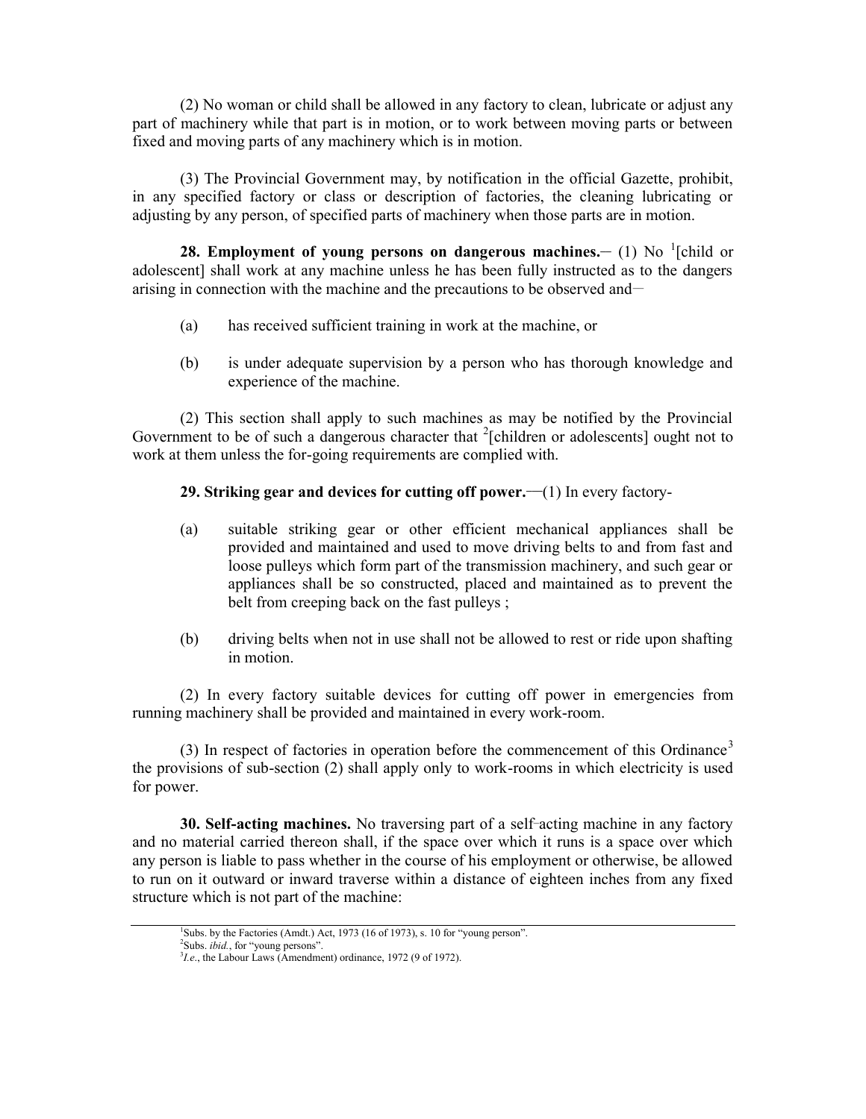(2) No woman or child shall be allowed in any factory to clean, lubricate or adjust any part of machinery while that part is in motion, or to work between moving parts or between fixed and moving parts of any machinery which is in motion.

(3) The Provincial Government may, by notification in the official Gazette, prohibit, in any specified factory or class or description of factories, the cleaning lubricating or adjusting by any person, of specified parts of machinery when those parts are in motion.

**28. Employment of young persons on dangerous machines.**  $\sim$  **(1) No <sup>1</sup>[child or** adolescent] shall work at any machine unless he has been fully instructed as to the dangers arising in connection with the machine and the precautions to be observed and—

- (a) has received sufficient training in work at the machine, or
- (b) is under adequate supervision by a person who has thorough knowledge and experience of the machine.

(2) This section shall apply to such machines as may be notified by the Provincial Government to be of such a dangerous character that  $2$ [children or adolescents] ought not to work at them unless the for-going requirements are complied with.

# **29. Striking gear and devices for cutting off power.—(1) In every factory-**

- (a) suitable striking gear or other efficient mechanical appliances shall be provided and maintained and used to move driving belts to and from fast and loose pulleys which form part of the transmission machinery, and such gear or appliances shall be so constructed, placed and maintained as to prevent the belt from creeping back on the fast pulleys;
- (b) driving belts when not in use shall not be allowed to rest or ride upon shafting in motion.

(2) In every factory suitable devices for cutting off power in emergencies from running machinery shall be provided and maintained in every work-room.

(3) In respect of factories in operation before the commencement of this Ordinance<sup>3</sup> the provisions of sub-section (2) shall apply only to work-rooms in which electricity is used for power.

**30. Self-acting machines.** No traversing part of a self-acting machine in any factory and no material carried thereon shall, if the space over which it runs is a space over which any person is liable to pass whether in the course of his employment or otherwise, be allowed to run on it outward or inward traverse within a distance of eighteen inches from any fixed structure which is not part of the machine:

<sup>&</sup>lt;sup>1</sup>Subs. by the Factories (Amdt.) Act, 1973 (16 of 1973), s. 10 for "young person".<br><sup>2</sup>Subs. *ibid.*, for "young persons".<br><sup>3</sup>*I.e.*, the Labour Laws (Amendment) ordinance, 1972 (9 of 1972).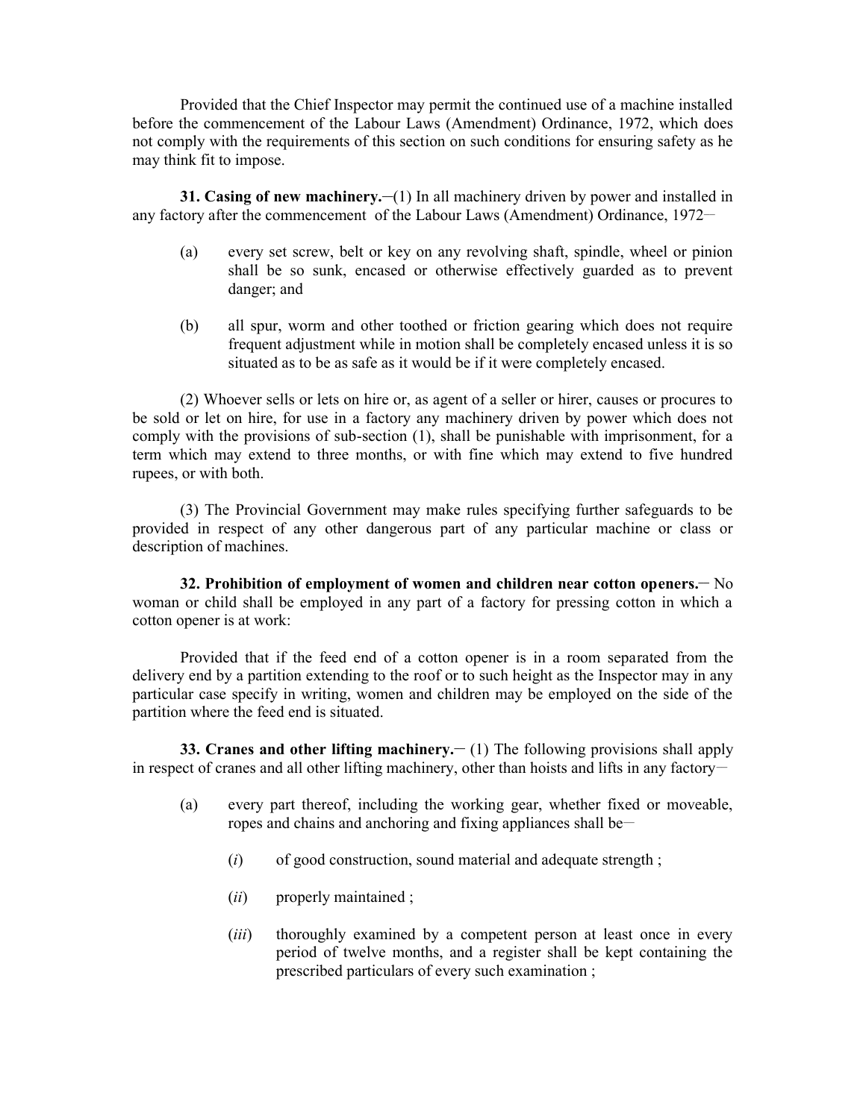Provided that the Chief Inspector may permit the continued use of a machine installed before the commencement of the Labour Laws (Amendment) Ordinance, 1972, which does not comply with the requirements of this section on such conditions for ensuring safety as he may think fit to impose.

**31. Casing of new machinery.** (1) In all machinery driven by power and installed in any factory after the commencement of the Labour Laws (Amendment) Ordinance, 1972–

- (a) every set screw, belt or key on any revolving shaft, spindle, wheel or pinion shall be so sunk, encased or otherwise effectively guarded as to prevent danger; and
- (b) all spur, worm and other toothed or friction gearing which does not require frequent adjustment while in motion shall be completely encased unless it is so situated as to be as safe as it would be if it were completely encased.

(2) Whoever sells or lets on hire or, as agent of a seller or hirer, causes or procures to be sold or let on hire, for use in a factory any machinery driven by power which does not comply with the provisions of sub-section (1), shall be punishable with imprisonment, for a term which may extend to three months, or with fine which may extend to five hundred rupees, or with both.

(3) The Provincial Government may make rules specifying further safeguards to be provided in respect of any other dangerous part of any particular machine or class or description of machines.

**32. Prohibition of employment of women and children near cotton openers.\_\_** No woman or child shall be employed in any part of a factory for pressing cotton in which a cotton opener is at work:

Provided that if the feed end of a cotton opener is in a room separated from the delivery end by a partition extending to the roof or to such height as the Inspector may in any particular case specify in writing, women and children may be employed on the side of the partition where the feed end is situated.

**33. Cranes and other lifting machinery.** (1) The following provisions shall apply in respect of cranes and all other lifting machinery, other than hoists and lifts in any factory-

- (a) every part thereof, including the working gear, whether fixed or moveable, ropes and chains and anchoring and fixing appliances shall be\_\_
	- (*i*) of good construction, sound material and adequate strength ;
	- (*ii*) properly maintained ;
	- (*iii*) thoroughly examined by a competent person at least once in every period of twelve months, and a register shall be kept containing the prescribed particulars of every such examination ;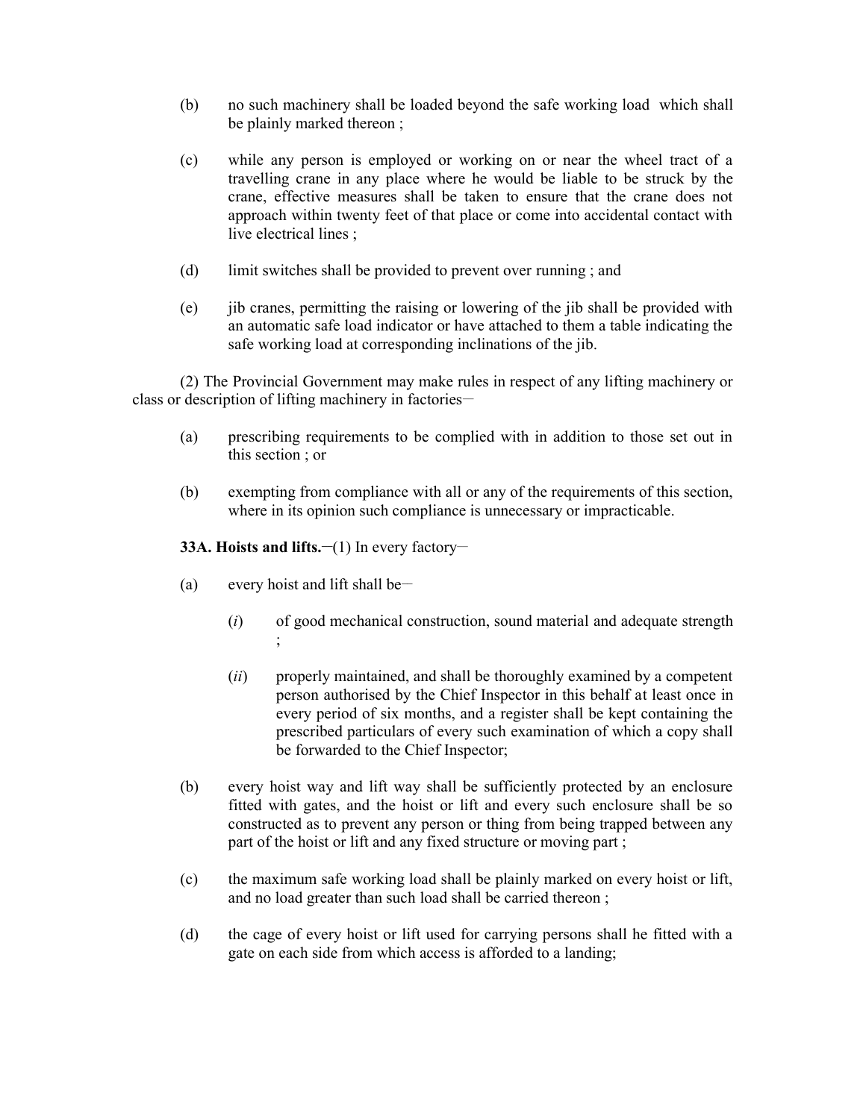- (b) no such machinery shall be loaded beyond the safe working load which shall be plainly marked thereon ;
- (c) while any person is employed or working on or near the wheel tract of a travelling crane in any place where he would be liable to be struck by the crane, effective measures shall be taken to ensure that the crane does not approach within twenty feet of that place or come into accidental contact with live electrical lines ;
- (d) limit switches shall be provided to prevent over running ; and
- (e) jib cranes, permitting the raising or lowering of the jib shall be provided with an automatic safe load indicator or have attached to them a table indicating the safe working load at corresponding inclinations of the jib.

(2) The Provincial Government may make rules in respect of any lifting machinery or class or description of lifting machinery in factories—

- (a) prescribing requirements to be complied with in addition to those set out in this section ; or
- (b) exempting from compliance with all or any of the requirements of this section, where in its opinion such compliance is unnecessary or impracticable.

# **33A. Hoists and lifts.**  $\frac{-(1)}{2}$  **In every factory-**

- (a) every hoist and lift shall be—
	- (*i*) of good mechanical construction, sound material and adequate strength ;
	- (*ii*) properly maintained, and shall be thoroughly examined by a competent person authorised by the Chief Inspector in this behalf at least once in every period of six months, and a register shall be kept containing the prescribed particulars of every such examination of which a copy shall be forwarded to the Chief Inspector;
- (b) every hoist way and lift way shall be sufficiently protected by an enclosure fitted with gates, and the hoist or lift and every such enclosure shall be so constructed as to prevent any person or thing from being trapped between any part of the hoist or lift and any fixed structure or moving part ;
- (c) the maximum safe working load shall be plainly marked on every hoist or lift, and no load greater than such load shall be carried thereon ;
- (d) the cage of every hoist or lift used for carrying persons shall he fitted with a gate on each side from which access is afforded to a landing;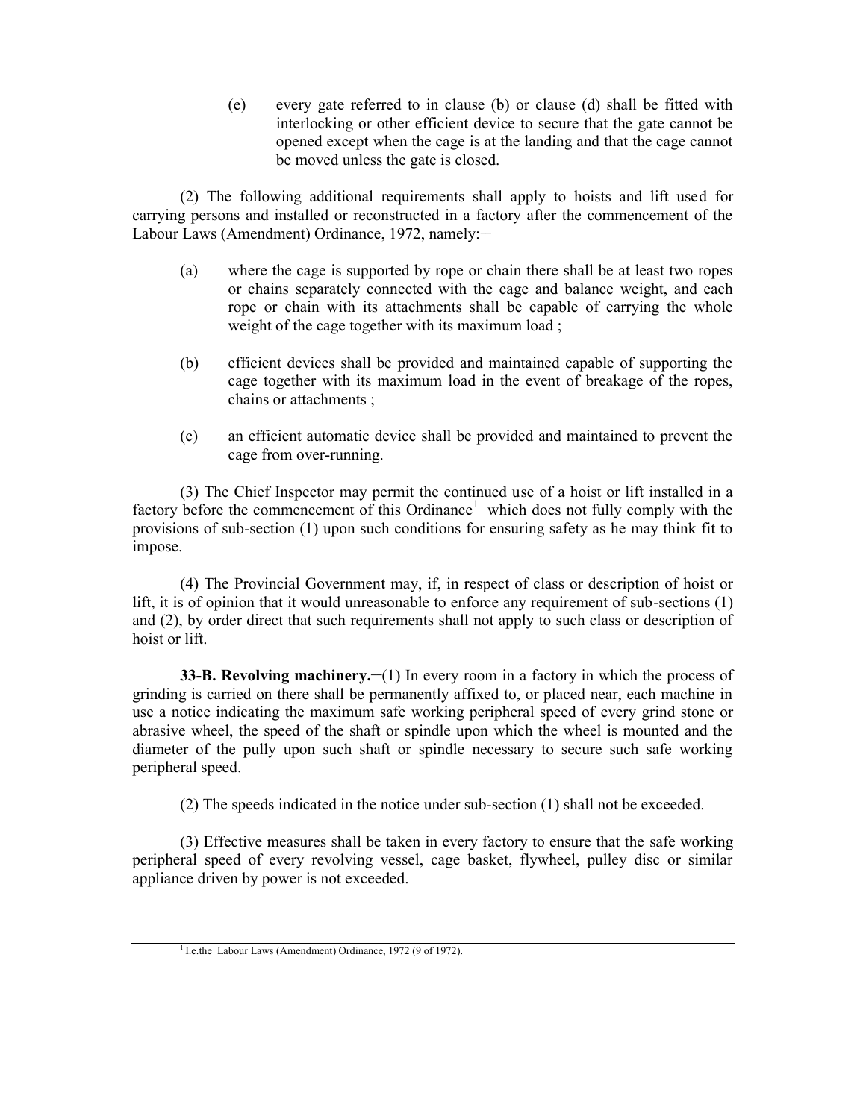(e) every gate referred to in clause (b) or clause (d) shall be fitted with interlocking or other efficient device to secure that the gate cannot be opened except when the cage is at the landing and that the cage cannot be moved unless the gate is closed.

(2) The following additional requirements shall apply to hoists and lift used for carrying persons and installed or reconstructed in a factory after the commencement of the Labour Laws (Amendment) Ordinance, 1972, namely:-

- (a) where the cage is supported by rope or chain there shall be at least two ropes or chains separately connected with the cage and balance weight, and each rope or chain with its attachments shall be capable of carrying the whole weight of the cage together with its maximum load ;
- (b) efficient devices shall be provided and maintained capable of supporting the cage together with its maximum load in the event of breakage of the ropes, chains or attachments ;
- (c) an efficient automatic device shall be provided and maintained to prevent the cage from over-running.

(3) The Chief Inspector may permit the continued use of a hoist or lift installed in a factory before the commencement of this Ordinance<sup>1</sup> which does not fully comply with the provisions of sub-section (1) upon such conditions for ensuring safety as he may think fit to impose.

(4) The Provincial Government may, if, in respect of class or description of hoist or lift, it is of opinion that it would unreasonable to enforce any requirement of sub-sections (1) and (2), by order direct that such requirements shall not apply to such class or description of hoist or lift.

**33-B. Revolving machinery.** (1) In every room in a factory in which the process of grinding is carried on there shall be permanently affixed to, or placed near, each machine in use a notice indicating the maximum safe working peripheral speed of every grind stone or abrasive wheel, the speed of the shaft or spindle upon which the wheel is mounted and the diameter of the pully upon such shaft or spindle necessary to secure such safe working peripheral speed.

(2) The speeds indicated in the notice under sub-section (1) shall not be exceeded.

(3) Effective measures shall be taken in every factory to ensure that the safe working peripheral speed of every revolving vessel, cage basket, flywheel, pulley disc or similar appliance driven by power is not exceeded.

<sup>&</sup>lt;sup>1</sup> I.e.the Labour Laws (Amendment) Ordinance, 1972 (9 of 1972).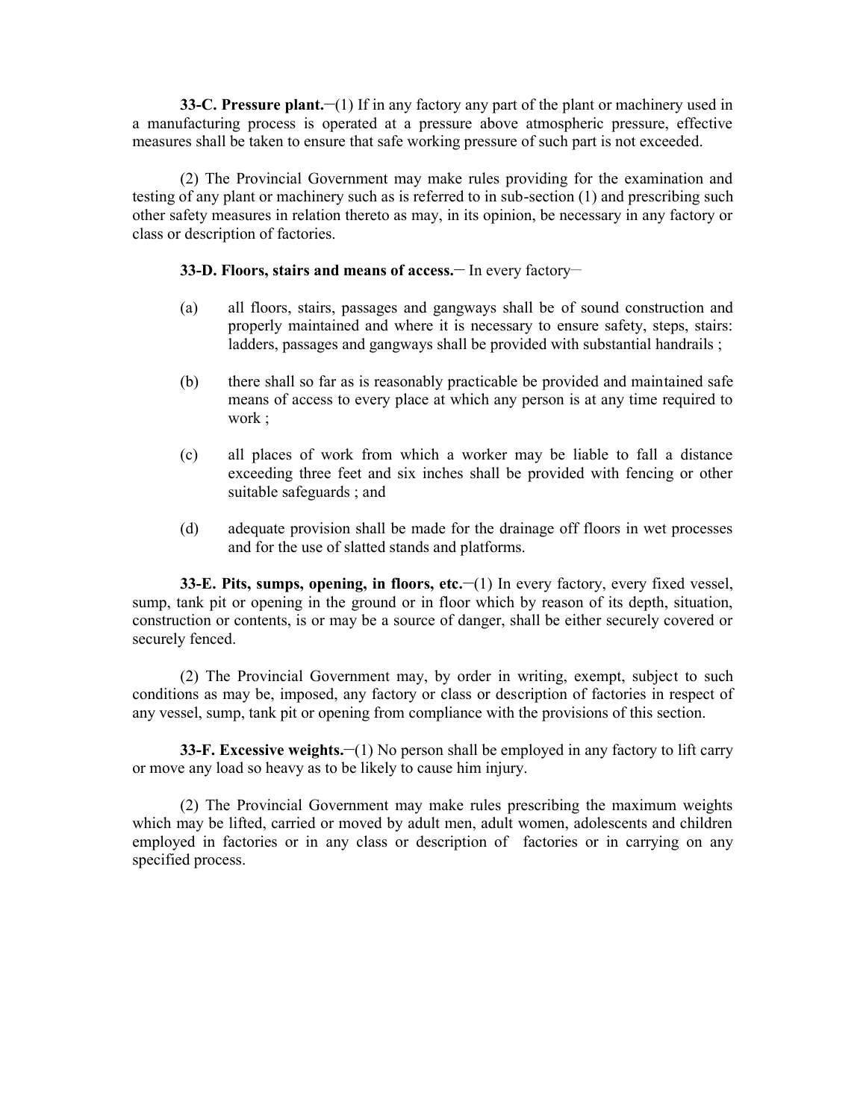**33-C. Pressure plant.** (1) If in any factory any part of the plant or machinery used in a manufacturing process is operated at a pressure above atmospheric pressure, effective measures shall be taken to ensure that safe working pressure of such part is not exceeded.

(2) The Provincial Government may make rules providing for the examination and testing of any plant or machinery such as is referred to in sub-section (1) and prescribing such other safety measures in relation thereto as may, in its opinion, be necessary in any factory or class or description of factories.

# **33-D. Floors, stairs and means of access. In every factory-**

- (a) all floors, stairs, passages and gangways shall be of sound construction and properly maintained and where it is necessary to ensure safety, steps, stairs: ladders, passages and gangways shall be provided with substantial handrails;
- (b) there shall so far as is reasonably practicable be provided and maintained safe means of access to every place at which any person is at any time required to work ;
- (c) all places of work from which a worker may be liable to fall a distance exceeding three feet and six inches shall be provided with fencing or other suitable safeguards ; and
- (d) adequate provision shall be made for the drainage off floors in wet processes and for the use of slatted stands and platforms.

**33-E. Pits, sumps, opening, in floors, etc.—(1)** In every factory, every fixed vessel, sump, tank pit or opening in the ground or in floor which by reason of its depth, situation, construction or contents, is or may be a source of danger, shall be either securely covered or securely fenced.

(2) The Provincial Government may, by order in writing, exempt, subject to such conditions as may be, imposed, any factory or class or description of factories in respect of any vessel, sump, tank pit or opening from compliance with the provisions of this section.

**33-F. Excessive weights.—(1) No person shall be employed in any factory to lift carry** or move any load so heavy as to be likely to cause him injury.

(2) The Provincial Government may make rules prescribing the maximum weights which may be lifted, carried or moved by adult men, adult women, adolescents and children employed in factories or in any class or description of factories or in carrying on any specified process.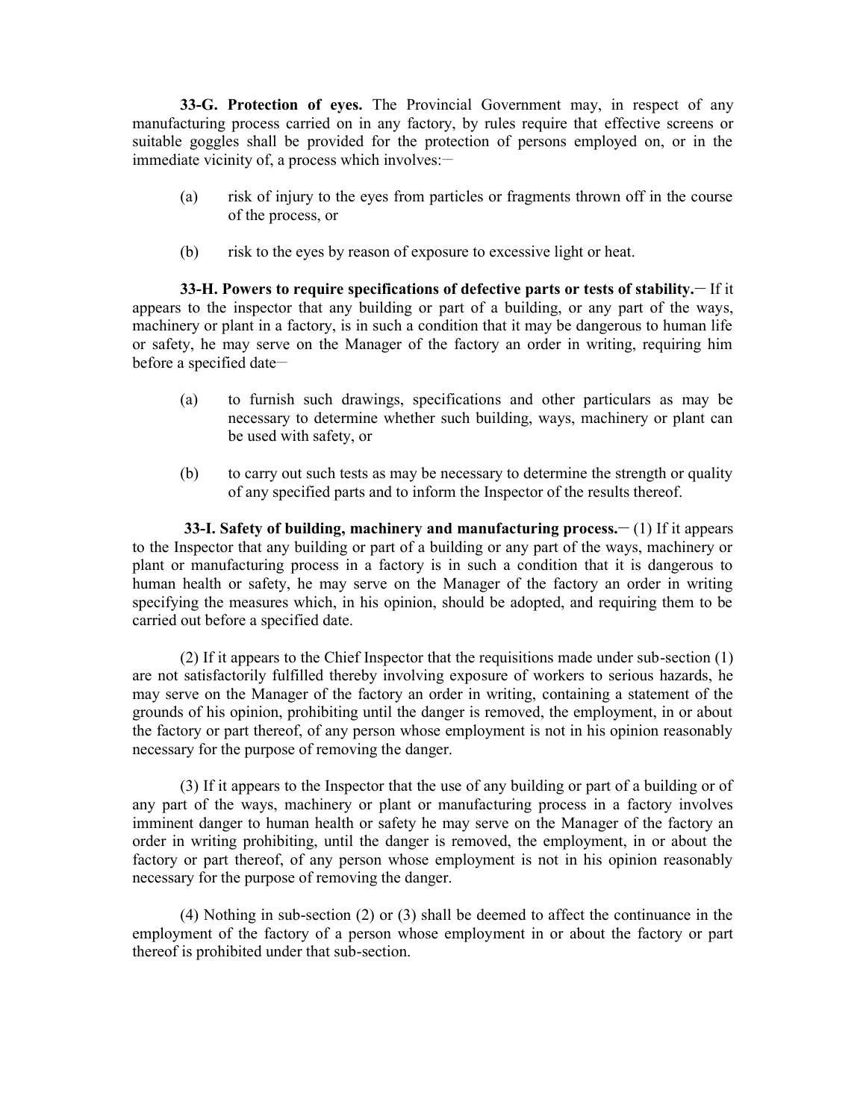**33-G. Protection of eyes.** The Provincial Government may, in respect of any manufacturing process carried on in any factory, by rules require that effective screens or suitable goggles shall be provided for the protection of persons employed on, or in the immediate vicinity of, a process which involves: $-$ 

- (a) risk of injury to the eyes from particles or fragments thrown off in the course of the process, or
- (b) risk to the eyes by reason of exposure to excessive light or heat.

**33-H. Powers to require specifications of defective parts or tests of stability.\_\_** If it appears to the inspector that any building or part of a building, or any part of the ways, machinery or plant in a factory, is in such a condition that it may be dangerous to human life or safety, he may serve on the Manager of the factory an order in writing, requiring him before a specified date-

- (a) to furnish such drawings, specifications and other particulars as may be necessary to determine whether such building, ways, machinery or plant can be used with safety, or
- (b) to carry out such tests as may be necessary to determine the strength or quality of any specified parts and to inform the Inspector of the results thereof.

**33-I. Safety of building, machinery and manufacturing process.**  $- (1)$  **If it appears** to the Inspector that any building or part of a building or any part of the ways, machinery or plant or manufacturing process in a factory is in such a condition that it is dangerous to human health or safety, he may serve on the Manager of the factory an order in writing specifying the measures which, in his opinion, should be adopted, and requiring them to be carried out before a specified date.

(2) If it appears to the Chief Inspector that the requisitions made under sub-section (1) are not satisfactorily fulfilled thereby involving exposure of workers to serious hazards, he may serve on the Manager of the factory an order in writing, containing a statement of the grounds of his opinion, prohibiting until the danger is removed, the employment, in or about the factory or part thereof, of any person whose employment is not in his opinion reasonably necessary for the purpose of removing the danger.

(3) If it appears to the Inspector that the use of any building or part of a building or of any part of the ways, machinery or plant or manufacturing process in a factory involves imminent danger to human health or safety he may serve on the Manager of the factory an order in writing prohibiting, until the danger is removed, the employment, in or about the factory or part thereof, of any person whose employment is not in his opinion reasonably necessary for the purpose of removing the danger.

(4) Nothing in sub-section (2) or (3) shall be deemed to affect the continuance in the employment of the factory of a person whose employment in or about the factory or part thereof is prohibited under that sub-section.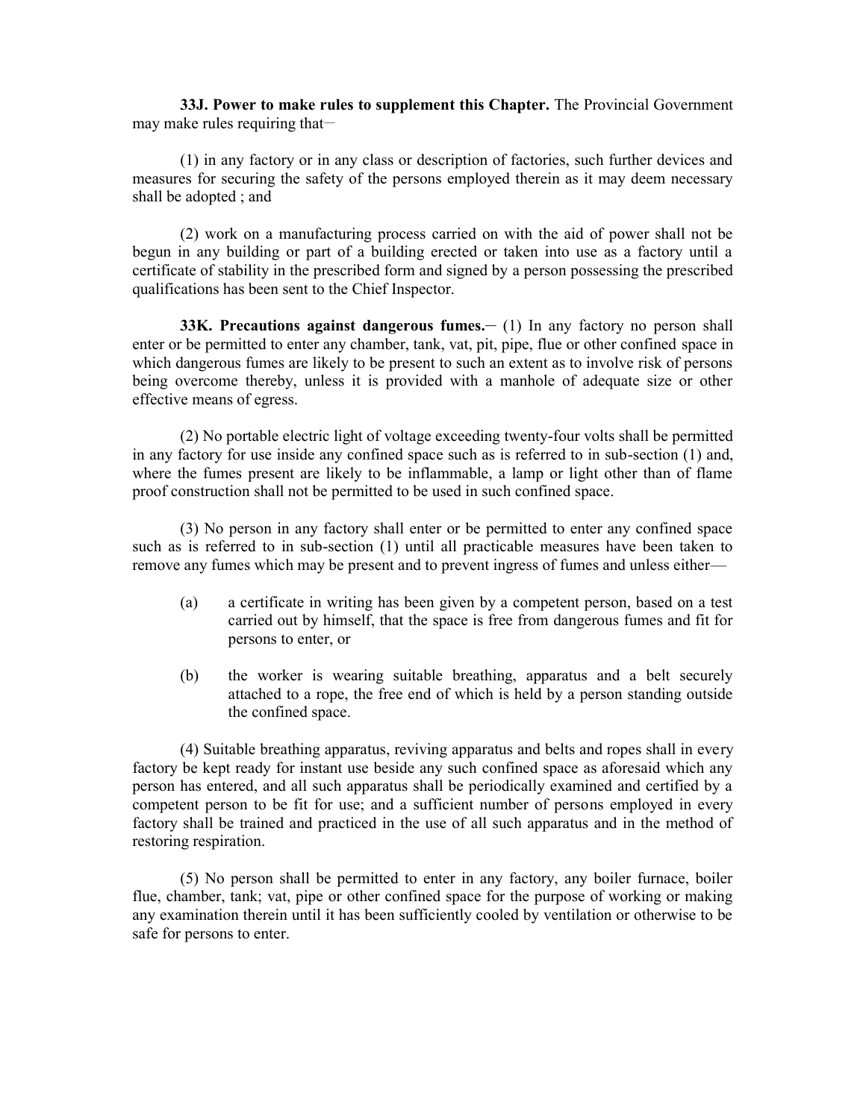**33J. Power to make rules to supplement this Chapter.** The Provincial Government may make rules requiring that—

(1) in any factory or in any class or description of factories, such further devices and measures for securing the safety of the persons employed therein as it may deem necessary shall be adopted ; and

(2) work on a manufacturing process carried on with the aid of power shall not be begun in any building or part of a building erected or taken into use as a factory until a certificate of stability in the prescribed form and signed by a person possessing the prescribed qualifications has been sent to the Chief Inspector.

**33K. Precautions against dangerous fumes. (1) In any factory no person shall** enter or be permitted to enter any chamber, tank, vat, pit, pipe, flue or other confined space in which dangerous fumes are likely to be present to such an extent as to involve risk of persons being overcome thereby, unless it is provided with a manhole of adequate size or other effective means of egress.

(2) No portable electric light of voltage exceeding twenty-four volts shall be permitted in any factory for use inside any confined space such as is referred to in sub-section (1) and, where the fumes present are likely to be inflammable, a lamp or light other than of flame proof construction shall not be permitted to be used in such confined space.

(3) No person in any factory shall enter or be permitted to enter any confined space such as is referred to in sub-section (1) until all practicable measures have been taken to remove any fumes which may be present and to prevent ingress of fumes and unless either—

- (a) a certificate in writing has been given by a competent person, based on a test carried out by himself, that the space is free from dangerous fumes and fit for persons to enter, or
- (b) the worker is wearing suitable breathing, apparatus and a belt securely attached to a rope, the free end of which is held by a person standing outside the confined space.

(4) Suitable breathing apparatus, reviving apparatus and belts and ropes shall in every factory be kept ready for instant use beside any such confined space as aforesaid which any person has entered, and all such apparatus shall be periodically examined and certified by a competent person to be fit for use; and a sufficient number of persons employed in every factory shall be trained and practiced in the use of all such apparatus and in the method of restoring respiration.

(5) No person shall be permitted to enter in any factory, any boiler furnace, boiler flue, chamber, tank; vat, pipe or other confined space for the purpose of working or making any examination therein until it has been sufficiently cooled by ventilation or otherwise to be safe for persons to enter.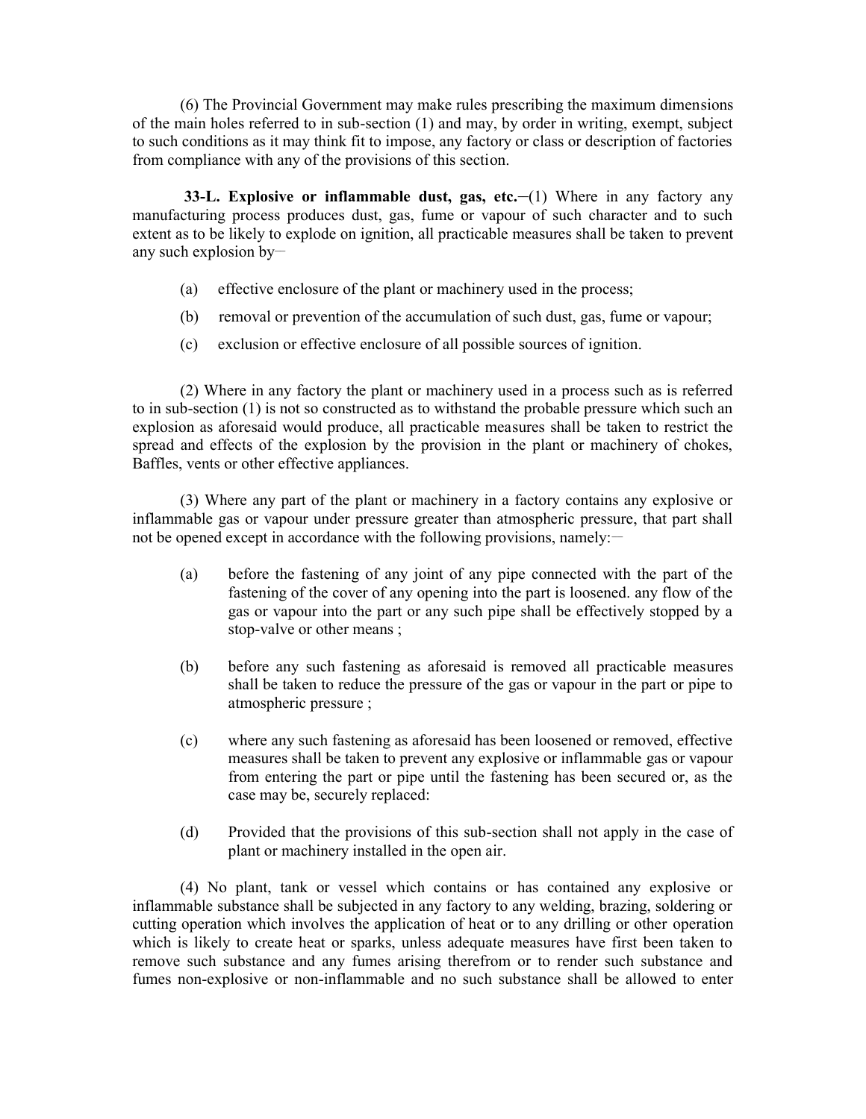(6) The Provincial Government may make rules prescribing the maximum dimensions of the main holes referred to in sub-section (1) and may, by order in writing, exempt, subject to such conditions as it may think fit to impose, any factory or class or description of factories from compliance with any of the provisions of this section.

**33-L. Explosive or inflammable dust, gas, etc.—(1)** Where in any factory any manufacturing process produces dust, gas, fume or vapour of such character and to such extent as to be likely to explode on ignition, all practicable measures shall be taken to prevent any such explosion by-

- (a) effective enclosure of the plant or machinery used in the process;
- (b) removal or prevention of the accumulation of such dust, gas, fume or vapour;
- (c) exclusion or effective enclosure of all possible sources of ignition.

(2) Where in any factory the plant or machinery used in a process such as is referred to in sub-section (1) is not so constructed as to withstand the probable pressure which such an explosion as aforesaid would produce, all practicable measures shall be taken to restrict the spread and effects of the explosion by the provision in the plant or machinery of chokes, Baffles, vents or other effective appliances.

(3) Where any part of the plant or machinery in a factory contains any explosive or inflammable gas or vapour under pressure greater than atmospheric pressure, that part shall not be opened except in accordance with the following provisions, namely:

- (a) before the fastening of any joint of any pipe connected with the part of the fastening of the cover of any opening into the part is loosened. any flow of the gas or vapour into the part or any such pipe shall be effectively stopped by a stop-valve or other means ;
- (b) before any such fastening as aforesaid is removed all practicable measures shall be taken to reduce the pressure of the gas or vapour in the part or pipe to atmospheric pressure ;
- (c) where any such fastening as aforesaid has been loosened or removed, effective measures shall be taken to prevent any explosive or inflammable gas or vapour from entering the part or pipe until the fastening has been secured or, as the case may be, securely replaced:
- (d) Provided that the provisions of this sub-section shall not apply in the case of plant or machinery installed in the open air.

(4) No plant, tank or vessel which contains or has contained any explosive or inflammable substance shall be subjected in any factory to any welding, brazing, soldering or cutting operation which involves the application of heat or to any drilling or other operation which is likely to create heat or sparks, unless adequate measures have first been taken to remove such substance and any fumes arising therefrom or to render such substance and fumes non-explosive or non-inflammable and no such substance shall be allowed to enter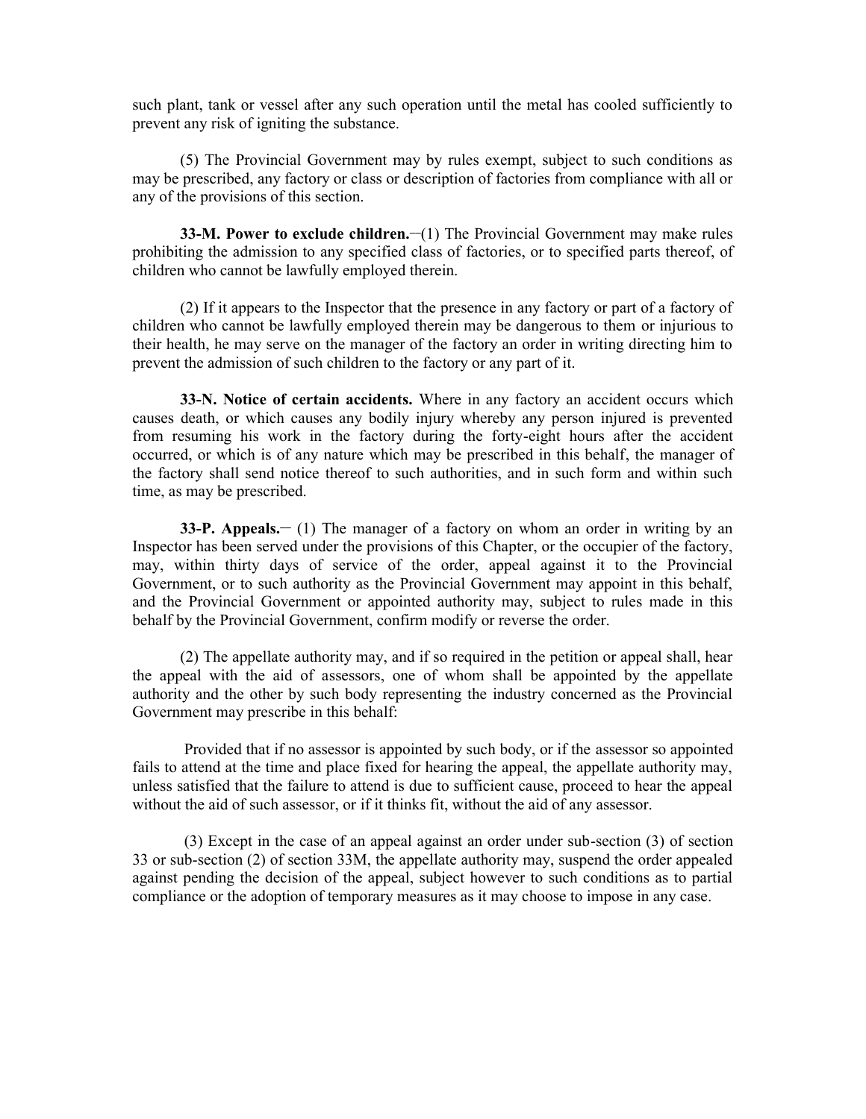such plant, tank or vessel after any such operation until the metal has cooled sufficiently to prevent any risk of igniting the substance.

(5) The Provincial Government may by rules exempt, subject to such conditions as may be prescribed, any factory or class or description of factories from compliance with all or any of the provisions of this section.

**33-M. Power to exclude children.** (1) The Provincial Government may make rules prohibiting the admission to any specified class of factories, or to specified parts thereof, of children who cannot be lawfully employed therein.

(2) If it appears to the Inspector that the presence in any factory or part of a factory of children who cannot be lawfully employed therein may be dangerous to them or injurious to their health, he may serve on the manager of the factory an order in writing directing him to prevent the admission of such children to the factory or any part of it.

**33-N. Notice of certain accidents.** Where in any factory an accident occurs which causes death, or which causes any bodily injury whereby any person injured is prevented from resuming his work in the factory during the forty-eight hours after the accident occurred, or which is of any nature which may be prescribed in this behalf, the manager of the factory shall send notice thereof to such authorities, and in such form and within such time, as may be prescribed.

**33-P. Appeals.\_\_** (1) The manager of a factory on whom an order in writing by an Inspector has been served under the provisions of this Chapter, or the occupier of the factory, may, within thirty days of service of the order, appeal against it to the Provincial Government, or to such authority as the Provincial Government may appoint in this behalf, and the Provincial Government or appointed authority may, subject to rules made in this behalf by the Provincial Government, confirm modify or reverse the order.

(2) The appellate authority may, and if so required in the petition or appeal shall, hear the appeal with the aid of assessors, one of whom shall be appointed by the appellate authority and the other by such body representing the industry concerned as the Provincial Government may prescribe in this behalf:

 Provided that if no assessor is appointed by such body, or if the assessor so appointed fails to attend at the time and place fixed for hearing the appeal, the appellate authority may, unless satisfied that the failure to attend is due to sufficient cause, proceed to hear the appeal without the aid of such assessor, or if it thinks fit, without the aid of any assessor.

(3) Except in the case of an appeal against an order under sub-section (3) of section 33 or sub-section (2) of section 33M, the appellate authority may, suspend the order appealed against pending the decision of the appeal, subject however to such conditions as to partial compliance or the adoption of temporary measures as it may choose to impose in any case.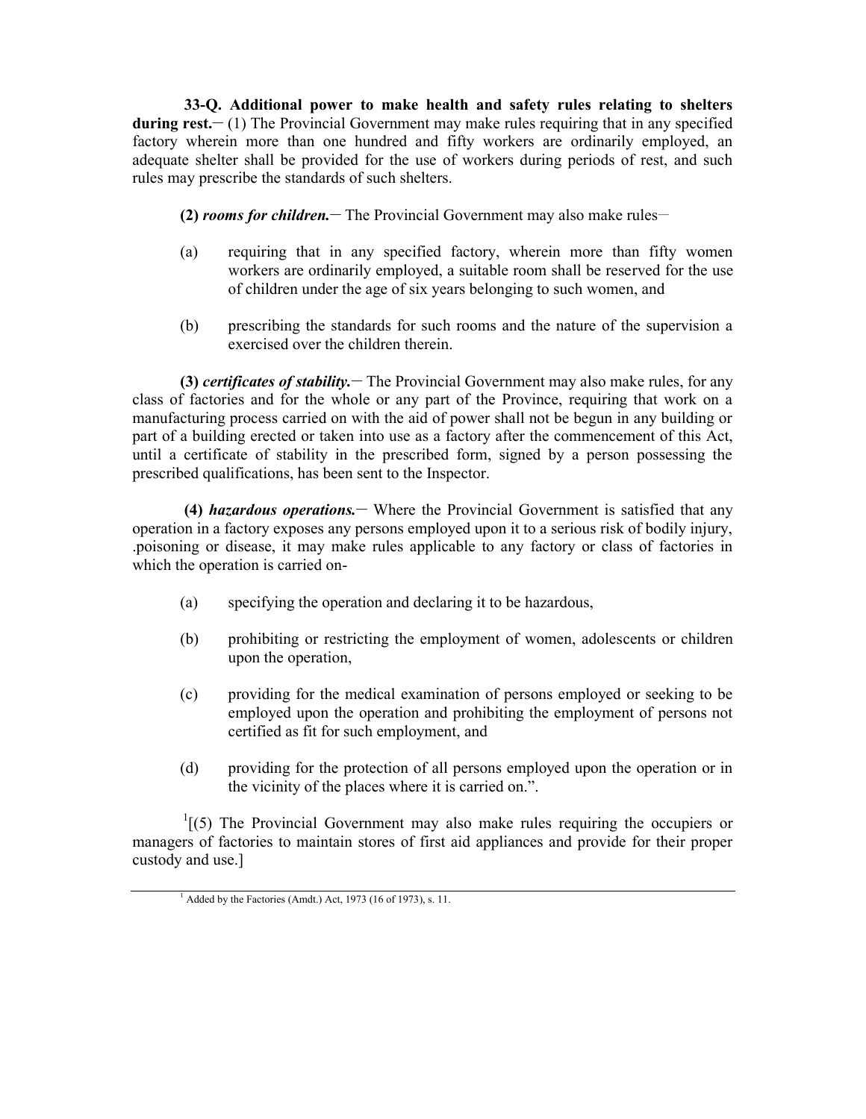**33-Q. Additional power to make health and safety rules relating to shelters during rest.\_\_** (1) The Provincial Government may make rules requiring that in any specified factory wherein more than one hundred and fifty workers are ordinarily employed, an adequate shelter shall be provided for the use of workers during periods of rest, and such rules may prescribe the standards of such shelters.

**(2)** *rooms for children.* The Provincial Government may also make rules—

- (a) requiring that in any specified factory, wherein more than fifty women workers are ordinarily employed, a suitable room shall be reserved for the use of children under the age of six years belonging to such women, and
- (b) prescribing the standards for such rooms and the nature of the supervision a exercised over the children therein.

**(3)** *certificates of stability*. The Provincial Government may also make rules, for any class of factories and for the whole or any part of the Province, requiring that work on a manufacturing process carried on with the aid of power shall not be begun in any building or part of a building erected or taken into use as a factory after the commencement of this Act, until a certificate of stability in the prescribed form, signed by a person possessing the prescribed qualifications, has been sent to the Inspector.

**(4)** *hazardous operations.***\_\_** Where the Provincial Government is satisfied that any operation in a factory exposes any persons employed upon it to a serious risk of bodily injury, .poisoning or disease, it may make rules applicable to any factory or class of factories in which the operation is carried on-

- (a) specifying the operation and declaring it to be hazardous,
- (b) prohibiting or restricting the employment of women, adolescents or children upon the operation,
- (c) providing for the medical examination of persons employed or seeking to be employed upon the operation and prohibiting the employment of persons not certified as fit for such employment, and
- (d) providing for the protection of all persons employed upon the operation or in the vicinity of the places where it is carried on.".

 $\frac{1}{1}$ [(5) The Provincial Government may also make rules requiring the occupiers or managers of factories to maintain stores of first aid appliances and provide for their proper custody and use.]

 $<sup>1</sup>$  Added by the Factories (Amdt.) Act, 1973 (16 of 1973), s. 11.</sup>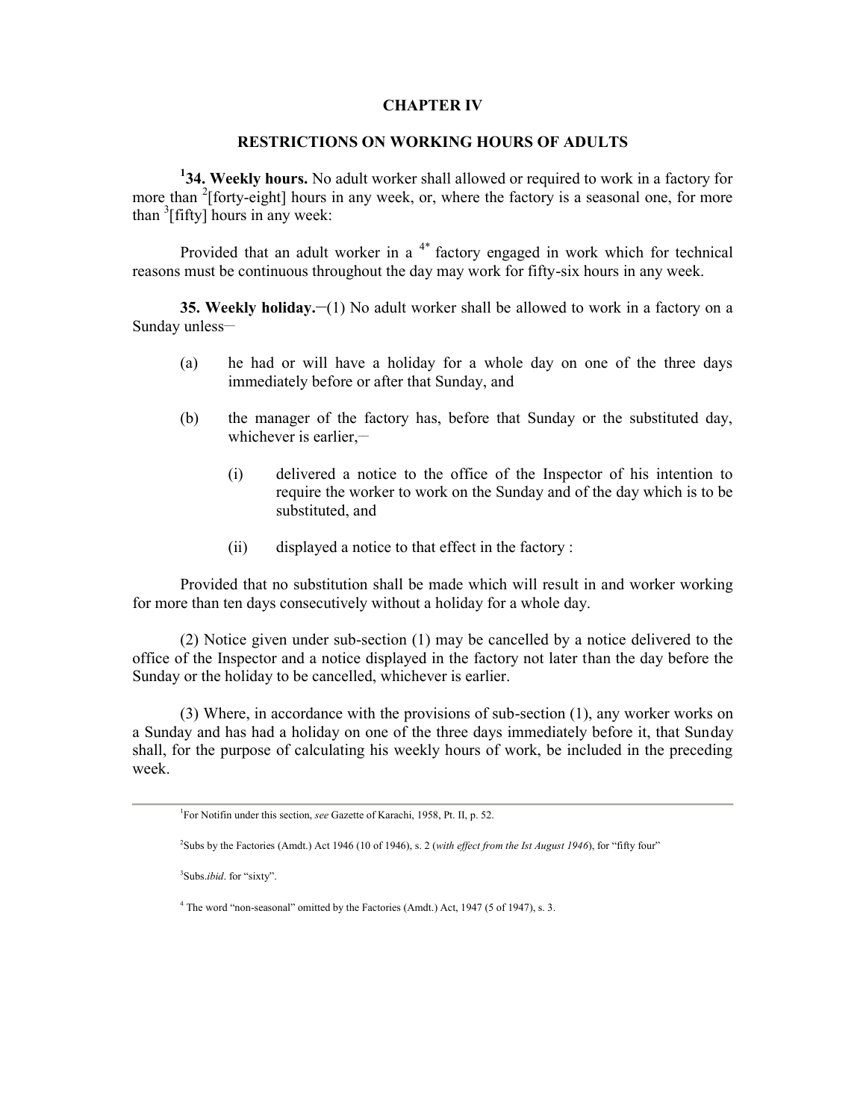## **CHAPTER IV**

### **RESTRICTIONS ON WORKING HOURS OF ADULTS**

**<sup>1</sup>34. Weekly hours.** No adult worker shall allowed or required to work in a factory for more than <sup>2</sup>[forty-eight] hours in any week, or, where the factory is a seasonal one, for more than <sup>3</sup> [fifty] hours in any week:

Provided that an adult worker in a  $4*$  factory engaged in work which for technical reasons must be continuous throughout the day may work for fifty-six hours in any week.

**35. Weekly holiday.** (1) No adult worker shall be allowed to work in a factory on a Sunday unless-

- (a) he had or will have a holiday for a whole day on one of the three days immediately before or after that Sunday, and
- (b) the manager of the factory has, before that Sunday or the substituted day, whichever is earlier, $-$ 
	- (i) delivered a notice to the office of the Inspector of his intention to require the worker to work on the Sunday and of the day which is to be substituted, and
	- (ii) displayed a notice to that effect in the factory :

Provided that no substitution shall be made which will result in and worker working for more than ten days consecutively without a holiday for a whole day.

(2) Notice given under sub-section (1) may be cancelled by a notice delivered to the office of the Inspector and a notice displayed in the factory not later than the day before the Sunday or the holiday to be cancelled, whichever is earlier.

(3) Where, in accordance with the provisions of sub-section (1), any worker works on a Sunday and has had a holiday on one of the three days immediately before it, that Sunday shall, for the purpose of calculating his weekly hours of work, be included in the preceding week.

<sup>3</sup>Subs.*ibid*. for "sixty".

<sup>1</sup>For Notifin under this section, *see* Gazette of Karachi, 1958, Pt. II, p. 52.

<sup>2</sup>Subs by the Factories (Amdt.) Act 1946 (10 of 1946), s. 2 (*with effect from the Ist August 1946*), for "fifty four"

<sup>&</sup>lt;sup>4</sup> The word "non-seasonal" omitted by the Factories (Amdt.) Act, 1947 (5 of 1947), s. 3.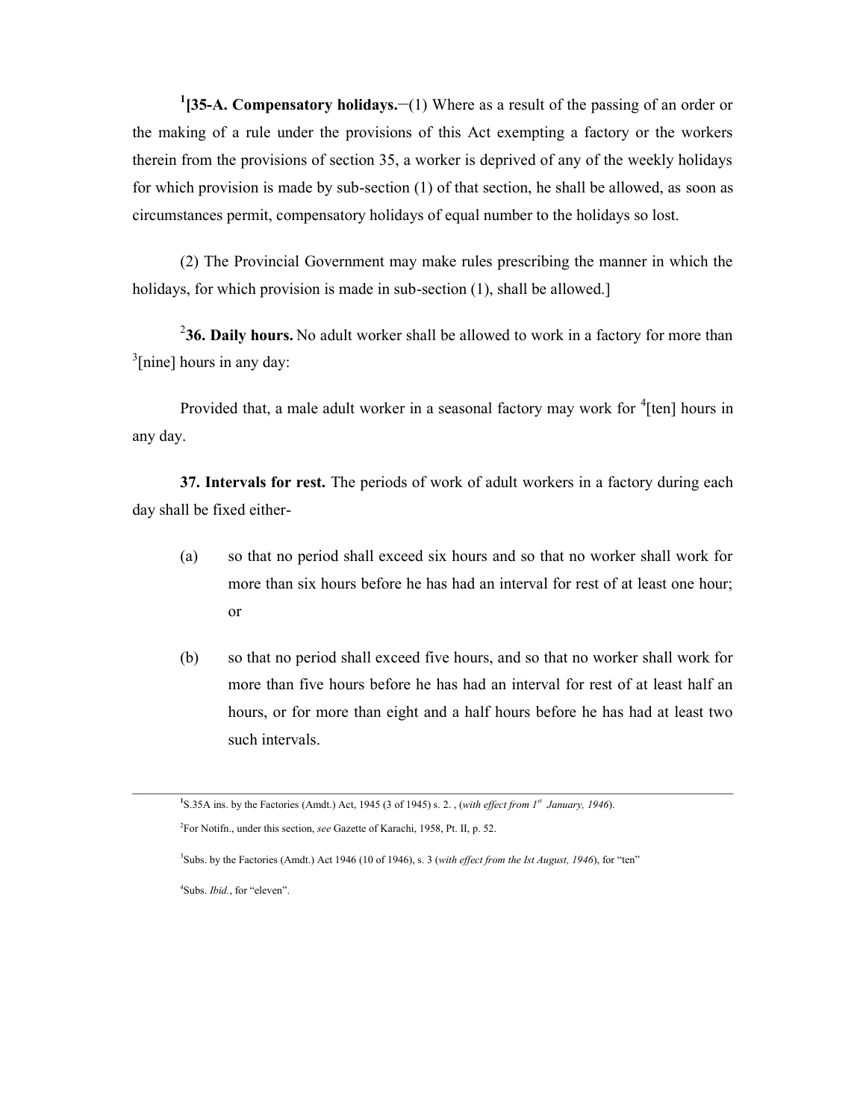<sup>1</sup>[35-A. Compensatory holidays.—(1) Where as a result of the passing of an order or the making of a rule under the provisions of this Act exempting a factory or the workers therein from the provisions of section 35, a worker is deprived of any of the weekly holidays for which provision is made by sub-section (1) of that section, he shall be allowed, as soon as circumstances permit, compensatory holidays of equal number to the holidays so lost.

(2) The Provincial Government may make rules prescribing the manner in which the holidays, for which provision is made in sub-section (1), shall be allowed.]

<sup>2</sup>36. Daily hours. No adult worker shall be allowed to work in a factory for more than <sup>3</sup>[nine] hours in any day:

Provided that, a male adult worker in a seasonal factory may work for <sup>4</sup>[ten] hours in any day.

**37. Intervals for rest.** The periods of work of adult workers in a factory during each day shall be fixed either-

- (a) so that no period shall exceed six hours and so that no worker shall work for more than six hours before he has had an interval for rest of at least one hour; or
- (b) so that no period shall exceed five hours, and so that no worker shall work for more than five hours before he has had an interval for rest of at least half an hours, or for more than eight and a half hours before he has had at least two such intervals.

**<sup>1</sup>**S.35A ins. by the Factories (Amdt.) Act, 1945 (3 of 1945) s. 2. , (*with effect from 1st January, 1946*). <sup>2</sup>For Notifn., under this section, *see* Gazette of Karachi, 1958, Pt. II, p. 52.

<sup>3</sup>Subs. by the Factories (Amdt.) Act 1946 (10 of 1946), s. 3 (*with effect from the Ist August, 1946*), for "ten"

<sup>4</sup>Subs. *Ibid.*, for "eleven".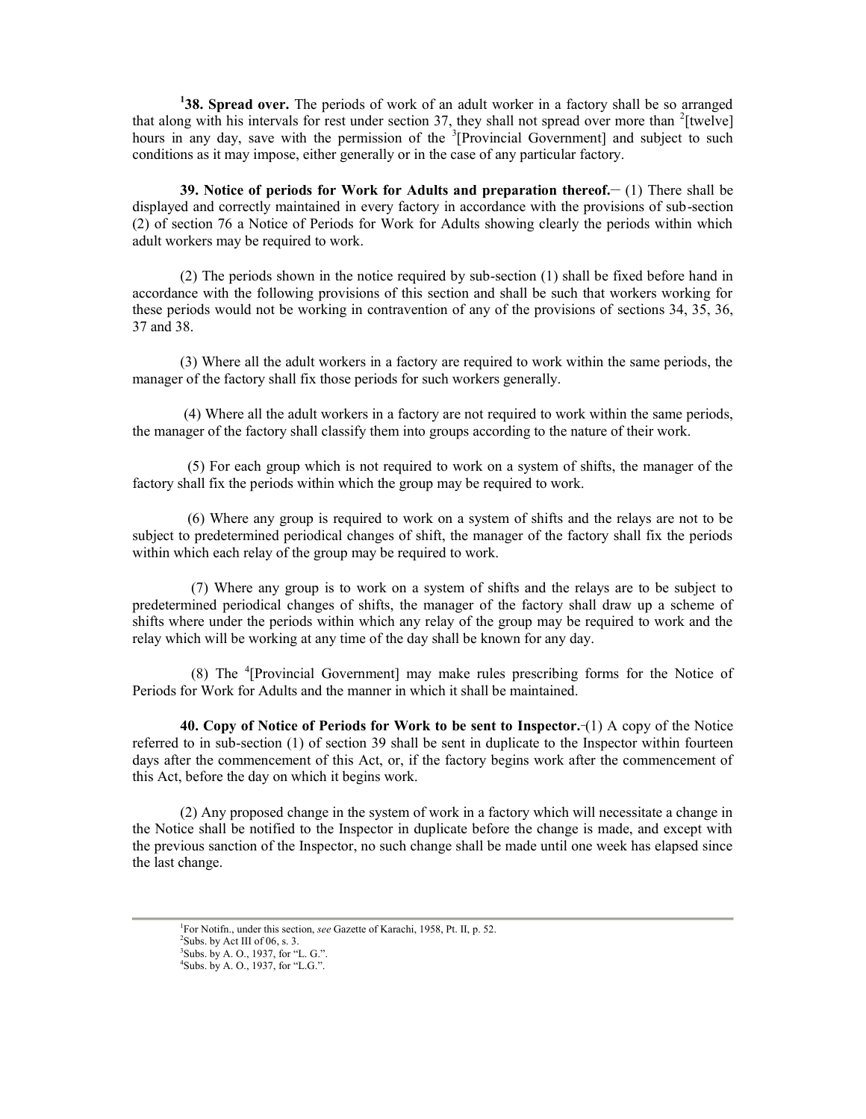**<sup>1</sup>38. Spread over.** The periods of work of an adult worker in a factory shall be so arranged that along with his intervals for rest under section 37, they shall not spread over more than  $2$ [twelve] hours in any day, save with the permission of the  ${}^{3}$ [Provincial Government] and subject to such conditions as it may impose, either generally or in the case of any particular factory.

**39. Notice of periods for Work for Adults and preparation thereof.\_\_** (1) There shall be displayed and correctly maintained in every factory in accordance with the provisions of sub-section (2) of section 76 a Notice of Periods for Work for Adults showing clearly the periods within which adult workers may be required to work.

(2) The periods shown in the notice required by sub-section (1) shall be fixed before hand in accordance with the following provisions of this section and shall be such that workers working for these periods would not be working in contravention of any of the provisions of sections 34, 35, 36, 37 and 38.

(3) Where all the adult workers in a factory are required to work within the same periods, the manager of the factory shall fix those periods for such workers generally.

(4) Where all the adult workers in a factory are not required to work within the same periods, the manager of the factory shall classify them into groups according to the nature of their work.

(5) For each group which is not required to work on a system of shifts, the manager of the factory shall fix the periods within which the group may be required to work.

(6) Where any group is required to work on a system of shifts and the relays are not to be subject to predetermined periodical changes of shift, the manager of the factory shall fix the periods within which each relay of the group may be required to work.

(7) Where any group is to work on a system of shifts and the relays are to be subject to predetermined periodical changes of shifts, the manager of the factory shall draw up a scheme of shifts where under the periods within which any relay of the group may be required to work and the relay which will be working at any time of the day shall be known for any day.

(8) The <sup>4</sup>[Provincial Government] may make rules prescribing forms for the Notice of Periods for Work for Adults and the manner in which it shall be maintained.

**40. Copy of Notice of Periods for Work to be sent to Inspector.\_**(1) A copy of the Notice referred to in sub-section (1) of section 39 shall be sent in duplicate to the Inspector within fourteen days after the commencement of this Act, or, if the factory begins work after the commencement of this Act, before the day on which it begins work.

(2) Any proposed change in the system of work in a factory which will necessitate a change in the Notice shall be notified to the Inspector in duplicate before the change is made, and except with the previous sanction of the Inspector, no such change shall be made until one week has elapsed since the last change.

<sup>1</sup>For Notifn., under this section, *see* Gazette of Karachi, 1958, Pt. II, p. 52.  $2$ Subs. by Act III of 06, s. 3.  $3$ Subs. by A. O., 1937, for "L. G.".<br> $4$ Subs. by A. O., 1937, for "L.G.".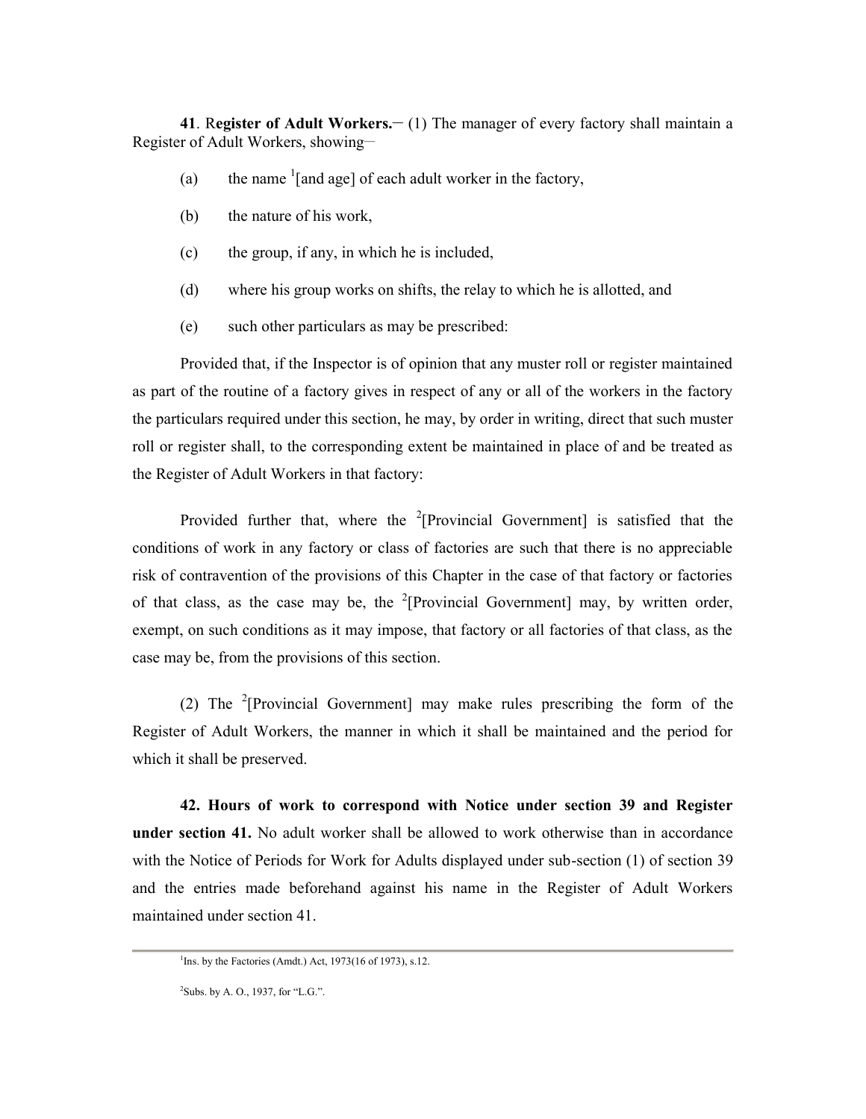**41**. R**egister of Adult Workers.\_\_** (1) The manager of every factory shall maintain a Register of Adult Workers, showing-

- (a) the name  $\frac{1}{2}$  the name  $\frac{1}{2}$  of each adult worker in the factory,
- (b) the nature of his work,
- (c) the group, if any, in which he is included,
- (d) where his group works on shifts, the relay to which he is allotted, and
- (e) such other particulars as may be prescribed:

Provided that, if the Inspector is of opinion that any muster roll or register maintained as part of the routine of a factory gives in respect of any or all of the workers in the factory the particulars required under this section, he may, by order in writing, direct that such muster roll or register shall, to the corresponding extent be maintained in place of and be treated as the Register of Adult Workers in that factory:

Provided further that, where the  $2$ <sup>2</sup>[Provincial Government] is satisfied that the conditions of work in any factory or class of factories are such that there is no appreciable risk of contravention of the provisions of this Chapter in the case of that factory or factories of that class, as the case may be, the  $2$ [Provincial Government] may, by written order, exempt, on such conditions as it may impose, that factory or all factories of that class, as the case may be, from the provisions of this section.

(2) The <sup>2</sup>[Provincial Government] may make rules prescribing the form of the Register of Adult Workers, the manner in which it shall be maintained and the period for which it shall be preserved.

**42. Hours of work to correspond with Notice under section 39 and Register under section 41.** No adult worker shall be allowed to work otherwise than in accordance with the Notice of Periods for Work for Adults displayed under sub-section (1) of section 39 and the entries made beforehand against his name in the Register of Adult Workers maintained under section 41.

<sup>&</sup>lt;sup>1</sup>Ins. by the Factories (Amdt.) Act, 1973(16 of 1973), s.12.

 $2$ Subs. by A. O., 1937, for "L.G.".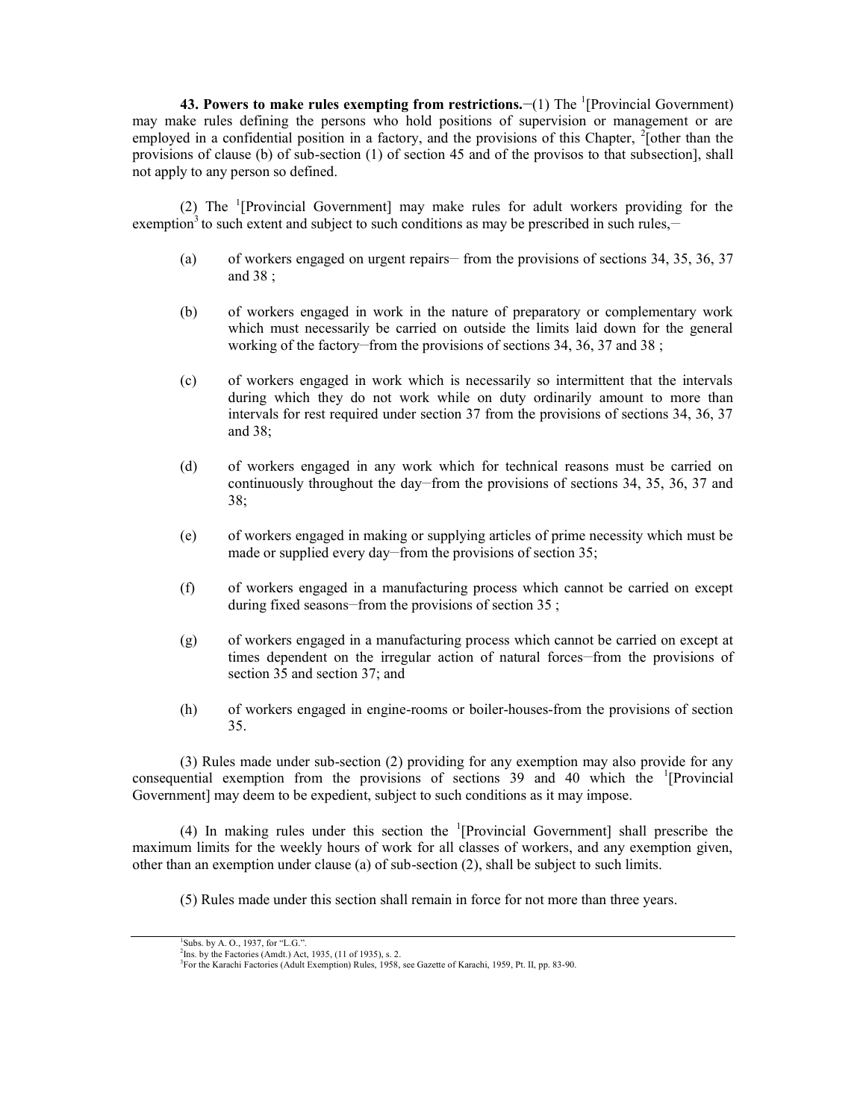**43. Powers to make rules exempting from restrictions. (1) The <sup>1</sup>[Provincial Government)** may make rules defining the persons who hold positions of supervision or management or are employed in a confidential position in a factory, and the provisions of this Chapter,  $^{2}$ [other than the provisions of clause (b) of sub-section (1) of section 45 and of the provisos to that subsection], shall not apply to any person so defined.

(2) The  $\frac{1}{2}$ [Provincial Government] may make rules for adult workers providing for the exemption<sup>3</sup> to such extent and subject to such conditions as may be prescribed in such rules,—

- (a) of workers engaged on urgent repairs— from the provisions of sections 34, 35, 36, 37 and 38 ;
- (b) of workers engaged in work in the nature of preparatory or complementary work which must necessarily be carried on outside the limits laid down for the general working of the factory–from the provisions of sections 34, 36, 37 and 38 ;
- (c) of workers engaged in work which is necessarily so intermittent that the intervals during which they do not work while on duty ordinarily amount to more than intervals for rest required under section 37 from the provisions of sections 34, 36, 37 and 38;
- (d) of workers engaged in any work which for technical reasons must be carried on continuously throughout the day–from the provisions of sections 34, 35, 36, 37 and 38;
- (e) of workers engaged in making or supplying articles of prime necessity which must be made or supplied every day—from the provisions of section 35;
- (f) of workers engaged in a manufacturing process which cannot be carried on except during fixed seasons—from the provisions of section  $35$ ;
- (g) of workers engaged in a manufacturing process which cannot be carried on except at times dependent on the irregular action of natural forces—from the provisions of section 35 and section 37; and
- (h) of workers engaged in engine-rooms or boiler-houses-from the provisions of section 35.

(3) Rules made under sub-section (2) providing for any exemption may also provide for any consequential exemption from the provisions of sections  $39$  and  $40$  which the <sup>1</sup>[Provincial] Government] may deem to be expedient, subject to such conditions as it may impose.

(4) In making rules under this section the  ${}^{1}[Provincia$  Government] shall prescribe the maximum limits for the weekly hours of work for all classes of workers, and any exemption given, other than an exemption under clause (a) of sub-section (2), shall be subject to such limits.

(5) Rules made under this section shall remain in force for not more than three years.

 ${}^{1}$ Subs. by A. O., 1937, for "L.G.".<br> ${}^{2}$ Ins. by the Factories (Amdt.) Act, 1935, (11 of 1935), s. 2.

<sup>&</sup>lt;sup>3</sup>For the Karachi Factories (Adult Exemption) Rules, 1958, see Gazette of Karachi, 1959, Pt. II, pp. 83-90.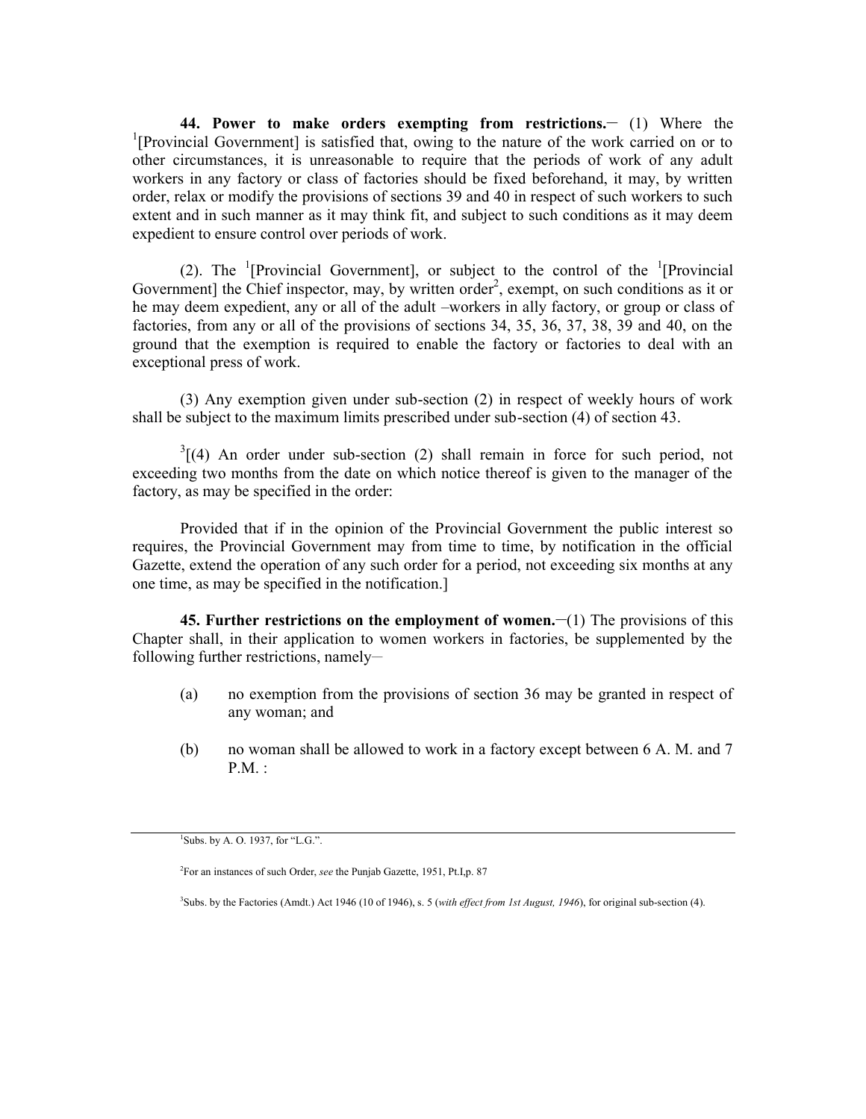**44. Power to make orders exempting from restrictions.\_\_** (1) Where the <sup>1</sup>[Provincial Government] is satisfied that, owing to the nature of the work carried on or to other circumstances, it is unreasonable to require that the periods of work of any adult workers in any factory or class of factories should be fixed beforehand, it may, by written order, relax or modify the provisions of sections 39 and 40 in respect of such workers to such extent and in such manner as it may think fit, and subject to such conditions as it may deem expedient to ensure control over periods of work.

(2). The <sup>1</sup>[Provincial Government], or subject to the control of the <sup>1</sup>[Provincial Government] the Chief inspector, may, by written order<sup>2</sup>, exempt, on such conditions as it or he may deem expedient, any or all of the adult –workers in ally factory, or group or class of factories, from any or all of the provisions of sections 34, 35, 36, 37, 38, 39 and 40, on the ground that the exemption is required to enable the factory or factories to deal with an exceptional press of work.

(3) Any exemption given under sub-section (2) in respect of weekly hours of work shall be subject to the maximum limits prescribed under sub-section (4) of section 43.

 $3(4)$  An order under sub-section (2) shall remain in force for such period, not exceeding two months from the date on which notice thereof is given to the manager of the factory, as may be specified in the order:

Provided that if in the opinion of the Provincial Government the public interest so requires, the Provincial Government may from time to time, by notification in the official Gazette, extend the operation of any such order for a period, not exceeding six months at any one time, as may be specified in the notification.]

**45. Further restrictions on the employment of women.**  $\left(\begin{array}{c} -1 \end{array}\right)$  **The provisions of this** Chapter shall, in their application to women workers in factories, be supplemented by the following further restrictions, namely-

- (a) no exemption from the provisions of section 36 may be granted in respect of any woman; and
- (b) no woman shall be allowed to work in a factory except between 6 A. M. and 7 P.M. :

 $1$ Subs. by A. O. 1937, for "L.G.".

<sup>2</sup>For an instances of such Order, *see* the Punjab Gazette, 1951, Pt.I,p. 87

<sup>3</sup>Subs. by the Factories (Amdt.) Act 1946 (10 of 1946), s. 5 (*with effect from 1st August, 1946*), for original sub-section (4).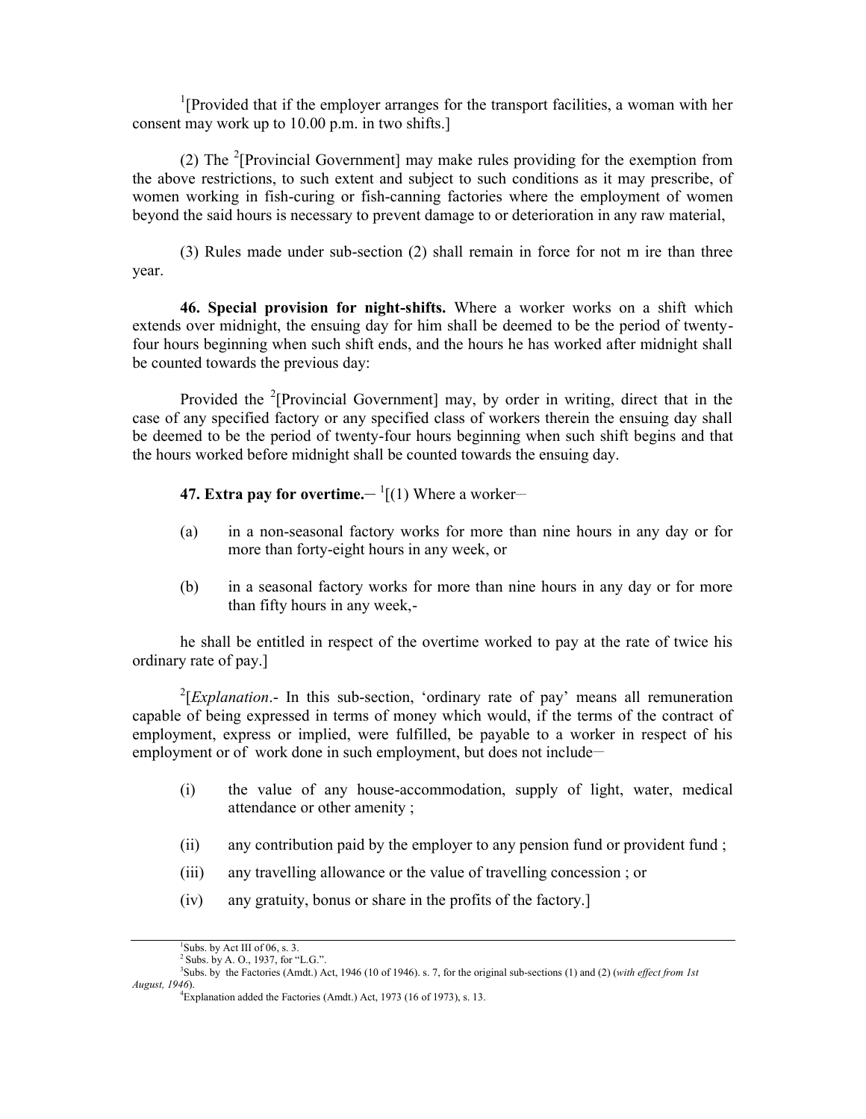<sup>1</sup>[Provided that if the employer arranges for the transport facilities, a woman with her consent may work up to 10.00 p.m. in two shifts.]

(2) The  $2$ [Provincial Government] may make rules providing for the exemption from the above restrictions, to such extent and subject to such conditions as it may prescribe, of women working in fish-curing or fish-canning factories where the employment of women beyond the said hours is necessary to prevent damage to or deterioration in any raw material,

(3) Rules made under sub-section (2) shall remain in force for not m ire than three year.

**46. Special provision for night-shifts.** Where a worker works on a shift which extends over midnight, the ensuing day for him shall be deemed to be the period of twentyfour hours beginning when such shift ends, and the hours he has worked after midnight shall be counted towards the previous day:

Provided the <sup>2</sup>[Provincial Government] may, by order in writing, direct that in the case of any specified factory or any specified class of workers therein the ensuing day shall be deemed to be the period of twenty-four hours beginning when such shift begins and that the hours worked before midnight shall be counted towards the ensuing day.

**47. Extra pay for overtime.—**  $\frac{1}{1}(1)$  **Where a worker—** 

- (a) in a non-seasonal factory works for more than nine hours in any day or for more than forty-eight hours in any week, or
- (b) in a seasonal factory works for more than nine hours in any day or for more than fifty hours in any week,-

he shall be entitled in respect of the overtime worked to pay at the rate of twice his ordinary rate of pay.]

<sup>2</sup>[*Explanation*.- In this sub-section, 'ordinary rate of pay' means all remuneration capable of being expressed in terms of money which would, if the terms of the contract of employment, express or implied, were fulfilled, be payable to a worker in respect of his employment or of work done in such employment, but does not include-

- (i) the value of any house-accommodation, supply of light, water, medical attendance or other amenity ;
- (ii) any contribution paid by the employer to any pension fund or provident fund ;
- (iii) any travelling allowance or the value of travelling concession ; or
- (iv) any gratuity, bonus or share in the profits of the factory.]

<sup>&</sup>lt;sup>1</sup>Subs. by Act III of 06, s. 3.<br><sup>2</sup> Subs. by A. Q., 1937, for "L.G.".

<sup>&</sup>lt;sup>3</sup>Subs. by the Factories (Amdt.) Act, 1946 (10 of 1946). s. 7, for the original sub-sections (1) and (2) (*with effect from 1st August, 1946*).

<sup>&</sup>lt;sup>4</sup>Explanation added the Factories (Amdt.) Act, 1973 (16 of 1973), s. 13.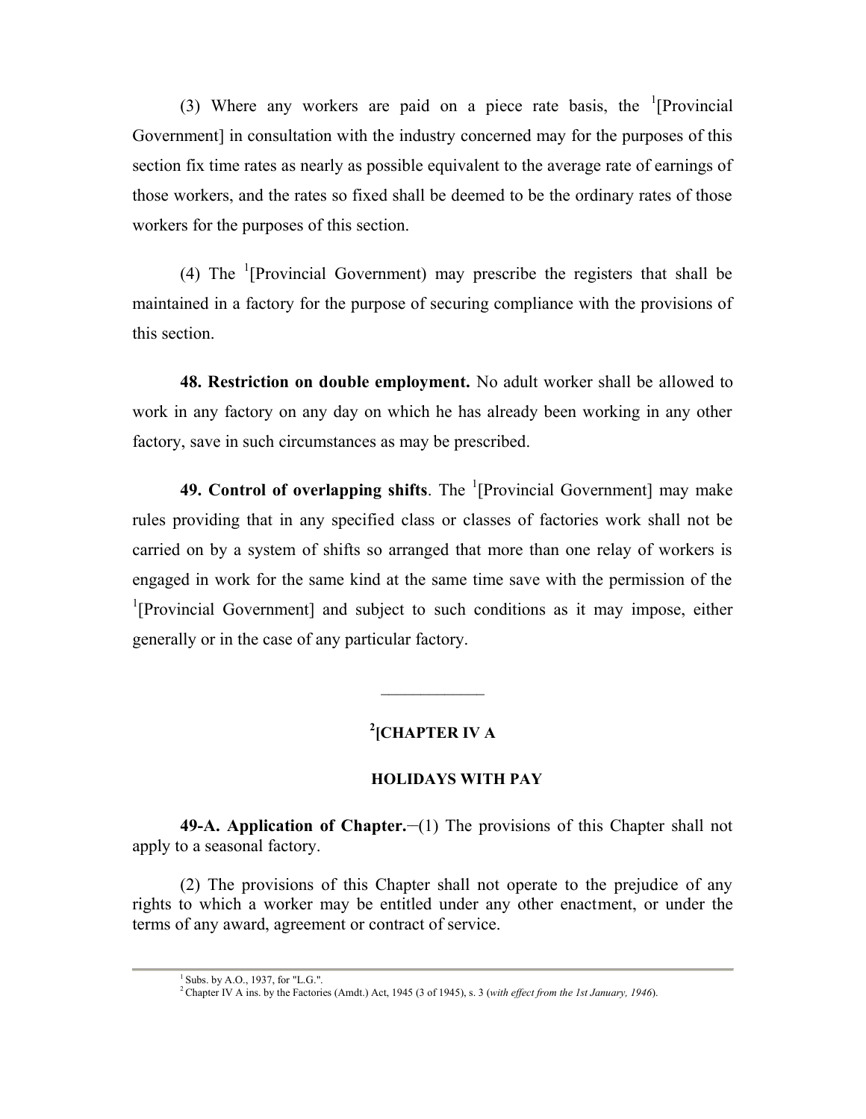(3) Where any workers are paid on a piece rate basis, the  $\Gamma$ [Provincial] Government] in consultation with the industry concerned may for the purposes of this section fix time rates as nearly as possible equivalent to the average rate of earnings of those workers, and the rates so fixed shall be deemed to be the ordinary rates of those workers for the purposes of this section.

(4) The  $\frac{1}{2}$ [Provincial Government) may prescribe the registers that shall be maintained in a factory for the purpose of securing compliance with the provisions of this section.

**48. Restriction on double employment.** No adult worker shall be allowed to work in any factory on any day on which he has already been working in any other factory, save in such circumstances as may be prescribed.

**49. Control of overlapping shifts**. The <sup>1</sup>[Provincial Government] may make rules providing that in any specified class or classes of factories work shall not be carried on by a system of shifts so arranged that more than one relay of workers is engaged in work for the same kind at the same time save with the permission of the <sup>1</sup>[Provincial Government] and subject to such conditions as it may impose, either generally or in the case of any particular factory.

# **2 [CHAPTER IV A**

# **HOLIDAYS WITH PAY**

 $\frac{1}{2}$  ,  $\frac{1}{2}$  ,  $\frac{1}{2}$  ,  $\frac{1}{2}$  ,  $\frac{1}{2}$  ,  $\frac{1}{2}$  ,  $\frac{1}{2}$  ,  $\frac{1}{2}$  ,  $\frac{1}{2}$  ,  $\frac{1}{2}$ 

**49-A. Application of Chapter.—(1) The provisions of this Chapter shall not** apply to a seasonal factory.

(2) The provisions of this Chapter shall not operate to the prejudice of any rights to which a worker may be entitled under any other enactment, or under the terms of any award, agreement or contract of service.

 $1$  Subs. by A.O., 1937, for "L.G.". <sup>2</sup>Chapter IV A ins. by the Factories (Amdt.) Act, 1945 (3 of 1945), s. 3 (*with effect from the 1st January, 1946*).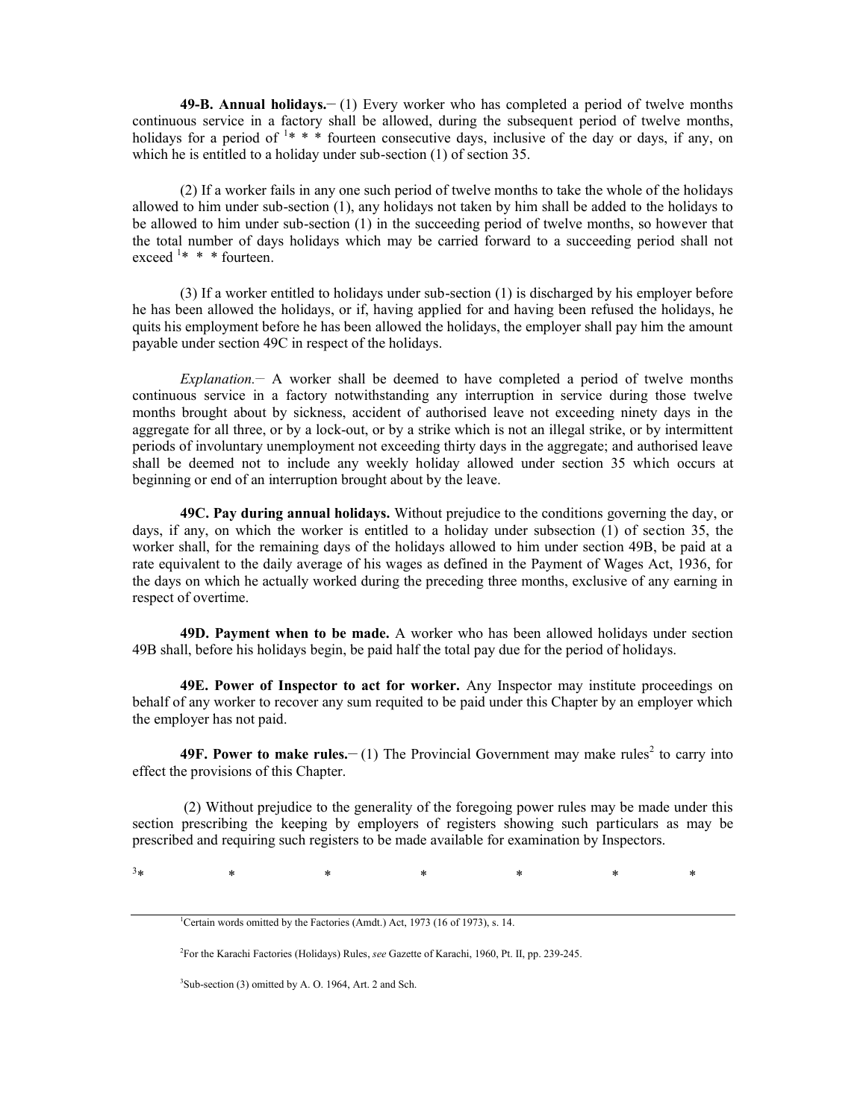**49-B. Annual holidays.\_\_** (1) Every worker who has completed a period of twelve months continuous service in a factory shall be allowed, during the subsequent period of twelve months, holidays for a period of  $1$ \* \* \* fourteen consecutive days, inclusive of the day or days, if any, on which he is entitled to a holiday under sub-section (1) of section 35.

(2) If a worker fails in any one such period of twelve months to take the whole of the holidays allowed to him under sub-section (1), any holidays not taken by him shall be added to the holidays to be allowed to him under sub-section (1) in the succeeding period of twelve months, so however that the total number of days holidays which may be carried forward to a succeeding period shall not exceed  $1* * *$  fourteen.

(3) If a worker entitled to holidays under sub-section (1) is discharged by his employer before he has been allowed the holidays, or if, having applied for and having been refused the holidays, he quits his employment before he has been allowed the holidays, the employer shall pay him the amount payable under section 49C in respect of the holidays.

*Explanation.\_\_* A worker shall be deemed to have completed a period of twelve months continuous service in a factory notwithstanding any interruption in service during those twelve months brought about by sickness, accident of authorised leave not exceeding ninety days in the aggregate for all three, or by a lock-out, or by a strike which is not an illegal strike, or by intermittent periods of involuntary unemployment not exceeding thirty days in the aggregate; and authorised leave shall be deemed not to include any weekly holiday allowed under section 35 which occurs at beginning or end of an interruption brought about by the leave.

**49C. Pay during annual holidays.** Without prejudice to the conditions governing the day, or days, if any, on which the worker is entitled to a holiday under subsection (1) of section 35, the worker shall, for the remaining days of the holidays allowed to him under section 49B, be paid at a rate equivalent to the daily average of his wages as defined in the Payment of Wages Act, 1936, for the days on which he actually worked during the preceding three months, exclusive of any earning in respect of overtime.

**49D. Payment when to be made.** A worker who has been allowed holidays under section 49B shall, before his holidays begin, be paid half the total pay due for the period of holidays.

**49E. Power of Inspector to act for worker.** Any Inspector may institute proceedings on behalf of any worker to recover any sum requited to be paid under this Chapter by an employer which the employer has not paid.

**49F. Power to make rules.**  $\text{– (1)}$  The Provincial Government may make rules<sup>2</sup> to carry into effect the provisions of this Chapter.

(2) Without prejudice to the generality of the foregoing power rules may be made under this section prescribing the keeping by employers of registers showing such particulars as may be prescribed and requiring such registers to be made available for examination by Inspectors.

 $3*$  \* \* \* \* \* \* \* \*

<sup>3</sup>Sub-section (3) omitted by A. O. 1964, Art. 2 and Sch.

<sup>&</sup>lt;sup>1</sup>Certain words omitted by the Factories (Amdt.) Act, 1973 (16 of 1973), s. 14.

<sup>2</sup>For the Karachi Factories (Holidays) Rules, *see* Gazette of Karachi, 1960, Pt. II, pp. 239-245.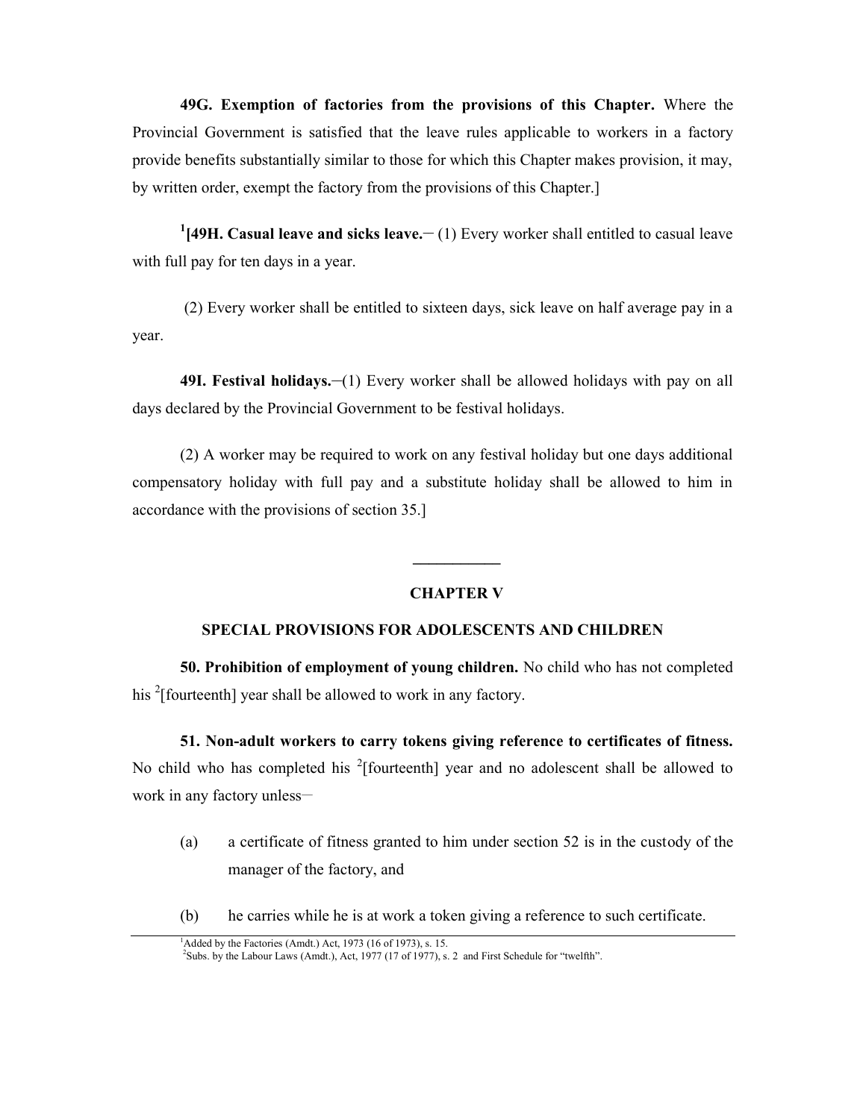**49G. Exemption of factories from the provisions of this Chapter.** Where the Provincial Government is satisfied that the leave rules applicable to workers in a factory provide benefits substantially similar to those for which this Chapter makes provision, it may, by written order, exempt the factory from the provisions of this Chapter.]

<sup>1</sup>[49H. Casual leave and sicks leave.<sup>1</sup> (1) Every worker shall entitled to casual leave with full pay for ten days in a year.

(2) Every worker shall be entitled to sixteen days, sick leave on half average pay in a year.

**49I. Festival holidays.—(1)** Every worker shall be allowed holidays with pay on all days declared by the Provincial Government to be festival holidays.

(2) A worker may be required to work on any festival holiday but one days additional compensatory holiday with full pay and a substitute holiday shall be allowed to him in accordance with the provisions of section 35.]

### **CHAPTER V**

**\_\_\_\_\_\_\_\_\_\_\_**

## **SPECIAL PROVISIONS FOR ADOLESCENTS AND CHILDREN**

**50. Prohibition of employment of young children.** No child who has not completed his <sup>2</sup>[fourteenth] year shall be allowed to work in any factory.

**51. Non-adult workers to carry tokens giving reference to certificates of fitness.**

No child who has completed his  $2$ [fourteenth] year and no adolescent shall be allowed to work in any factory unless-

- (a) a certificate of fitness granted to him under section 52 is in the custody of the manager of the factory, and
- (b) he carries while he is at work a token giving a reference to such certificate.

<sup>&</sup>lt;sup>1</sup>Added by the Factories (Amdt.) Act,  $\overline{1973}$  (16 of 1973), s. 15.<br><sup>2</sup>Subs. by the Labour Laws (Amdt.), Act, 1977 (17 of 1977), s. 2 and First Schedule for "twelfth".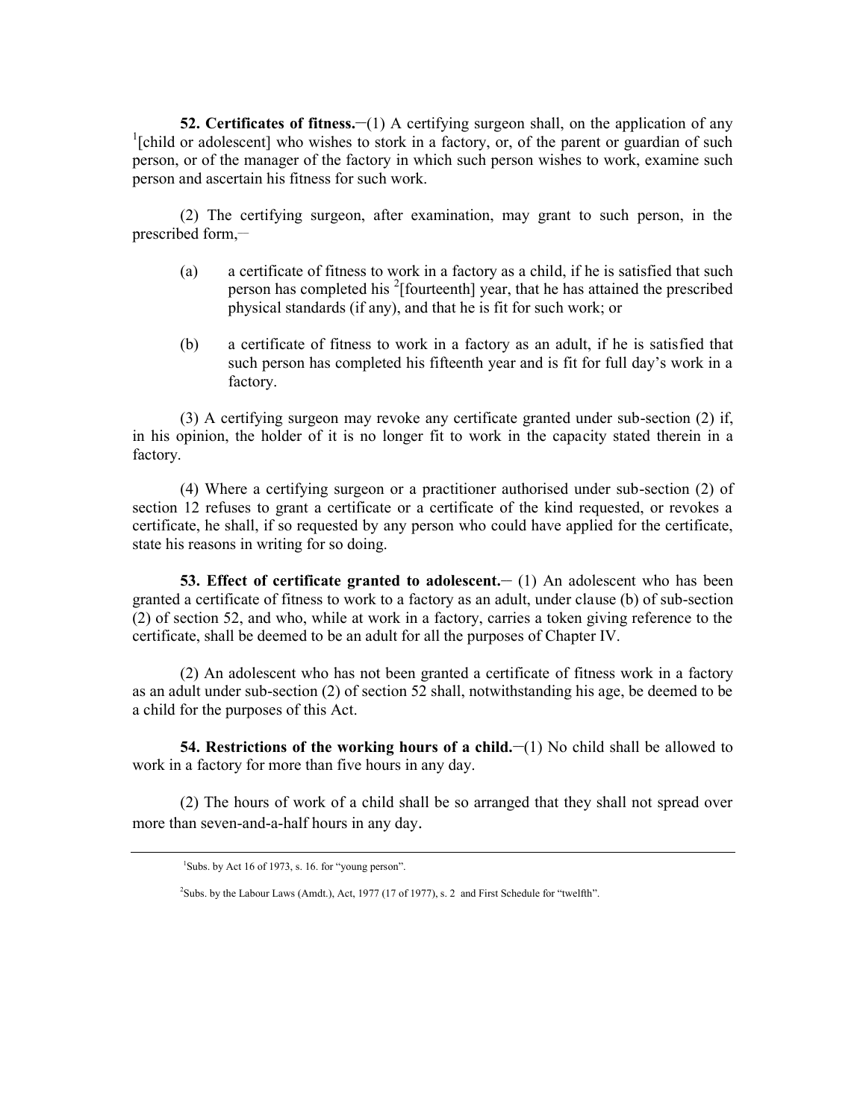**52. Certificates of fitness.**—(1) A certifying surgeon shall, on the application of any <sup>1</sup>[child or adolescent] who wishes to stork in a factory, or, of the parent or guardian of such person, or of the manager of the factory in which such person wishes to work, examine such person and ascertain his fitness for such work.

(2) The certifying surgeon, after examination, may grant to such person, in the prescribed form, $-$ 

- (a) a certificate of fitness to work in a factory as a child, if he is satisfied that such person has completed his  $2$ [fourteenth] year, that he has attained the prescribed physical standards (if any), and that he is fit for such work; or
- (b) a certificate of fitness to work in a factory as an adult, if he is satisfied that such person has completed his fifteenth year and is fit for full day's work in a factory.

(3) A certifying surgeon may revoke any certificate granted under sub-section (2) if, in his opinion, the holder of it is no longer fit to work in the capacity stated therein in a factory.

(4) Where a certifying surgeon or a practitioner authorised under sub-section (2) of section 12 refuses to grant a certificate or a certificate of the kind requested, or revokes a certificate, he shall, if so requested by any person who could have applied for the certificate, state his reasons in writing for so doing.

**53. Effect of certificate granted to adolescent.**  $\qquad$  **(1) An adolescent who has been** granted a certificate of fitness to work to a factory as an adult, under clause (b) of sub-section (2) of section 52, and who, while at work in a factory, carries a token giving reference to the certificate, shall be deemed to be an adult for all the purposes of Chapter IV.

(2) An adolescent who has not been granted a certificate of fitness work in a factory as an adult under sub-section (2) of section 52 shall, notwithstanding his age, be deemed to be a child for the purposes of this Act.

**54. Restrictions of the working hours of a child.** (1) No child shall be allowed to work in a factory for more than five hours in any day.

(2) The hours of work of a child shall be so arranged that they shall not spread over more than seven-and-a-half hours in any day.

 $1$ Subs. by Act 16 of 1973, s. 16. for "young person".

<sup>&</sup>lt;sup>2</sup>Subs. by the Labour Laws (Amdt.), Act, 1977 (17 of 1977), s. 2 and First Schedule for "twelfth".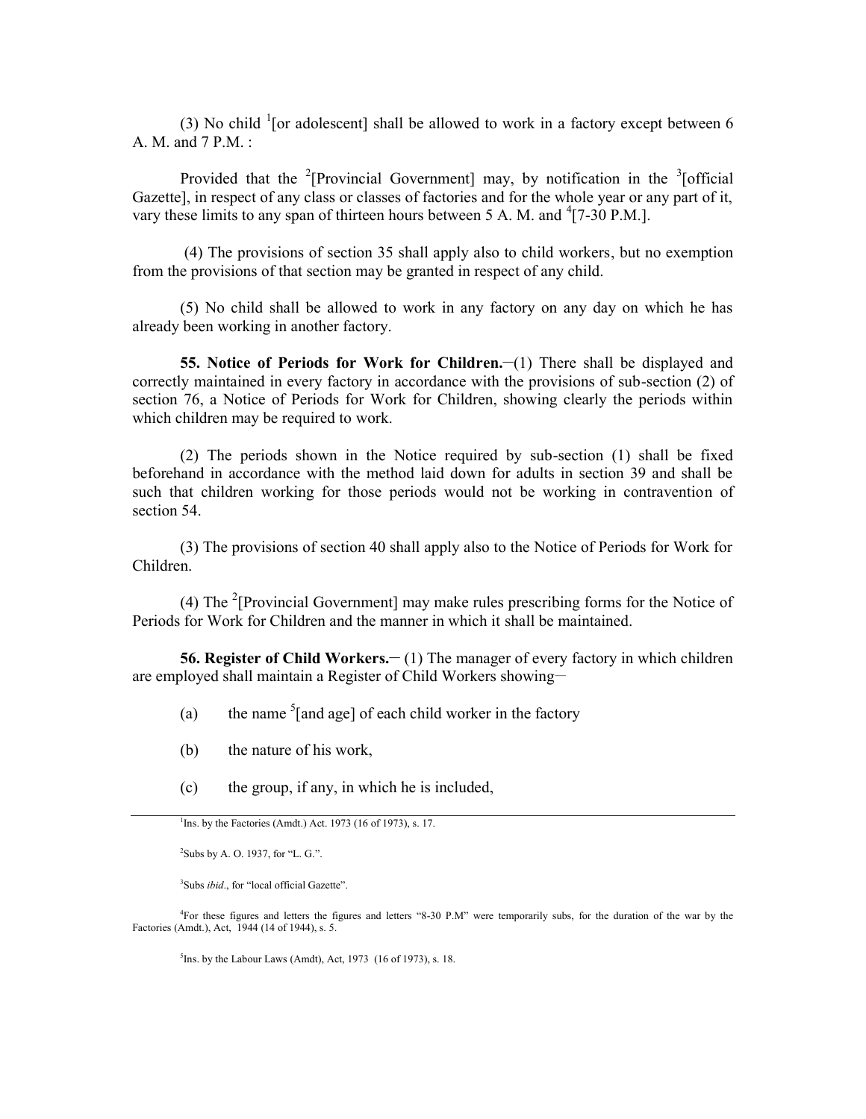(3) No child  $\frac{1}{1}$  [or adolescent] shall be allowed to work in a factory except between 6 A. M. and 7 P.M. :

Provided that the <sup>2</sup>[Provincial Government] may, by notification in the <sup>3</sup>[official Gazette], in respect of any class or classes of factories and for the whole year or any part of it, vary these limits to any span of thirteen hours between 5 A. M. and  $\textsuperscript{4}[7-30 \text{ P.M.}]$ .

 (4) The provisions of section 35 shall apply also to child workers, but no exemption from the provisions of that section may be granted in respect of any child.

(5) No child shall be allowed to work in any factory on any day on which he has already been working in another factory.

**55. Notice of Periods for Work for Children.** (1) There shall be displayed and correctly maintained in every factory in accordance with the provisions of sub-section (2) of section 76, a Notice of Periods for Work for Children, showing clearly the periods within which children may be required to work.

(2) The periods shown in the Notice required by sub-section (1) shall be fixed beforehand in accordance with the method laid down for adults in section 39 and shall be such that children working for those periods would not be working in contravention of section 54.

(3) The provisions of section 40 shall apply also to the Notice of Periods for Work for Children.

(4) The  $2$ [Provincial Government] may make rules prescribing forms for the Notice of Periods for Work for Children and the manner in which it shall be maintained.

**56. Register of Child Workers.—(1) The manager of every factory in which children** are employed shall maintain a Register of Child Workers showing-

- (a) the name  $\frac{5}{2}$  the name  $\frac{5}{2}$  of each child worker in the factory
- (b) the nature of his work,
- (c) the group, if any, in which he is included,

 $2$ Subs by A. O. 1937, for "L. G.".

<sup>3</sup>Subs *ibid.*, for "local official Gazette".

<sup>4</sup>For these figures and letters the figures and letters "8-30 P.M" were temporarily subs, for the duration of the war by the Factories (Amdt.), Act, 1944 (14 of 1944), s. 5.

 ${}^{5}$ Ins. by the Labour Laws (Amdt), Act, 1973 (16 of 1973), s. 18.

<sup>&</sup>lt;sup>1</sup>Ins. by the Factories (Amdt.) Act. 1973 (16 of 1973), s. 17.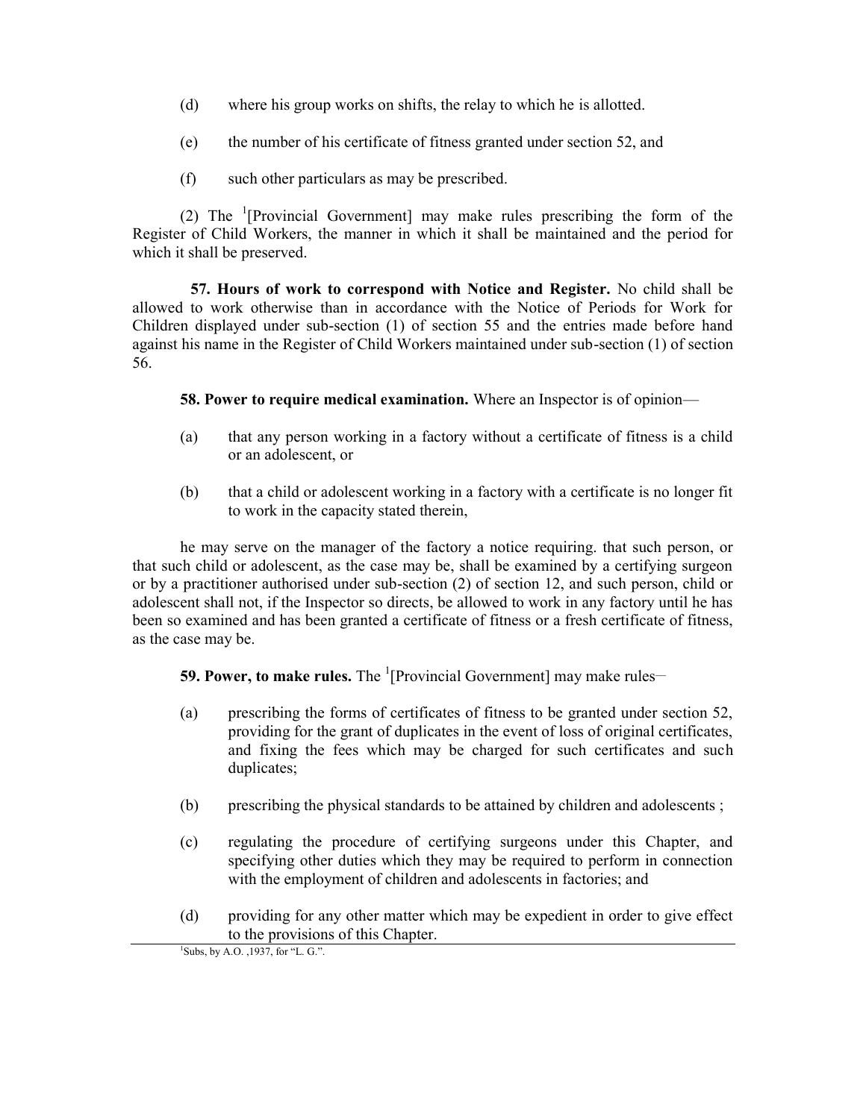- (d) where his group works on shifts, the relay to which he is allotted.
- (e) the number of his certificate of fitness granted under section 52, and
- (f) such other particulars as may be prescribed.

(2) The  $\frac{1}{2}$  [Provincial Government] may make rules prescribing the form of the Register of Child Workers, the manner in which it shall be maintained and the period for which it shall be preserved.

**57. Hours of work to correspond with Notice and Register.** No child shall be allowed to work otherwise than in accordance with the Notice of Periods for Work for Children displayed under sub-section (1) of section 55 and the entries made before hand against his name in the Register of Child Workers maintained under sub-section (1) of section 56.

**58. Power to require medical examination.** Where an Inspector is of opinion—

- (a) that any person working in a factory without a certificate of fitness is a child or an adolescent, or
- (b) that a child or adolescent working in a factory with a certificate is no longer fit to work in the capacity stated therein,

he may serve on the manager of the factory a notice requiring. that such person, or that such child or adolescent, as the case may be, shall be examined by a certifying surgeon or by a practitioner authorised under sub-section (2) of section 12, and such person, child or adolescent shall not, if the Inspector so directs, be allowed to work in any factory until he has been so examined and has been granted a certificate of fitness or a fresh certificate of fitness, as the case may be.

**59. Power, to make rules.** The <sup>1</sup>[Provincial Government] may make rules—

- (a) prescribing the forms of certificates of fitness to be granted under section 52, providing for the grant of duplicates in the event of loss of original certificates, and fixing the fees which may be charged for such certificates and such duplicates;
- (b) prescribing the physical standards to be attained by children and adolescents ;
- (c) regulating the procedure of certifying surgeons under this Chapter, and specifying other duties which they may be required to perform in connection with the employment of children and adolescents in factories; and
- (d) providing for any other matter which may be expedient in order to give effect to the provisions of this Chapter.

 $1$ Subs, by A.O. , 1937, for "L. G.".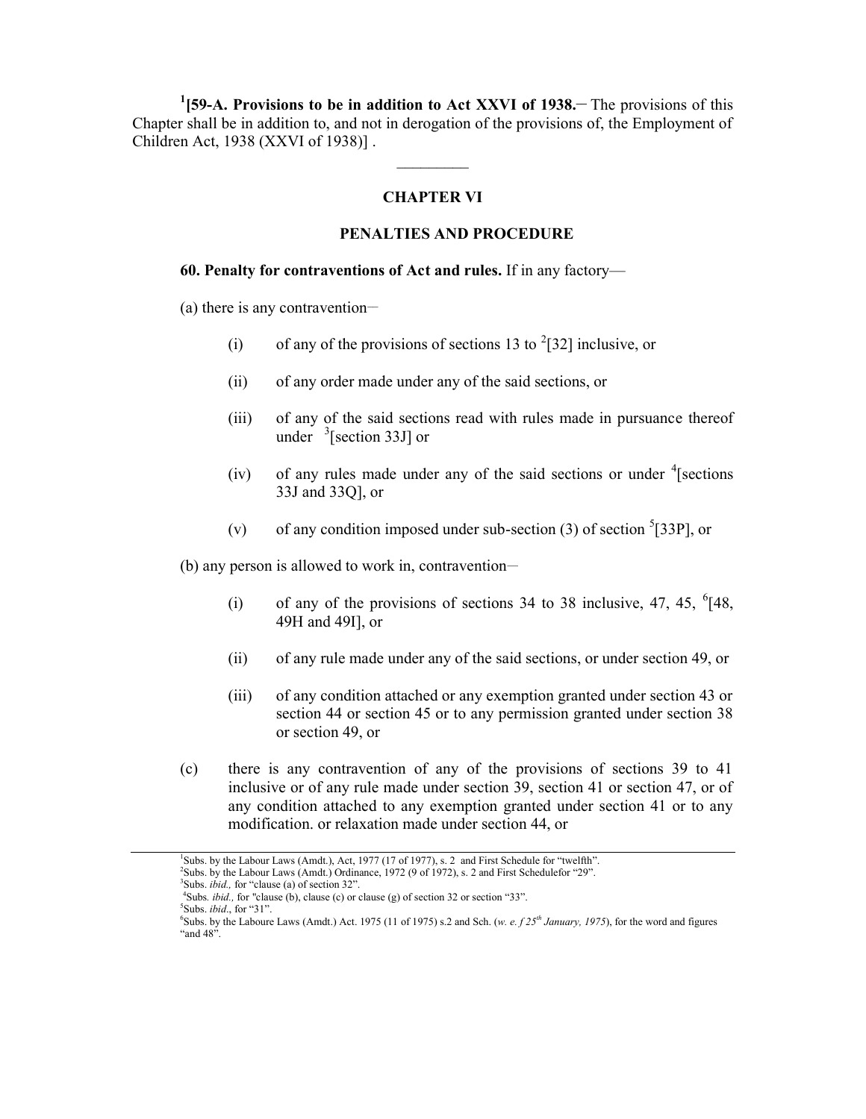<sup>1</sup>(59-A. Provisions to be in addition to Act XXVI of 1938. The provisions of this Chapter shall be in addition to, and not in derogation of the provisions of, the Employment of Children Act, 1938 (XXVI of 1938)] .

# **CHAPTER VI**

## **PENALTIES AND PROCEDURE**

 $\frac{1}{2}$  ,  $\frac{1}{2}$  ,  $\frac{1}{2}$  ,  $\frac{1}{2}$  ,  $\frac{1}{2}$  ,  $\frac{1}{2}$  ,  $\frac{1}{2}$  ,  $\frac{1}{2}$ 

#### **60. Penalty for contraventions of Act and rules.** If in any factory—

(a) there is any contravention—

- (i) of any of the provisions of sections 13 to  $2$ [32] inclusive, or
- (ii) of any order made under any of the said sections, or
- (iii) of any of the said sections read with rules made in pursuance thereof under  $\frac{3}{5}$ [section 33J] or
- (iv) of any rules made under any of the said sections or under  $\frac{4}{3}$  [sections 33J and 33Q], or
- (v) of any condition imposed under sub-section (3) of section  ${}^{5}$ [33P], or

(b) any person is allowed to work in, contravention-

- (i) of any of the provisions of sections 34 to 38 inclusive, 47, 45,  $^{6}[48,$ 49H and 49I], or
- (ii) of any rule made under any of the said sections, or under section 49, or
- (iii) of any condition attached or any exemption granted under section 43 or section 44 or section 45 or to any permission granted under section 38 or section 49, or
- (c) there is any contravention of any of the provisions of sections 39 to 41 inclusive or of any rule made under section 39, section 41 or section 47, or of any condition attached to any exemption granted under section 41 or to any modification. or relaxation made under section 44, or

<sup>&</sup>lt;sup>1</sup>Subs. by the Labour Laws (Amdt.), Act, 1977 (17 of 1977), s. 2 and First Schedule for "twelfth".<br><sup>2</sup>Subs. by the Labour Laws (Amdt.) Ordinance, 1972 (9 of 1972), s. 2 and First Schedulefor "29".

<sup>3</sup>Subs. *ibid.,* for "clause (a) of section 32".

<sup>&</sup>lt;sup>4</sup>Subs. *ibid.*, for "clause (b), clause (c) or clause (g) of section 32 or section "33". <sup>5</sup>Subs. *ibid.*, for "31".

<sup>&</sup>lt;sup>6</sup>Subs. by the Laboure Laws (Amdt.) Act. 1975 (11 of 1975) s.2 and Sch. (*w. e. f 25<sup>th</sup> January, 1975*), for the word and figures "and 48".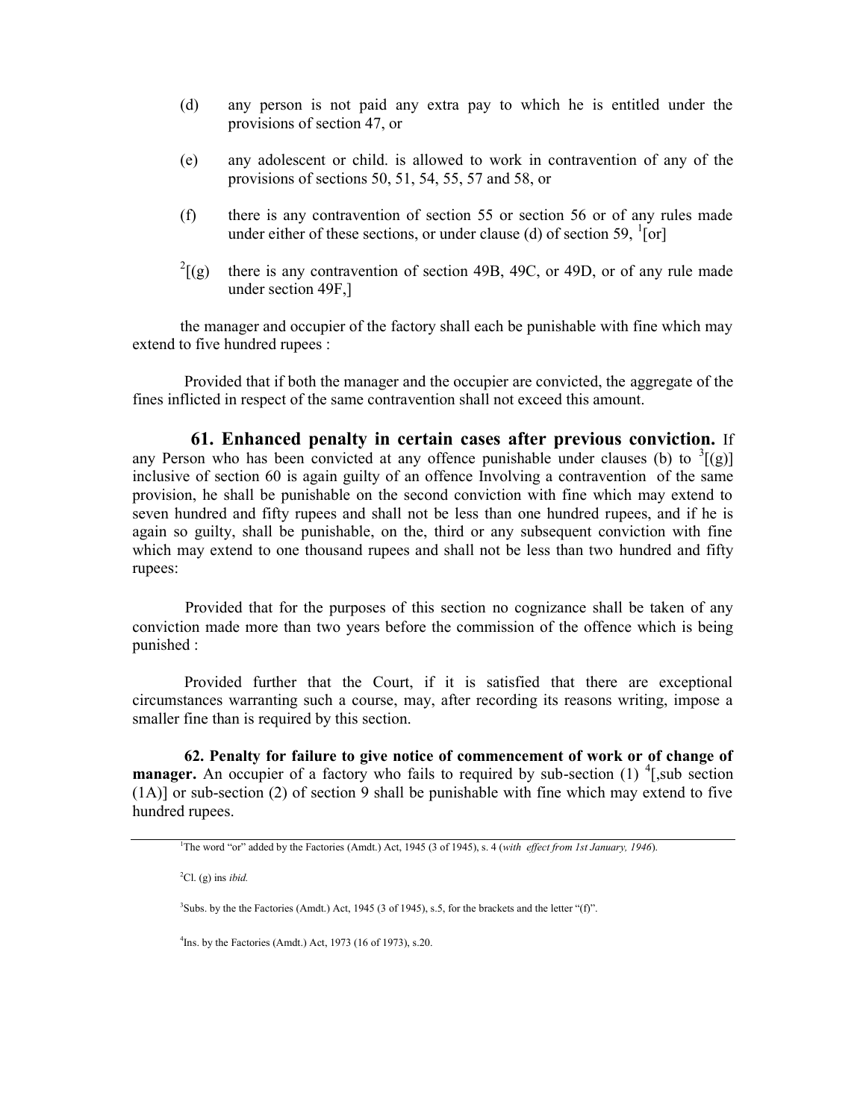- (d) any person is not paid any extra pay to which he is entitled under the provisions of section 47, or
- (e) any adolescent or child. is allowed to work in contravention of any of the provisions of sections 50, 51, 54, 55, 57 and 58, or
- (f) there is any contravention of section 55 or section 56 or of any rules made under either of these sections, or under clause (d) of section 59,  $\frac{1}{2}$ [or]
- $^{2}$ [(g) there is any contravention of section 49B, 49C, or 49D, or of any rule made under section 49F,]

the manager and occupier of the factory shall each be punishable with fine which may extend to five hundred rupees :

Provided that if both the manager and the occupier are convicted, the aggregate of the fines inflicted in respect of the same contravention shall not exceed this amount.

**61. Enhanced penalty in certain cases after previous conviction.** If any Person who has been convicted at any offence punishable under clauses (b) to  $\frac{3}{2}$ [(g)] inclusive of section 60 is again guilty of an offence Involving a contravention of the same provision, he shall be punishable on the second conviction with fine which may extend to seven hundred and fifty rupees and shall not be less than one hundred rupees, and if he is again so guilty, shall be punishable, on the, third or any subsequent conviction with fine which may extend to one thousand rupees and shall not be less than two hundred and fifty rupees:

Provided that for the purposes of this section no cognizance shall be taken of any conviction made more than two years before the commission of the offence which is being punished :

Provided further that the Court, if it is satisfied that there are exceptional circumstances warranting such a course, may, after recording its reasons writing, impose a smaller fine than is required by this section.

**62. Penalty for failure to give notice of commencement of work or of change of manager.** An occupier of a factory who fails to required by sub-section (1) <sup>4</sup>[,sub section (1A)] or sub-section (2) of section 9 shall be punishable with fine which may extend to five hundred rupees.

<sup>2</sup>Cl. (g) ins *ibid.*

<sup>4</sup>Ins. by the Factories (Amdt.) Act, 1973 (16 of 1973), s.20.

<sup>1</sup>The word "or" added by the Factories (Amdt.) Act, 1945 (3 of 1945), s. 4 (*with effect from 1st January, 1946*).

<sup>&</sup>lt;sup>3</sup>Subs. by the the Factories (Amdt.) Act, 1945 (3 of 1945), s.5, for the brackets and the letter "(f)".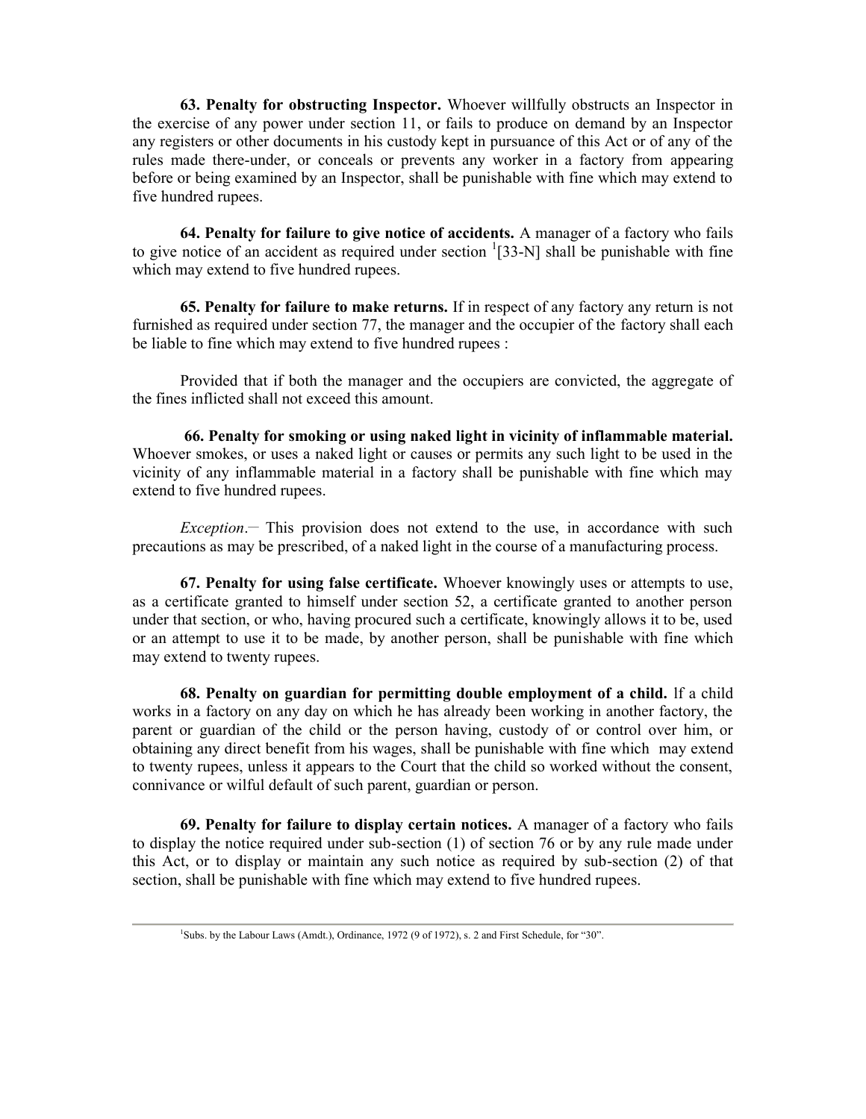**63. Penalty for obstructing Inspector.** Whoever willfully obstructs an Inspector in the exercise of any power under section 11, or fails to produce on demand by an Inspector any registers or other documents in his custody kept in pursuance of this Act or of any of the rules made there-under, or conceals or prevents any worker in a factory from appearing before or being examined by an Inspector, shall be punishable with fine which may extend to five hundred rupees.

**64. Penalty for failure to give notice of accidents.** A manager of a factory who fails to give notice of an accident as required under section  $\frac{1}{33-N}$  shall be punishable with fine which may extend to five hundred rupees.

**65. Penalty for failure to make returns.** If in respect of any factory any return is not furnished as required under section 77, the manager and the occupier of the factory shall each be liable to fine which may extend to five hundred rupees :

Provided that if both the manager and the occupiers are convicted, the aggregate of the fines inflicted shall not exceed this amount.

**66. Penalty for smoking or using naked light in vicinity of inflammable material.** Whoever smokes, or uses a naked light or causes or permits any such light to be used in the vicinity of any inflammable material in a factory shall be punishable with fine which may extend to five hundred rupees.

 $Exception$ — This provision does not extend to the use, in accordance with such precautions as may be prescribed, of a naked light in the course of a manufacturing process.

**67. Penalty for using false certificate.** Whoever knowingly uses or attempts to use, as a certificate granted to himself under section 52, a certificate granted to another person under that section, or who, having procured such a certificate, knowingly allows it to be, used or an attempt to use it to be made, by another person, shall be punishable with fine which may extend to twenty rupees.

**68. Penalty on guardian for permitting double employment of a child.** lf a child works in a factory on any day on which he has already been working in another factory, the parent or guardian of the child or the person having, custody of or control over him, or obtaining any direct benefit from his wages, shall be punishable with fine which may extend to twenty rupees, unless it appears to the Court that the child so worked without the consent, connivance or wilful default of such parent, guardian or person.

**69. Penalty for failure to display certain notices.** A manager of a factory who fails to display the notice required under sub-section (1) of section 76 or by any rule made under this Act, or to display or maintain any such notice as required by sub-section (2) of that section, shall be punishable with fine which may extend to five hundred rupees.

<sup>&</sup>lt;sup>1</sup>Subs. by the Labour Laws (Amdt.), Ordinance, 1972 (9 of 1972), s. 2 and First Schedule, for "30".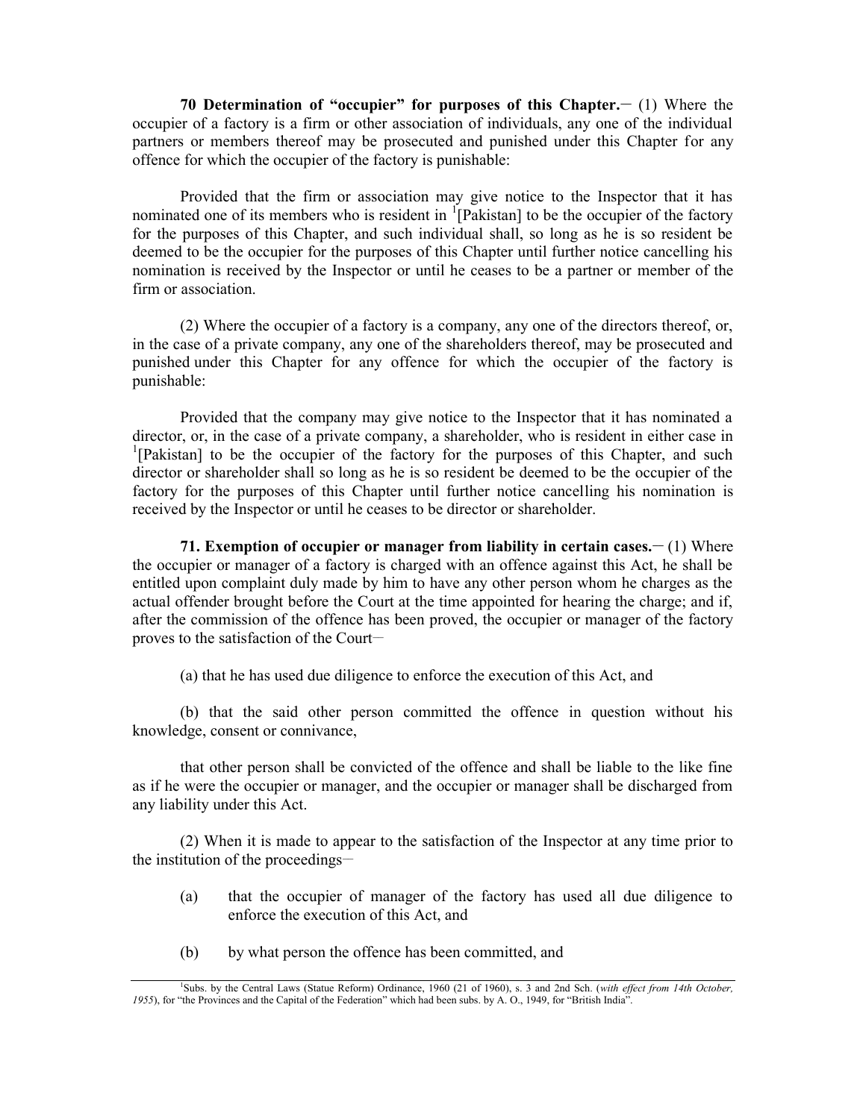**70 Determination of "occupier" for purposes of this Chapter.\_\_** (1) Where the occupier of a factory is a firm or other association of individuals, any one of the individual partners or members thereof may be prosecuted and punished under this Chapter for any offence for which the occupier of the factory is punishable:

Provided that the firm or association may give notice to the Inspector that it has nominated one of its members who is resident in  $\frac{1}{2}$ [Pakistan] to be the occupier of the factory for the purposes of this Chapter, and such individual shall, so long as he is so resident be deemed to be the occupier for the purposes of this Chapter until further notice cancelling his nomination is received by the Inspector or until he ceases to be a partner or member of the firm or association.

(2) Where the occupier of a factory is a company, any one of the directors thereof, or, in the case of a private company, any one of the shareholders thereof, may be prosecuted and punished under this Chapter for any offence for which the occupier of the factory is punishable:

Provided that the company may give notice to the Inspector that it has nominated a director, or, in the case of a private company, a shareholder, who is resident in either case in <sup>1</sup>[Pakistan] to be the occupier of the factory for the purposes of this Chapter, and such director or shareholder shall so long as he is so resident be deemed to be the occupier of the factory for the purposes of this Chapter until further notice cancelling his nomination is received by the Inspector or until he ceases to be director or shareholder.

**71. Exemption of occupier or manager from liability in certain cases.\_\_** (1) Where the occupier or manager of a factory is charged with an offence against this Act, he shall be entitled upon complaint duly made by him to have any other person whom he charges as the actual offender brought before the Court at the time appointed for hearing the charge; and if, after the commission of the offence has been proved, the occupier or manager of the factory proves to the satisfaction of the Court-

(a) that he has used due diligence to enforce the execution of this Act, and

(b) that the said other person committed the offence in question without his knowledge, consent or connivance,

that other person shall be convicted of the offence and shall be liable to the like fine as if he were the occupier or manager, and the occupier or manager shall be discharged from any liability under this Act.

(2) When it is made to appear to the satisfaction of the Inspector at any time prior to the institution of the proceedings—

- (a) that the occupier of manager of the factory has used all due diligence to enforce the execution of this Act, and
- (b) by what person the offence has been committed, and

<sup>1</sup>Subs. by the Central Laws (Statue Reform) Ordinance, 1960 (21 of 1960), s. 3 and 2nd Sch. (*with effect from 14th October, 1955*), for "the Provinces and the Capital of the Federation" which had been subs. by A. O., 1949, for "British India".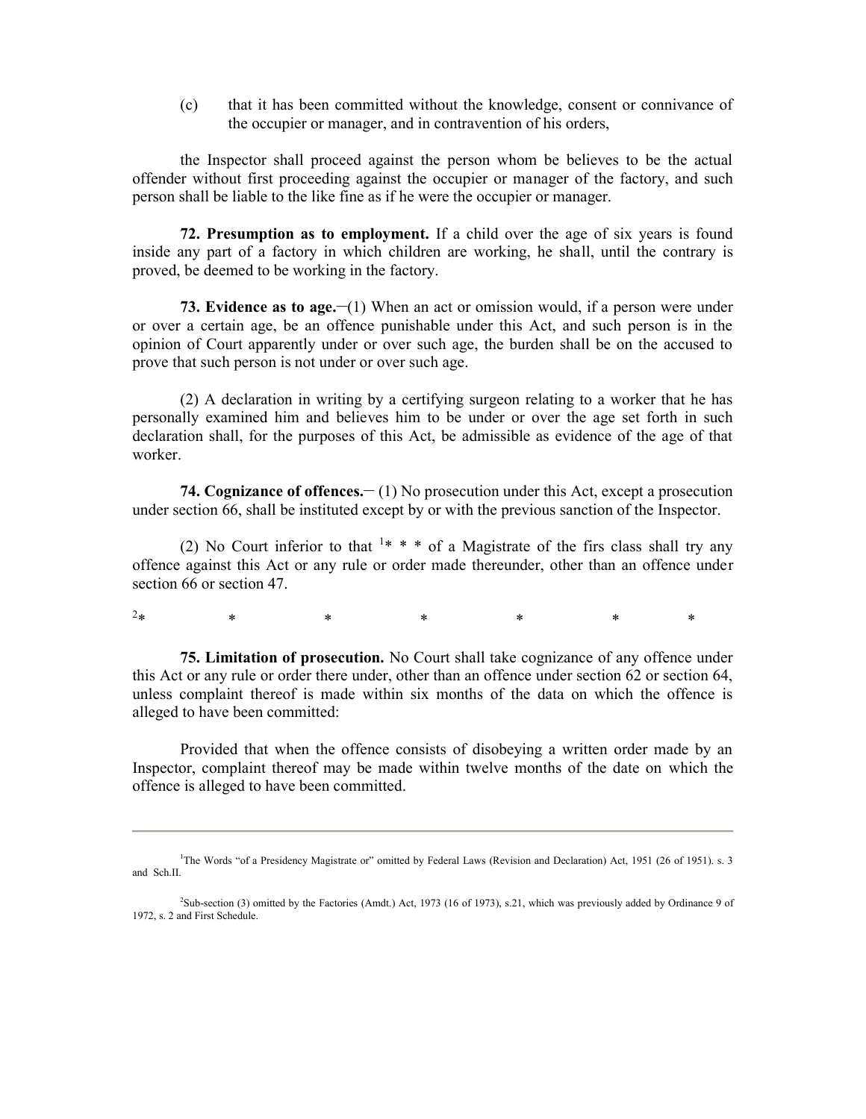(c) that it has been committed without the knowledge, consent or connivance of the occupier or manager, and in contravention of his orders,

the Inspector shall proceed against the person whom be believes to be the actual offender without first proceeding against the occupier or manager of the factory, and such person shall be liable to the like fine as if he were the occupier or manager.

**72. Presumption as to employment.** If a child over the age of six years is found inside any part of a factory in which children are working, he shall, until the contrary is proved, be deemed to be working in the factory.

**73. Evidence as to age.—(1)** When an act or omission would, if a person were under or over a certain age, be an offence punishable under this Act, and such person is in the opinion of Court apparently under or over such age, the burden shall be on the accused to prove that such person is not under or over such age.

(2) A declaration in writing by a certifying surgeon relating to a worker that he has personally examined him and believes him to be under or over the age set forth in such declaration shall, for the purposes of this Act, be admissible as evidence of the age of that worker.

**74. Cognizance of offences.— (1) No prosecution under this Act, except a prosecution** under section 66, shall be instituted except by or with the previous sanction of the Inspector.

(2) No Court inferior to that  $1** *$  of a Magistrate of the firs class shall try any offence against this Act or any rule or order made thereunder, other than an offence under section 66 or section 47.

 $2*$  \* \* \* \* \* \* \* \*

**75. Limitation of prosecution.** No Court shall take cognizance of any offence under this Act or any rule or order there under, other than an offence under section 62 or section 64, unless complaint thereof is made within six months of the data on which the offence is alleged to have been committed:

Provided that when the offence consists of disobeying a written order made by an Inspector, complaint thereof may be made within twelve months of the date on which the offence is alleged to have been committed.

<sup>&</sup>lt;sup>1</sup>The Words "of a Presidency Magistrate or" omitted by Federal Laws (Revision and Declaration) Act, 1951 (26 of 1951). s. 3 and Sch.II.

<sup>2</sup>Sub-section (3) omitted by the Factories (Amdt.) Act, 1973 (16 of 1973), s.21, which was previously added by Ordinance 9 of 1972, s. 2 and First Schedule.